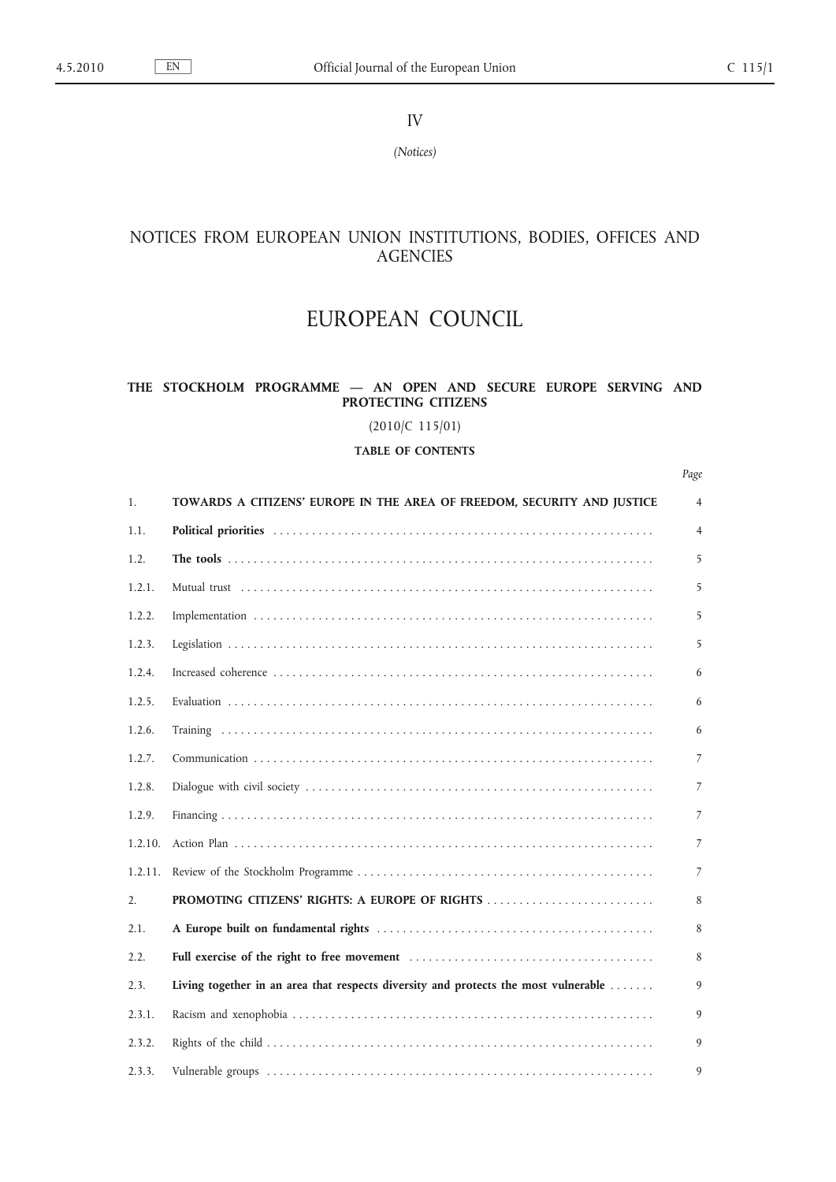IV

*(Notices)*

# NOTICES FROM EUROPEAN UNION INSTITUTIONS, BODIES, OFFICES AND **AGENCIES**

# EUROPEAN COUNCIL

# **THE STOCKHOLM PROGRAMME — AN OPEN AND SECURE EUROPE SERVING AND PROTECTING CITIZENS**

(2010/C 115/01)

### **TABLE OF CONTENTS**

*Page*

| 1.      | TOWARDS A CITIZENS' EUROPE IN THE AREA OF FREEDOM, SECURITY AND JUSTICE             | $\overline{4}$ |
|---------|-------------------------------------------------------------------------------------|----------------|
| 1.1.    |                                                                                     | $\overline{4}$ |
| 1.2.    |                                                                                     | 5              |
| 1.2.1.  |                                                                                     | 5              |
| 1.2.2.  |                                                                                     | 5              |
| 1.2.3.  |                                                                                     | 5              |
| 1.2.4.  |                                                                                     | 6              |
| 1.2.5.  |                                                                                     | 6              |
| 1.2.6.  |                                                                                     | 6              |
| 1.2.7.  |                                                                                     | $\overline{7}$ |
| 1.2.8.  |                                                                                     | 7              |
| 1.2.9.  |                                                                                     | $\overline{7}$ |
| 1.2.10. |                                                                                     | 7              |
| 1.2.11. |                                                                                     | 7              |
| 2.      | PROMOTING CITIZENS' RIGHTS: A EUROPE OF RIGHTS                                      | 8              |
| 2.1.    |                                                                                     | 8              |
| 2.2.    |                                                                                     | 8              |
| 2.3.    | Living together in an area that respects diversity and protects the most vulnerable | 9              |
| 2.3.1.  |                                                                                     | 9              |
| 2.3.2.  |                                                                                     | 9              |
| 2.3.3.  |                                                                                     | 9              |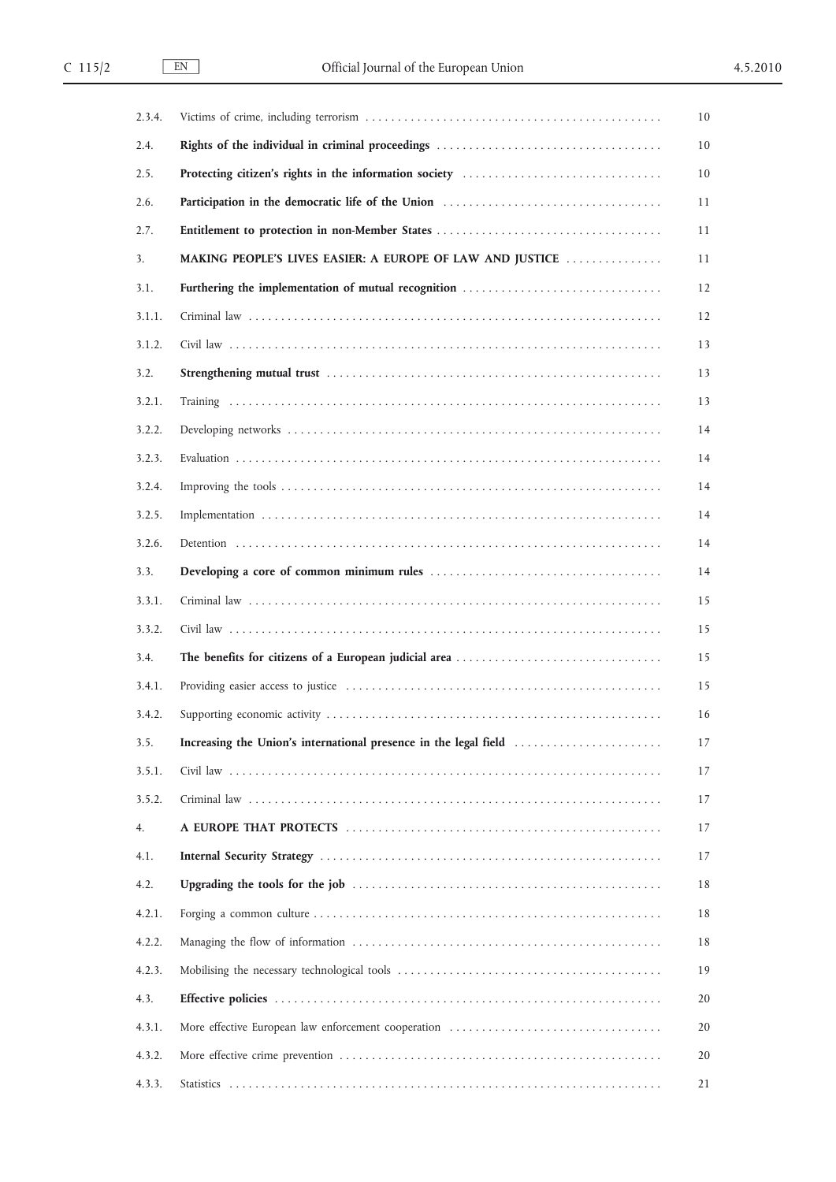| 2.3.4. |                                                                  | 10 |
|--------|------------------------------------------------------------------|----|
| 2.4.   |                                                                  | 10 |
| 2.5.   | Protecting citizen's rights in the information society           | 10 |
| 2.6.   |                                                                  | 11 |
| 2.7.   |                                                                  | 11 |
| 3.     | MAKING PEOPLE'S LIVES EASIER: A EUROPE OF LAW AND JUSTICE        | 11 |
| 3.1.   | Furthering the implementation of mutual recognition              | 12 |
| 3.1.1. |                                                                  | 12 |
| 3.1.2. |                                                                  | 13 |
| 3.2.   |                                                                  | 13 |
| 3.2.1. |                                                                  | 13 |
| 3.2.2. |                                                                  | 14 |
| 3.2.3. |                                                                  | 14 |
| 3.2.4. |                                                                  | 14 |
| 3.2.5. |                                                                  | 14 |
| 3.2.6. |                                                                  | 14 |
| 3.3.   |                                                                  | 14 |
| 3.3.1. |                                                                  | 15 |
| 3.3.2. |                                                                  | 15 |
| 3.4.   |                                                                  | 15 |
| 3.4.1. |                                                                  | 15 |
| 3.4.2. |                                                                  | 16 |
| 3.5.   | Increasing the Union's international presence in the legal field | 17 |
| 3.5.1. |                                                                  | 17 |
| 3.5.2. |                                                                  | 17 |
| 4.     |                                                                  | 17 |
| 4.1.   |                                                                  | 17 |
| 4.2.   |                                                                  | 18 |
| 4.2.1. |                                                                  | 18 |
| 4.2.2. |                                                                  | 18 |
| 4.2.3. |                                                                  | 19 |
| 4.3.   |                                                                  | 20 |
| 4.3.1. | More effective European law enforcement cooperation              | 20 |
| 4.3.2. |                                                                  | 20 |
| 4.3.3. |                                                                  | 21 |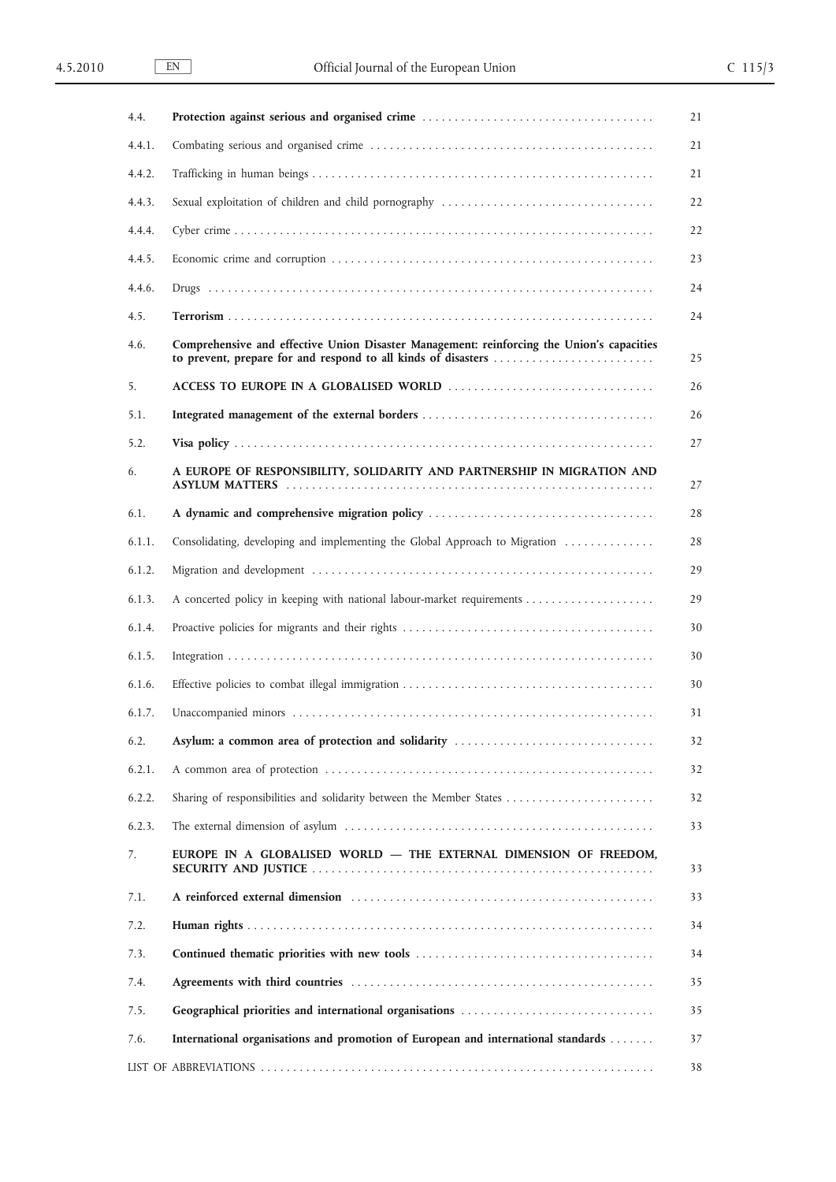| 4.4.   |                                                                                                                                                            | 21 |
|--------|------------------------------------------------------------------------------------------------------------------------------------------------------------|----|
| 4.4.1. |                                                                                                                                                            | 21 |
| 4.4.2. |                                                                                                                                                            | 21 |
| 4.4.3. |                                                                                                                                                            | 22 |
| 4.4.4. |                                                                                                                                                            | 22 |
| 4.4.5. |                                                                                                                                                            | 23 |
| 4.4.6. |                                                                                                                                                            | 24 |
| 4.5.   |                                                                                                                                                            | 24 |
| 4.6.   | Comprehensive and effective Union Disaster Management: reinforcing the Union's capacities<br>to prevent, prepare for and respond to all kinds of disasters | 25 |
| 5.     |                                                                                                                                                            | 26 |
| 5.1.   |                                                                                                                                                            | 26 |
| 5.2.   |                                                                                                                                                            | 27 |
| 6.     | A EUROPE OF RESPONSIBILITY, SOLIDARITY AND PARTNERSHIP IN MIGRATION AND                                                                                    | 27 |
| 6.1.   | A dynamic and comprehensive migration policy                                                                                                               | 28 |
| 6.1.1. | Consolidating, developing and implementing the Global Approach to Migration                                                                                | 28 |
| 6.1.2. |                                                                                                                                                            | 29 |
| 6.1.3. |                                                                                                                                                            | 29 |
| 6.1.4. |                                                                                                                                                            | 30 |
| 6.1.5. |                                                                                                                                                            | 30 |
| 6.1.6. |                                                                                                                                                            | 30 |
| 6.1.7. |                                                                                                                                                            | 31 |
| 6.2.   | Asylum: a common area of protection and solidarity                                                                                                         | 32 |
| 6.2.1. |                                                                                                                                                            | 32 |
| 6.2.2. | Sharing of responsibilities and solidarity between the Member States                                                                                       | 32 |
| 6.2.3. |                                                                                                                                                            | 33 |
| 7.     | EUROPE IN A GLOBALISED WORLD - THE EXTERNAL DIMENSION OF FREEDOM,                                                                                          | 33 |
| 7.1.   |                                                                                                                                                            | 33 |
| 7.2.   |                                                                                                                                                            | 34 |
| 7.3.   |                                                                                                                                                            | 34 |
| 7.4.   |                                                                                                                                                            | 35 |
| 7.5.   |                                                                                                                                                            | 35 |
| 7.6.   | International organisations and promotion of European and international standards                                                                          | 37 |
|        |                                                                                                                                                            | 38 |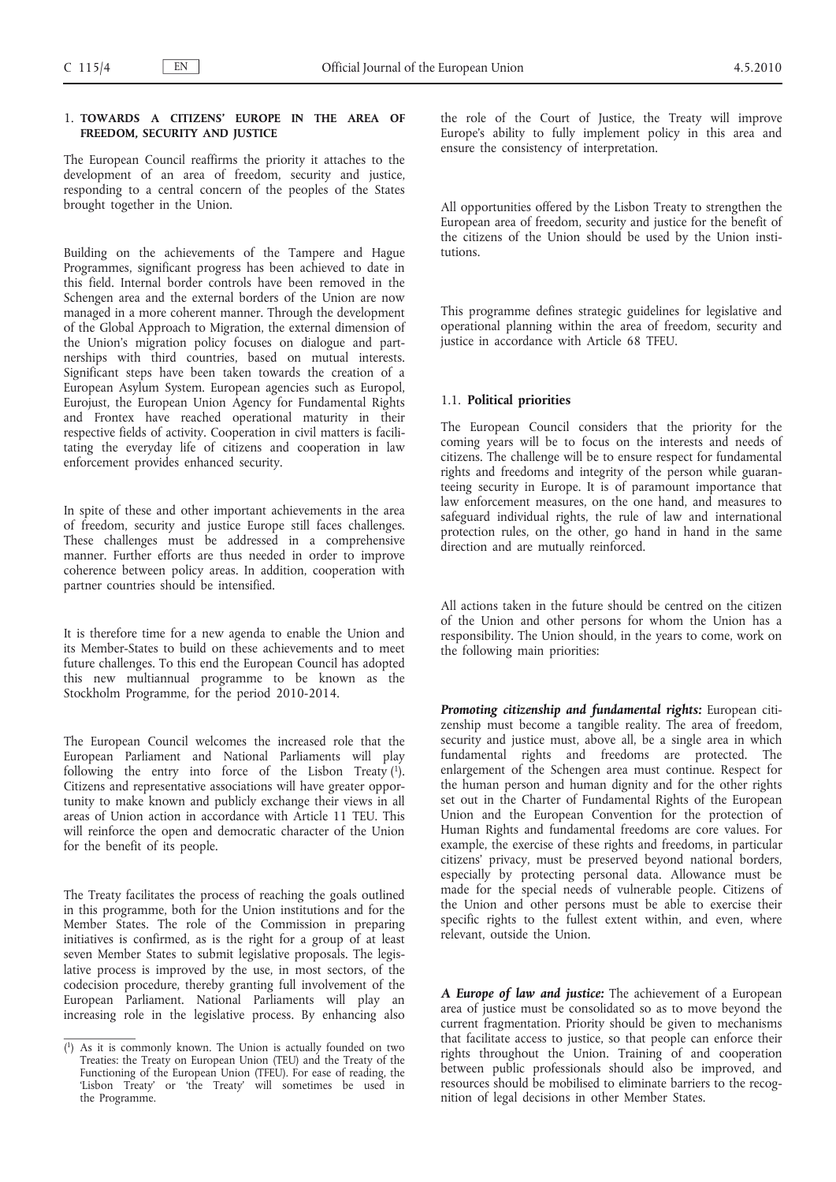### 1. **TOWARDS A CITIZENS' EUROPE IN THE AREA OF FREEDOM, SECURITY AND JUSTICE**

The European Council reaffirms the priority it attaches to the development of an area of freedom, security and justice, responding to a central concern of the peoples of the States brought together in the Union.

Building on the achievements of the Tampere and Hague Programmes, significant progress has been achieved to date in this field. Internal border controls have been removed in the Schengen area and the external borders of the Union are now managed in a more coherent manner. Through the development of the Global Approach to Migration, the external dimension of the Union's migration policy focuses on dialogue and partnerships with third countries, based on mutual interests. Significant steps have been taken towards the creation of a European Asylum System. European agencies such as Europol, Eurojust, the European Union Agency for Fundamental Rights and Frontex have reached operational maturity in their respective fields of activity. Cooperation in civil matters is facilitating the everyday life of citizens and cooperation in law enforcement provides enhanced security.

In spite of these and other important achievements in the area of freedom, security and justice Europe still faces challenges. These challenges must be addressed in a comprehensive manner. Further efforts are thus needed in order to improve coherence between policy areas. In addition, cooperation with partner countries should be intensified.

It is therefore time for a new agenda to enable the Union and its Member-States to build on these achievements and to meet future challenges. To this end the European Council has adopted this new multiannual programme to be known as the Stockholm Programme, for the period 2010-2014.

The European Council welcomes the increased role that the European Parliament and National Parliaments will play following the entry into force of the Lisbon Treaty  $(1)$ . Citizens and representative associations will have greater opportunity to make known and publicly exchange their views in all areas of Union action in accordance with Article 11 TEU. This will reinforce the open and democratic character of the Union for the benefit of its people.

The Treaty facilitates the process of reaching the goals outlined in this programme, both for the Union institutions and for the Member States. The role of the Commission in preparing initiatives is confirmed, as is the right for a group of at least seven Member States to submit legislative proposals. The legislative process is improved by the use, in most sectors, of the codecision procedure, thereby granting full involvement of the European Parliament. National Parliaments will play an increasing role in the legislative process. By enhancing also the role of the Court of Justice, the Treaty will improve Europe's ability to fully implement policy in this area and ensure the consistency of interpretation.

All opportunities offered by the Lisbon Treaty to strengthen the European area of freedom, security and justice for the benefit of the citizens of the Union should be used by the Union institutions.

This programme defines strategic guidelines for legislative and operational planning within the area of freedom, security and justice in accordance with Article 68 TFEU.

### 1.1. **Political priorities**

The European Council considers that the priority for the coming years will be to focus on the interests and needs of citizens. The challenge will be to ensure respect for fundamental rights and freedoms and integrity of the person while guaranteeing security in Europe. It is of paramount importance that law enforcement measures, on the one hand, and measures to safeguard individual rights, the rule of law and international protection rules, on the other, go hand in hand in the same direction and are mutually reinforced.

All actions taken in the future should be centred on the citizen of the Union and other persons for whom the Union has a responsibility. The Union should, in the years to come, work on the following main priorities:

*Promoting citizenship and fundamental rights:* European citizenship must become a tangible reality. The area of freedom, security and justice must, above all, be a single area in which fundamental rights and freedoms are protected. The enlargement of the Schengen area must continue. Respect for the human person and human dignity and for the other rights set out in the Charter of Fundamental Rights of the European Union and the European Convention for the protection of Human Rights and fundamental freedoms are core values. For example, the exercise of these rights and freedoms, in particular citizens' privacy, must be preserved beyond national borders, especially by protecting personal data. Allowance must be made for the special needs of vulnerable people. Citizens of the Union and other persons must be able to exercise their specific rights to the fullest extent within, and even, where relevant, outside the Union.

*A Europe of law and justice:* The achievement of a European area of justice must be consolidated so as to move beyond the current fragmentation. Priority should be given to mechanisms that facilitate access to justice, so that people can enforce their rights throughout the Union. Training of and cooperation between public professionals should also be improved, and resources should be mobilised to eliminate barriers to the recognition of legal decisions in other Member States.

<sup>(</sup> 1) As it is commonly known. The Union is actually founded on two Treaties: the Treaty on European Union (TEU) and the Treaty of the Functioning of the European Union (TFEU). For ease of reading, the 'Lisbon Treaty' or 'the Treaty' will sometimes be used in the Programme.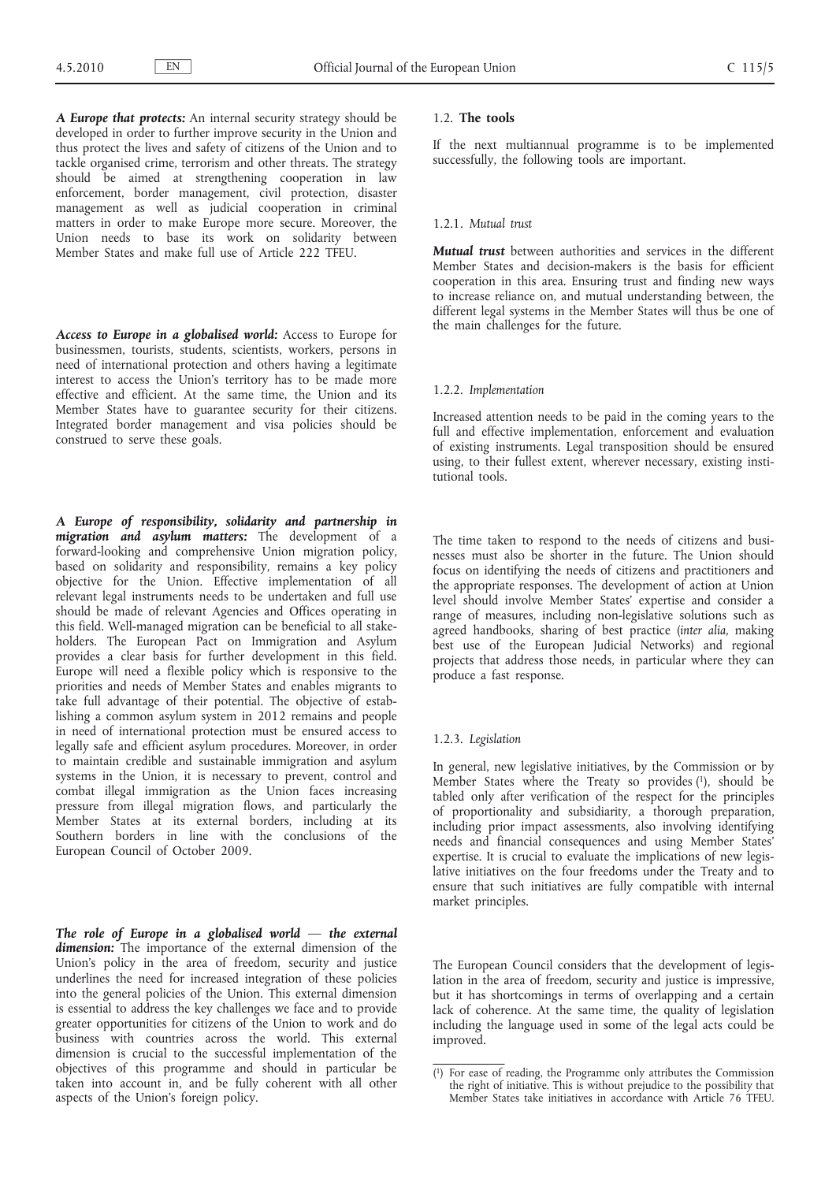*A Europe that protects:* An internal security strategy should be developed in order to further improve security in the Union and thus protect the lives and safety of citizens of the Union and to tackle organised crime, terrorism and other threats. The strategy should be aimed at strengthening cooperation in law enforcement, border management, civil protection, disaster management as well as judicial cooperation in criminal matters in order to make Europe more secure. Moreover, the Union needs to base its work on solidarity between Member States and make full use of Article 222 TFEU.

*Access to Europe in a globalised world:* Access to Europe for businessmen, tourists, students, scientists, workers, persons in need of international protection and others having a legitimate interest to access the Union's territory has to be made more effective and efficient. At the same time, the Union and its Member States have to guarantee security for their citizens. Integrated border management and visa policies should be construed to serve these goals.

*A Europe of responsibility, solidarity and partnership in migration and asylum matters:* The development of a forward-looking and comprehensive Union migration policy, based on solidarity and responsibility, remains a key policy objective for the Union. Effective implementation of all relevant legal instruments needs to be undertaken and full use should be made of relevant Agencies and Offices operating in this field. Well-managed migration can be beneficial to all stakeholders. The European Pact on Immigration and Asylum provides a clear basis for further development in this field. Europe will need a flexible policy which is responsive to the priorities and needs of Member States and enables migrants to take full advantage of their potential. The objective of establishing a common asylum system in 2012 remains and people in need of international protection must be ensured access to legally safe and efficient asylum procedures. Moreover, in order to maintain credible and sustainable immigration and asylum systems in the Union, it is necessary to prevent, control and combat illegal immigration as the Union faces increasing pressure from illegal migration flows, and particularly the Member States at its external borders, including at its Southern borders in line with the conclusions of the European Council of October 2009.

*The role of Europe in a globalised world — the external dimension:* The importance of the external dimension of the Union's policy in the area of freedom, security and justice underlines the need for increased integration of these policies into the general policies of the Union. This external dimension is essential to address the key challenges we face and to provide greater opportunities for citizens of the Union to work and do business with countries across the world. This external dimension is crucial to the successful implementation of the objectives of this programme and should in particular be taken into account in, and be fully coherent with all other aspects of the Union's foreign policy.

#### 1.2. **The tools**

If the next multiannual programme is to be implemented successfully, the following tools are important.

### 1.2.1. *Mutual trust*

*Mutual trust* between authorities and services in the different Member States and decision-makers is the basis for efficient cooperation in this area. Ensuring trust and finding new ways to increase reliance on, and mutual understanding between, the different legal systems in the Member States will thus be one of the main challenges for the future.

### 1.2.2. *Implementation*

Increased attention needs to be paid in the coming years to the full and effective implementation, enforcement and evaluation of existing instruments. Legal transposition should be ensured using, to their fullest extent, wherever necessary, existing institutional tools.

The time taken to respond to the needs of citizens and businesses must also be shorter in the future. The Union should focus on identifying the needs of citizens and practitioners and the appropriate responses. The development of action at Union level should involve Member States' expertise and consider a range of measures, including non-legislative solutions such as agreed handbooks, sharing of best practice (*inter alia*, making best use of the European Judicial Networks) and regional projects that address those needs, in particular where they can produce a fast response.

#### 1.2.3. *Legislation*

In general, new legislative initiatives, by the Commission or by Member States where the Treaty so provides (1), should be tabled only after verification of the respect for the principles of proportionality and subsidiarity, a thorough preparation, including prior impact assessments, also involving identifying needs and financial consequences and using Member States' expertise. It is crucial to evaluate the implications of new legislative initiatives on the four freedoms under the Treaty and to ensure that such initiatives are fully compatible with internal market principles.

The European Council considers that the development of legislation in the area of freedom, security and justice is impressive, but it has shortcomings in terms of overlapping and a certain lack of coherence. At the same time, the quality of legislation including the language used in some of the legal acts could be improved.

<sup>(</sup> 1) For ease of reading, the Programme only attributes the Commission the right of initiative. This is without prejudice to the possibility that Member States take initiatives in accordance with Article 76 TFEU.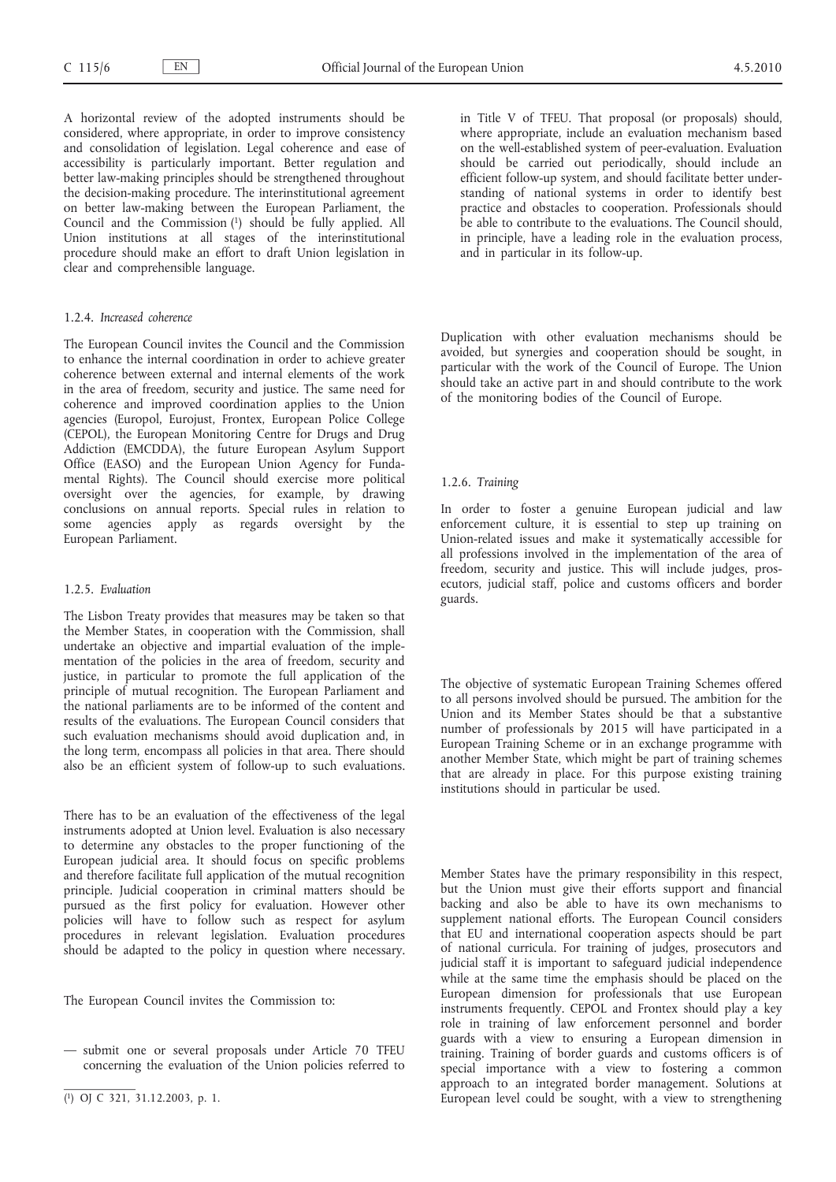A horizontal review of the adopted instruments should be considered, where appropriate, in order to improve consistency and consolidation of legislation. Legal coherence and ease of accessibility is particularly important. Better regulation and better law-making principles should be strengthened throughout the decision-making procedure. The interinstitutional agreement on better law-making between the European Parliament, the Council and the Commission (1) should be fully applied. All Union institutions at all stages of the interinstitutional procedure should make an effort to draft Union legislation in clear and comprehensible language.

#### 1.2.4. *Increased coherence*

The European Council invites the Council and the Commission to enhance the internal coordination in order to achieve greater coherence between external and internal elements of the work in the area of freedom, security and justice. The same need for coherence and improved coordination applies to the Union agencies (Europol, Eurojust, Frontex, European Police College (CEPOL), the European Monitoring Centre for Drugs and Drug Addiction (EMCDDA), the future European Asylum Support Office (EASO) and the European Union Agency for Fundamental Rights). The Council should exercise more political oversight over the agencies, for example, by drawing conclusions on annual reports. Special rules in relation to some agencies apply as regards oversight by the European Parliament.

### 1.2.5. *Evaluation*

The Lisbon Treaty provides that measures may be taken so that the Member States, in cooperation with the Commission, shall undertake an objective and impartial evaluation of the implementation of the policies in the area of freedom, security and justice, in particular to promote the full application of the principle of mutual recognition. The European Parliament and the national parliaments are to be informed of the content and results of the evaluations. The European Council considers that such evaluation mechanisms should avoid duplication and, in the long term, encompass all policies in that area. There should also be an efficient system of follow-up to such evaluations.

There has to be an evaluation of the effectiveness of the legal instruments adopted at Union level. Evaluation is also necessary to determine any obstacles to the proper functioning of the European judicial area. It should focus on specific problems and therefore facilitate full application of the mutual recognition principle. Judicial cooperation in criminal matters should be pursued as the first policy for evaluation. However other policies will have to follow such as respect for asylum procedures in relevant legislation. Evaluation procedures should be adapted to the policy in question where necessary.

The European Council invites the Commission to:

— submit one or several proposals under Article 70 TFEU concerning the evaluation of the Union policies referred to in Title V of TFEU. That proposal (or proposals) should, where appropriate, include an evaluation mechanism based on the well-established system of peer-evaluation. Evaluation should be carried out periodically, should include an efficient follow-up system, and should facilitate better understanding of national systems in order to identify best practice and obstacles to cooperation. Professionals should be able to contribute to the evaluations. The Council should, in principle, have a leading role in the evaluation process, and in particular in its follow-up.

Duplication with other evaluation mechanisms should be avoided, but synergies and cooperation should be sought, in particular with the work of the Council of Europe. The Union should take an active part in and should contribute to the work of the monitoring bodies of the Council of Europe.

### 1.2.6. *Training*

In order to foster a genuine European judicial and law enforcement culture, it is essential to step up training on Union-related issues and make it systematically accessible for all professions involved in the implementation of the area of freedom, security and justice. This will include judges, prosecutors, judicial staff, police and customs officers and border guards.

The objective of systematic European Training Schemes offered to all persons involved should be pursued. The ambition for the Union and its Member States should be that a substantive number of professionals by 2015 will have participated in a European Training Scheme or in an exchange programme with another Member State, which might be part of training schemes that are already in place. For this purpose existing training institutions should in particular be used.

Member States have the primary responsibility in this respect, but the Union must give their efforts support and financial backing and also be able to have its own mechanisms to supplement national efforts. The European Council considers that EU and international cooperation aspects should be part of national curricula. For training of judges, prosecutors and judicial staff it is important to safeguard judicial independence while at the same time the emphasis should be placed on the European dimension for professionals that use European instruments frequently. CEPOL and Frontex should play a key role in training of law enforcement personnel and border guards with a view to ensuring a European dimension in training. Training of border guards and customs officers is of special importance with a view to fostering a common approach to an integrated border management. Solutions at European level could be sought, with a view to strengthening

<sup>(</sup> 1) OJ C 321, 31.12.2003, p. 1.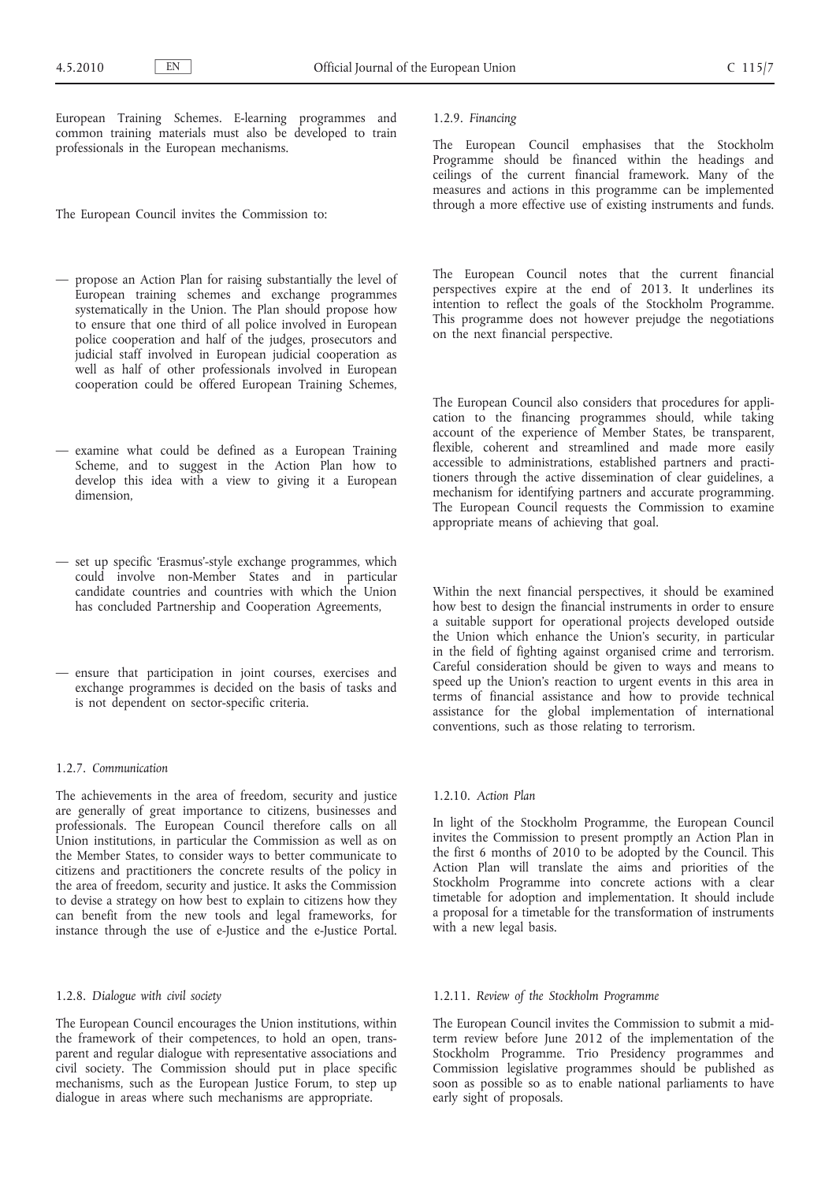European Training Schemes. E-learning programmes and common training materials must also be developed to train professionals in the European mechanisms.

The European Council invites the Commission to:

- propose an Action Plan for raising substantially the level of European training schemes and exchange programmes systematically in the Union. The Plan should propose how to ensure that one third of all police involved in European police cooperation and half of the judges, prosecutors and judicial staff involved in European judicial cooperation as well as half of other professionals involved in European cooperation could be offered European Training Schemes,
- examine what could be defined as a European Training Scheme, and to suggest in the Action Plan how to develop this idea with a view to giving it a European dimension,
- set up specific 'Erasmus'-style exchange programmes, which could involve non-Member States and in particular candidate countries and countries with which the Union has concluded Partnership and Cooperation Agreements,
- ensure that participation in joint courses, exercises and exchange programmes is decided on the basis of tasks and is not dependent on sector-specific criteria.

#### 1.2.7. *Communication*

The achievements in the area of freedom, security and justice are generally of great importance to citizens, businesses and professionals. The European Council therefore calls on all Union institutions, in particular the Commission as well as on the Member States, to consider ways to better communicate to citizens and practitioners the concrete results of the policy in the area of freedom, security and justice. It asks the Commission to devise a strategy on how best to explain to citizens how they can benefit from the new tools and legal frameworks, for instance through the use of e-Justice and the e-Justice Portal.

#### 1.2.8. *Dialogue with civil society*

The European Council encourages the Union institutions, within the framework of their competences, to hold an open, transparent and regular dialogue with representative associations and civil society. The Commission should put in place specific mechanisms, such as the European Justice Forum, to step up dialogue in areas where such mechanisms are appropriate.

#### 1.2.9. *Financing*

The European Council emphasises that the Stockholm Programme should be financed within the headings and ceilings of the current financial framework. Many of the measures and actions in this programme can be implemented through a more effective use of existing instruments and funds.

The European Council notes that the current financial perspectives expire at the end of 2013. It underlines its intention to reflect the goals of the Stockholm Programme. This programme does not however prejudge the negotiations on the next financial perspective.

The European Council also considers that procedures for application to the financing programmes should, while taking account of the experience of Member States, be transparent, flexible, coherent and streamlined and made more easily accessible to administrations, established partners and practitioners through the active dissemination of clear guidelines, a mechanism for identifying partners and accurate programming. The European Council requests the Commission to examine appropriate means of achieving that goal.

Within the next financial perspectives, it should be examined how best to design the financial instruments in order to ensure a suitable support for operational projects developed outside the Union which enhance the Union's security, in particular in the field of fighting against organised crime and terrorism. Careful consideration should be given to ways and means to speed up the Union's reaction to urgent events in this area in terms of financial assistance and how to provide technical assistance for the global implementation of international conventions, such as those relating to terrorism.

### 1.2.10. *Action Plan*

In light of the Stockholm Programme, the European Council invites the Commission to present promptly an Action Plan in the first 6 months of  $2010$  to be adopted by the Council. This Action Plan will translate the aims and priorities of the Stockholm Programme into concrete actions with a clear timetable for adoption and implementation. It should include a proposal for a timetable for the transformation of instruments with a new legal basis.

#### 1.2.11. *Review of the Stockholm Programme*

The European Council invites the Commission to submit a midterm review before June 2012 of the implementation of the Stockholm Programme. Trio Presidency programmes and Commission legislative programmes should be published as soon as possible so as to enable national parliaments to have early sight of proposals.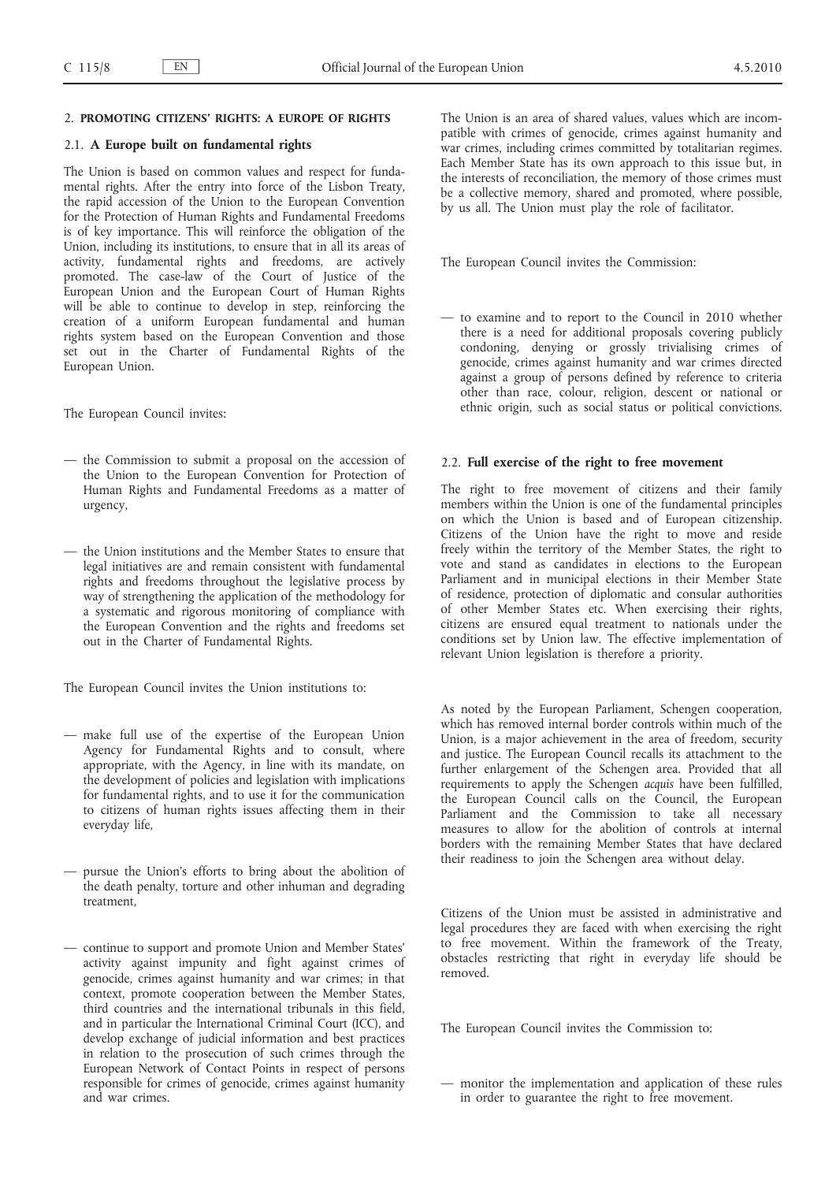### 2. **PROMOTING CITIZENS' RIGHTS: A EUROPE OF RIGHTS**

### 2.1. **A Europe built on fundamental rights**

The Union is based on common values and respect for fundamental rights. After the entry into force of the Lisbon Treaty, the rapid accession of the Union to the European Convention for the Protection of Human Rights and Fundamental Freedoms is of key importance. This will reinforce the obligation of the Union, including its institutions, to ensure that in all its areas of activity, fundamental rights and freedoms, are actively promoted. The case-law of the Court of Justice of the European Union and the European Court of Human Rights will be able to continue to develop in step, reinforcing the creation of a uniform European fundamental and human rights system based on the European Convention and those set out in the Charter of Fundamental Rights of the European Union.

The European Council invites:

- the Commission to submit a proposal on the accession of the Union to the European Convention for Protection of Human Rights and Fundamental Freedoms as a matter of urgency,
- the Union institutions and the Member States to ensure that legal initiatives are and remain consistent with fundamental rights and freedoms throughout the legislative process by way of strengthening the application of the methodology for a systematic and rigorous monitoring of compliance with the European Convention and the rights and freedoms set out in the Charter of Fundamental Rights.

The European Council invites the Union institutions to:

- make full use of the expertise of the European Union Agency for Fundamental Rights and to consult, where appropriate, with the Agency, in line with its mandate, on the development of policies and legislation with implications for fundamental rights, and to use it for the communication to citizens of human rights issues affecting them in their everyday life,
- pursue the Union's efforts to bring about the abolition of the death penalty, torture and other inhuman and degrading treatment,
- continue to support and promote Union and Member States' activity against impunity and fight against crimes of genocide, crimes against humanity and war crimes; in that context, promote cooperation between the Member States, third countries and the international tribunals in this field, and in particular the International Criminal Court (ICC), and develop exchange of judicial information and best practices in relation to the prosecution of such crimes through the European Network of Contact Points in respect of persons responsible for crimes of genocide, crimes against humanity and war crimes.

The Union is an area of shared values, values which are incompatible with crimes of genocide, crimes against humanity and war crimes, including crimes committed by totalitarian regimes. Each Member State has its own approach to this issue but, in the interests of reconciliation, the memory of those crimes must be a collective memory, shared and promoted, where possible, by us all. The Union must play the role of facilitator.

The European Council invites the Commission:

— to examine and to report to the Council in 2010 whether there is a need for additional proposals covering publicly condoning, denying or grossly trivialising crimes of genocide, crimes against humanity and war crimes directed against a group of persons defined by reference to criteria other than race, colour, religion, descent or national or ethnic origin, such as social status or political convictions.

#### 2.2. **Full exercise of the right to free movement**

The right to free movement of citizens and their family members within the Union is one of the fundamental principles on which the Union is based and of European citizenship. Citizens of the Union have the right to move and reside freely within the territory of the Member States, the right to vote and stand as candidates in elections to the European Parliament and in municipal elections in their Member State of residence, protection of diplomatic and consular authorities of other Member States etc. When exercising their rights, citizens are ensured equal treatment to nationals under the conditions set by Union law. The effective implementation of relevant Union legislation is therefore a priority.

As noted by the European Parliament, Schengen cooperation, which has removed internal border controls within much of the Union, is a major achievement in the area of freedom, security and justice. The European Council recalls its attachment to the further enlargement of the Schengen area. Provided that all requirements to apply the Schengen *acquis* have been fulfilled, the European Council calls on the Council, the European Parliament and the Commission to take all necessary measures to allow for the abolition of controls at internal borders with the remaining Member States that have declared their readiness to join the Schengen area without delay.

Citizens of the Union must be assisted in administrative and legal procedures they are faced with when exercising the right to free movement. Within the framework of the Treaty, obstacles restricting that right in everyday life should be removed.

The European Council invites the Commission to:

— monitor the implementation and application of these rules in order to guarantee the right to free movement.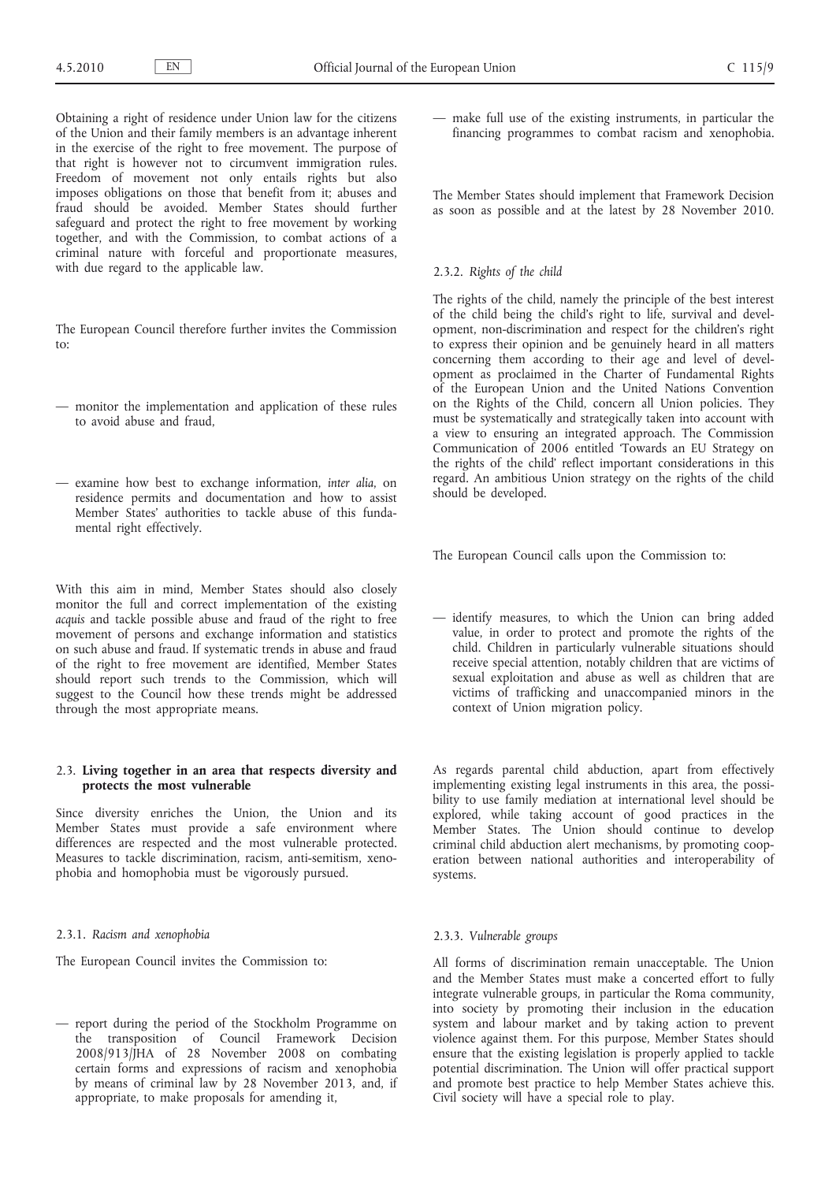Obtaining a right of residence under Union law for the citizens of the Union and their family members is an advantage inherent in the exercise of the right to free movement. The purpose of that right is however not to circumvent immigration rules. Freedom of movement not only entails rights but also imposes obligations on those that benefit from it; abuses and fraud should be avoided. Member States should further safeguard and protect the right to free movement by working together, and with the Commission, to combat actions of a criminal nature with forceful and proportionate measures, with due regard to the applicable law.

The European Council therefore further invites the Commission to:

- monitor the implementation and application of these rules to avoid abuse and fraud,
- examine how best to exchange information, *inter alia*, on residence permits and documentation and how to assist Member States' authorities to tackle abuse of this fundamental right effectively.

With this aim in mind, Member States should also closely monitor the full and correct implementation of the existing *acquis* and tackle possible abuse and fraud of the right to free movement of persons and exchange information and statistics on such abuse and fraud. If systematic trends in abuse and fraud of the right to free movement are identified, Member States should report such trends to the Commission, which will suggest to the Council how these trends might be addressed through the most appropriate means.

#### 2.3. **Living together in an area that respects diversity and protects the most vulnerable**

Since diversity enriches the Union, the Union and its Member States must provide a safe environment where differences are respected and the most vulnerable protected. Measures to tackle discrimination, racism, anti-semitism, xenophobia and homophobia must be vigorously pursued.

### 2.3.1. *Racism and xenophobia*

The European Council invites the Commission to:

— report during the period of the Stockholm Programme on the transposition of Council Framework Decision 2008/913/JHA of 28 November 2008 on combating certain forms and expressions of racism and xenophobia by means of criminal law by 28 November 2013, and, if appropriate, to make proposals for amending it,

— make full use of the existing instruments, in particular the financing programmes to combat racism and xenophobia.

The Member States should implement that Framework Decision as soon as possible and at the latest by 28 November 2010.

# 2.3.2. *Rights of the child*

The rights of the child, namely the principle of the best interest of the child being the child's right to life, survival and development, non-discrimination and respect for the children's right to express their opinion and be genuinely heard in all matters concerning them according to their age and level of development as proclaimed in the Charter of Fundamental Rights of the European Union and the United Nations Convention on the Rights of the Child, concern all Union policies. They must be systematically and strategically taken into account with a view to ensuring an integrated approach. The Commission Communication of 2006 entitled 'Towards an EU Strategy on the rights of the child' reflect important considerations in this regard. An ambitious Union strategy on the rights of the child should be developed.

The European Council calls upon the Commission to:

— identify measures, to which the Union can bring added value, in order to protect and promote the rights of the child. Children in particularly vulnerable situations should receive special attention, notably children that are victims of sexual exploitation and abuse as well as children that are victims of trafficking and unaccompanied minors in the context of Union migration policy.

As regards parental child abduction, apart from effectively implementing existing legal instruments in this area, the possibility to use family mediation at international level should be explored, while taking account of good practices in the Member States. The Union should continue to develop criminal child abduction alert mechanisms, by promoting cooperation between national authorities and interoperability of systems.

#### 2.3.3. *Vulnerable groups*

All forms of discrimination remain unacceptable. The Union and the Member States must make a concerted effort to fully integrate vulnerable groups, in particular the Roma community, into society by promoting their inclusion in the education system and labour market and by taking action to prevent violence against them. For this purpose, Member States should ensure that the existing legislation is properly applied to tackle potential discrimination. The Union will offer practical support and promote best practice to help Member States achieve this. Civil society will have a special role to play.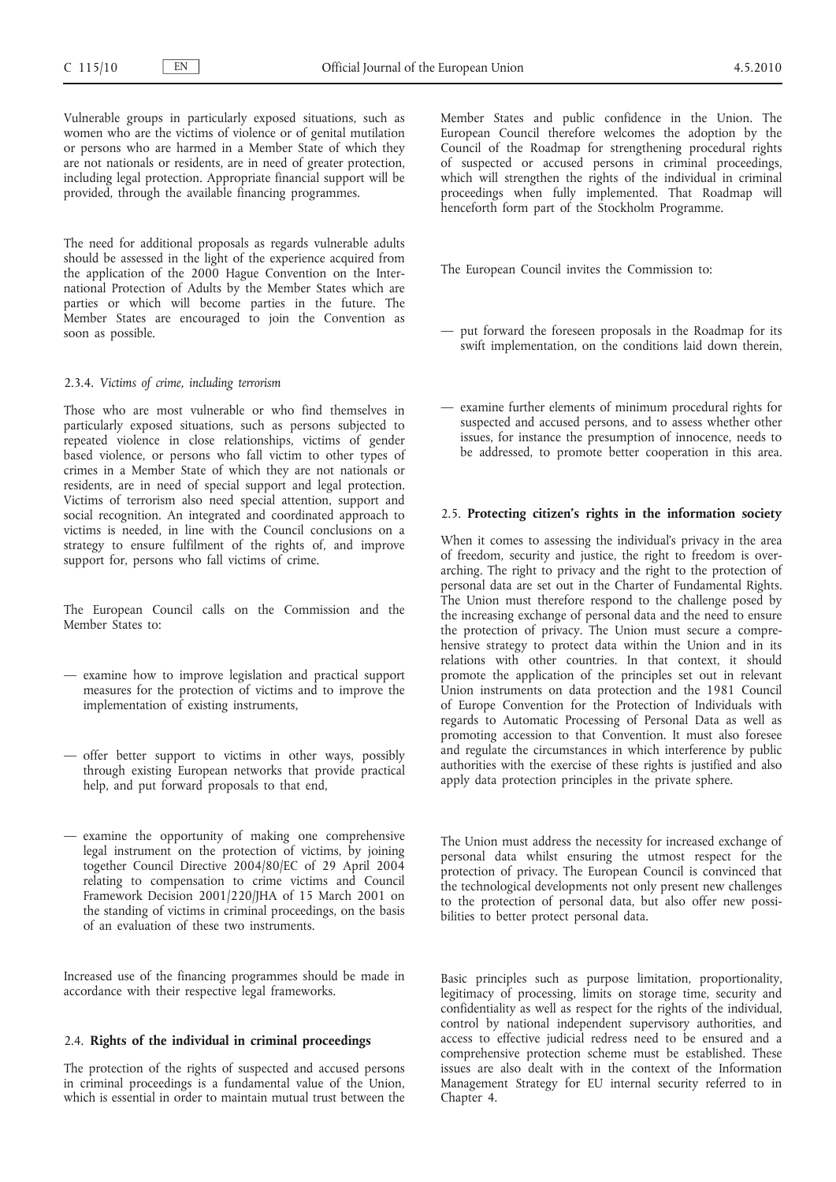Vulnerable groups in particularly exposed situations, such as women who are the victims of violence or of genital mutilation or persons who are harmed in a Member State of which they are not nationals or residents, are in need of greater protection, including legal protection. Appropriate financial support will be provided, through the available financing programmes.

The need for additional proposals as regards vulnerable adults should be assessed in the light of the experience acquired from the application of the 2000 Hague Convention on the International Protection of Adults by the Member States which are parties or which will become parties in the future. The Member States are encouraged to join the Convention as soon as possible.

#### 2.3.4. *Victims of crime, including terrorism*

Those who are most vulnerable or who find themselves in particularly exposed situations, such as persons subjected to repeated violence in close relationships, victims of gender based violence, or persons who fall victim to other types of crimes in a Member State of which they are not nationals or residents, are in need of special support and legal protection. Victims of terrorism also need special attention, support and social recognition. An integrated and coordinated approach to victims is needed, in line with the Council conclusions on a strategy to ensure fulfilment of the rights of, and improve support for, persons who fall victims of crime.

The European Council calls on the Commission and the Member States to:

- examine how to improve legislation and practical support measures for the protection of victims and to improve the implementation of existing instruments,
- offer better support to victims in other ways, possibly through existing European networks that provide practical help, and put forward proposals to that end,
- examine the opportunity of making one comprehensive legal instrument on the protection of victims, by joining together Council Directive 2004/80/EC of 29 April 2004 relating to compensation to crime victims and Council Framework Decision 2001/220/JHA of 15 March 2001 on the standing of victims in criminal proceedings, on the basis of an evaluation of these two instruments.

Increased use of the financing programmes should be made in accordance with their respective legal frameworks.

#### 2.4. **Rights of the individual in criminal proceedings**

The protection of the rights of suspected and accused persons in criminal proceedings is a fundamental value of the Union, which is essential in order to maintain mutual trust between the Member States and public confidence in the Union. The European Council therefore welcomes the adoption by the Council of the Roadmap for strengthening procedural rights of suspected or accused persons in criminal proceedings, which will strengthen the rights of the individual in criminal proceedings when fully implemented. That Roadmap will henceforth form part of the Stockholm Programme.

The European Council invites the Commission to:

- put forward the foreseen proposals in the Roadmap for its swift implementation, on the conditions laid down therein,
- examine further elements of minimum procedural rights for suspected and accused persons, and to assess whether other issues, for instance the presumption of innocence, needs to be addressed, to promote better cooperation in this area.

### 2.5. **Protecting citizen's rights in the information society**

When it comes to assessing the individual's privacy in the area of freedom, security and justice, the right to freedom is overarching. The right to privacy and the right to the protection of personal data are set out in the Charter of Fundamental Rights. The Union must therefore respond to the challenge posed by the increasing exchange of personal data and the need to ensure the protection of privacy. The Union must secure a comprehensive strategy to protect data within the Union and in its relations with other countries. In that context, it should promote the application of the principles set out in relevant Union instruments on data protection and the 1981 Council of Europe Convention for the Protection of Individuals with regards to Automatic Processing of Personal Data as well as promoting accession to that Convention. It must also foresee and regulate the circumstances in which interference by public authorities with the exercise of these rights is justified and also apply data protection principles in the private sphere.

The Union must address the necessity for increased exchange of personal data whilst ensuring the utmost respect for the protection of privacy. The European Council is convinced that the technological developments not only present new challenges to the protection of personal data, but also offer new possibilities to better protect personal data.

Basic principles such as purpose limitation, proportionality, legitimacy of processing, limits on storage time, security and confidentiality as well as respect for the rights of the individual, control by national independent supervisory authorities, and access to effective judicial redress need to be ensured and a comprehensive protection scheme must be established. These issues are also dealt with in the context of the Information Management Strategy for EU internal security referred to in Chapter 4.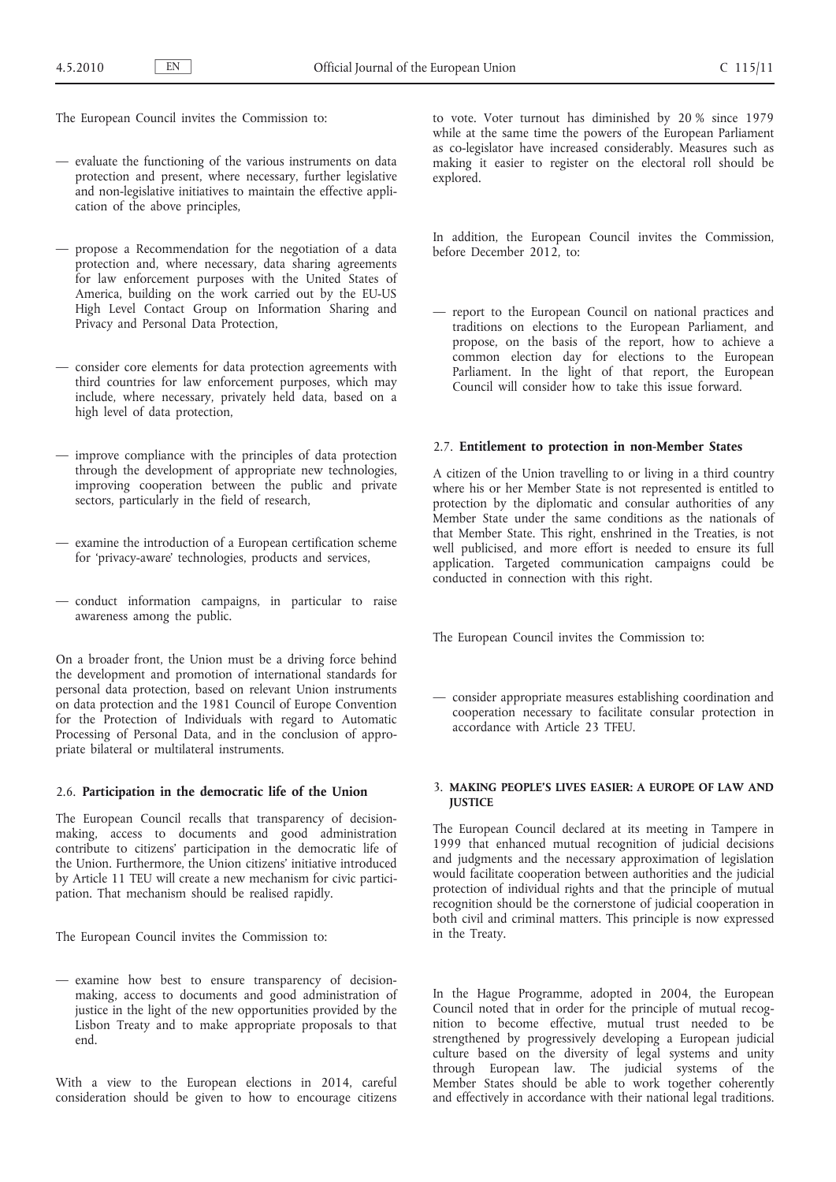The European Council invites the Commission to:

- evaluate the functioning of the various instruments on data protection and present, where necessary, further legislative and non-legislative initiatives to maintain the effective application of the above principles,
- propose a Recommendation for the negotiation of a data protection and, where necessary, data sharing agreements for law enforcement purposes with the United States of America, building on the work carried out by the EU-US High Level Contact Group on Information Sharing and Privacy and Personal Data Protection,
- consider core elements for data protection agreements with third countries for law enforcement purposes, which may include, where necessary, privately held data, based on a high level of data protection,
- improve compliance with the principles of data protection through the development of appropriate new technologies, improving cooperation between the public and private sectors, particularly in the field of research,
- examine the introduction of a European certification scheme for 'privacy-aware' technologies, products and services,
- conduct information campaigns, in particular to raise awareness among the public.

On a broader front, the Union must be a driving force behind the development and promotion of international standards for personal data protection, based on relevant Union instruments on data protection and the 1981 Council of Europe Convention for the Protection of Individuals with regard to Automatic Processing of Personal Data, and in the conclusion of appropriate bilateral or multilateral instruments.

### 2.6. **Participation in the democratic life of the Union**

The European Council recalls that transparency of decisionmaking, access to documents and good administration contribute to citizens' participation in the democratic life of the Union. Furthermore, the Union citizens' initiative introduced by Article 11 TEU will create a new mechanism for civic participation. That mechanism should be realised rapidly.

The European Council invites the Commission to:

— examine how best to ensure transparency of decisionmaking, access to documents and good administration of justice in the light of the new opportunities provided by the Lisbon Treaty and to make appropriate proposals to that end.

With a view to the European elections in 2014, careful consideration should be given to how to encourage citizens to vote. Voter turnout has diminished by 20 % since 1979 while at the same time the powers of the European Parliament as co-legislator have increased considerably. Measures such as making it easier to register on the electoral roll should be explored.

In addition, the European Council invites the Commission, before December 2012, to:

— report to the European Council on national practices and traditions on elections to the European Parliament, and propose, on the basis of the report, how to achieve a common election day for elections to the European Parliament. In the light of that report, the European Council will consider how to take this issue forward.

### 2.7. **Entitlement to protection in non-Member States**

A citizen of the Union travelling to or living in a third country where his or her Member State is not represented is entitled to protection by the diplomatic and consular authorities of any Member State under the same conditions as the nationals of that Member State. This right, enshrined in the Treaties, is not well publicised, and more effort is needed to ensure its full application. Targeted communication campaigns could be conducted in connection with this right.

The European Council invites the Commission to:

— consider appropriate measures establishing coordination and cooperation necessary to facilitate consular protection in accordance with Article 23 TFEU.

#### 3. **MAKING PEOPLE'S LIVES EASIER: A EUROPE OF LAW AND JUSTICE**

The European Council declared at its meeting in Tampere in 1999 that enhanced mutual recognition of judicial decisions and judgments and the necessary approximation of legislation would facilitate cooperation between authorities and the judicial protection of individual rights and that the principle of mutual recognition should be the cornerstone of judicial cooperation in both civil and criminal matters. This principle is now expressed in the Treaty.

In the Hague Programme, adopted in 2004, the European Council noted that in order for the principle of mutual recognition to become effective, mutual trust needed to be strengthened by progressively developing a European judicial culture based on the diversity of legal systems and unity through European law. The judicial systems of the Member States should be able to work together coherently and effectively in accordance with their national legal traditions.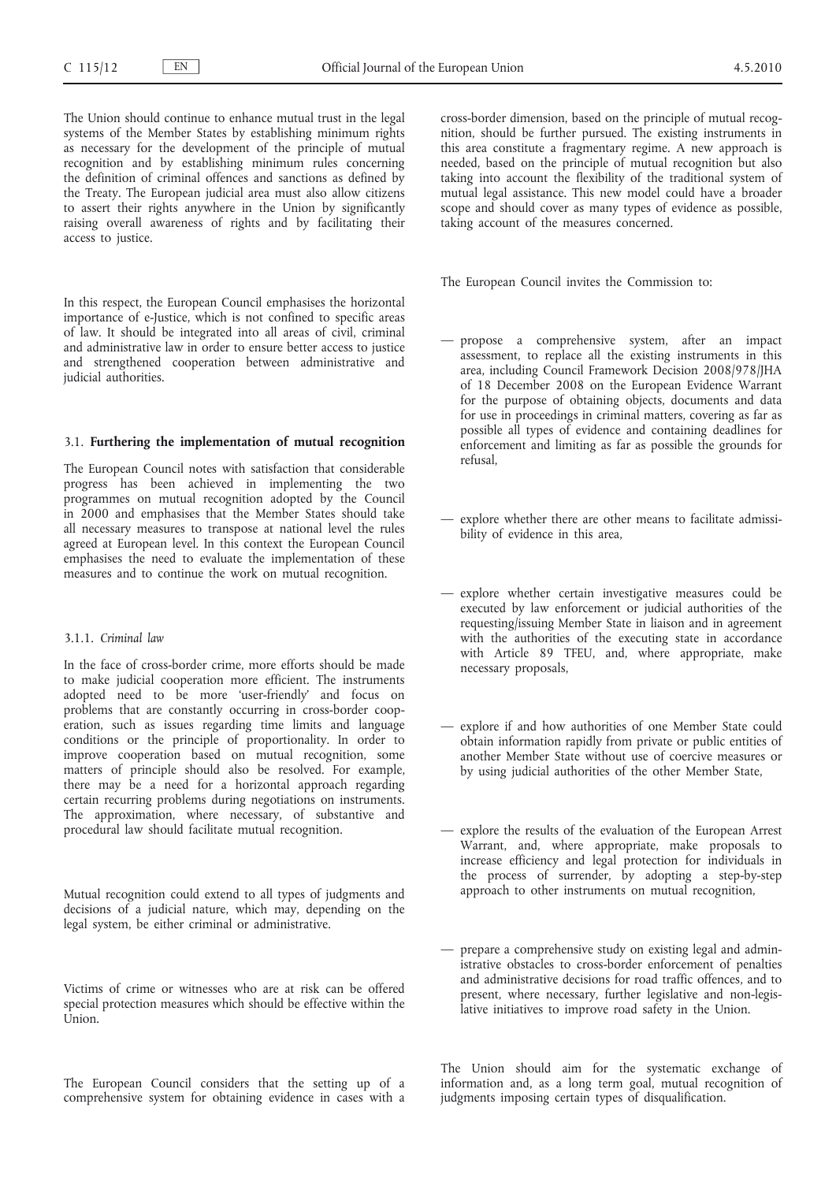The Union should continue to enhance mutual trust in the legal systems of the Member States by establishing minimum rights as necessary for the development of the principle of mutual recognition and by establishing minimum rules concerning the definition of criminal offences and sanctions as defined by the Treaty. The European judicial area must also allow citizens to assert their rights anywhere in the Union by significantly raising overall awareness of rights and by facilitating their access to justice.

In this respect, the European Council emphasises the horizontal importance of e-Justice, which is not confined to specific areas of law. It should be integrated into all areas of civil, criminal and administrative law in order to ensure better access to justice and strengthened cooperation between administrative and judicial authorities.

### 3.1. **Furthering the implementation of mutual recognition**

The European Council notes with satisfaction that considerable progress has been achieved in implementing the two programmes on mutual recognition adopted by the Council in 2000 and emphasises that the Member States should take all necessary measures to transpose at national level the rules agreed at European level. In this context the European Council emphasises the need to evaluate the implementation of these measures and to continue the work on mutual recognition.

#### 3.1.1. *Criminal law*

In the face of cross-border crime, more efforts should be made to make judicial cooperation more efficient. The instruments adopted need to be more 'user-friendly' and focus on problems that are constantly occurring in cross-border cooperation, such as issues regarding time limits and language conditions or the principle of proportionality. In order to improve cooperation based on mutual recognition, some matters of principle should also be resolved. For example, there may be a need for a horizontal approach regarding certain recurring problems during negotiations on instruments. The approximation, where necessary, of substantive and procedural law should facilitate mutual recognition.

Mutual recognition could extend to all types of judgments and decisions of a judicial nature, which may, depending on the legal system, be either criminal or administrative.

Victims of crime or witnesses who are at risk can be offered special protection measures which should be effective within the Union.

The European Council considers that the setting up of a comprehensive system for obtaining evidence in cases with a cross-border dimension, based on the principle of mutual recognition, should be further pursued. The existing instruments in this area constitute a fragmentary regime. A new approach is needed, based on the principle of mutual recognition but also taking into account the flexibility of the traditional system of mutual legal assistance. This new model could have a broader scope and should cover as many types of evidence as possible, taking account of the measures concerned.

The European Council invites the Commission to:

- propose a comprehensive system, after an impact assessment, to replace all the existing instruments in this area, including Council Framework Decision 2008/978/JHA of 18 December 2008 on the European Evidence Warrant for the purpose of obtaining objects, documents and data for use in proceedings in criminal matters, covering as far as possible all types of evidence and containing deadlines for enforcement and limiting as far as possible the grounds for refusal,
- explore whether there are other means to facilitate admissibility of evidence in this area,
- explore whether certain investigative measures could be executed by law enforcement or judicial authorities of the requesting/issuing Member State in liaison and in agreement with the authorities of the executing state in accordance with Article 89 TFEU, and, where appropriate, make necessary proposals,
- explore if and how authorities of one Member State could obtain information rapidly from private or public entities of another Member State without use of coercive measures or by using judicial authorities of the other Member State,
- explore the results of the evaluation of the European Arrest Warrant, and, where appropriate, make proposals to increase efficiency and legal protection for individuals in the process of surrender, by adopting a step-by-step approach to other instruments on mutual recognition,
- prepare a comprehensive study on existing legal and administrative obstacles to cross-border enforcement of penalties and administrative decisions for road traffic offences, and to present, where necessary, further legislative and non-legislative initiatives to improve road safety in the Union.

The Union should aim for the systematic exchange of information and, as a long term goal, mutual recognition of judgments imposing certain types of disqualification.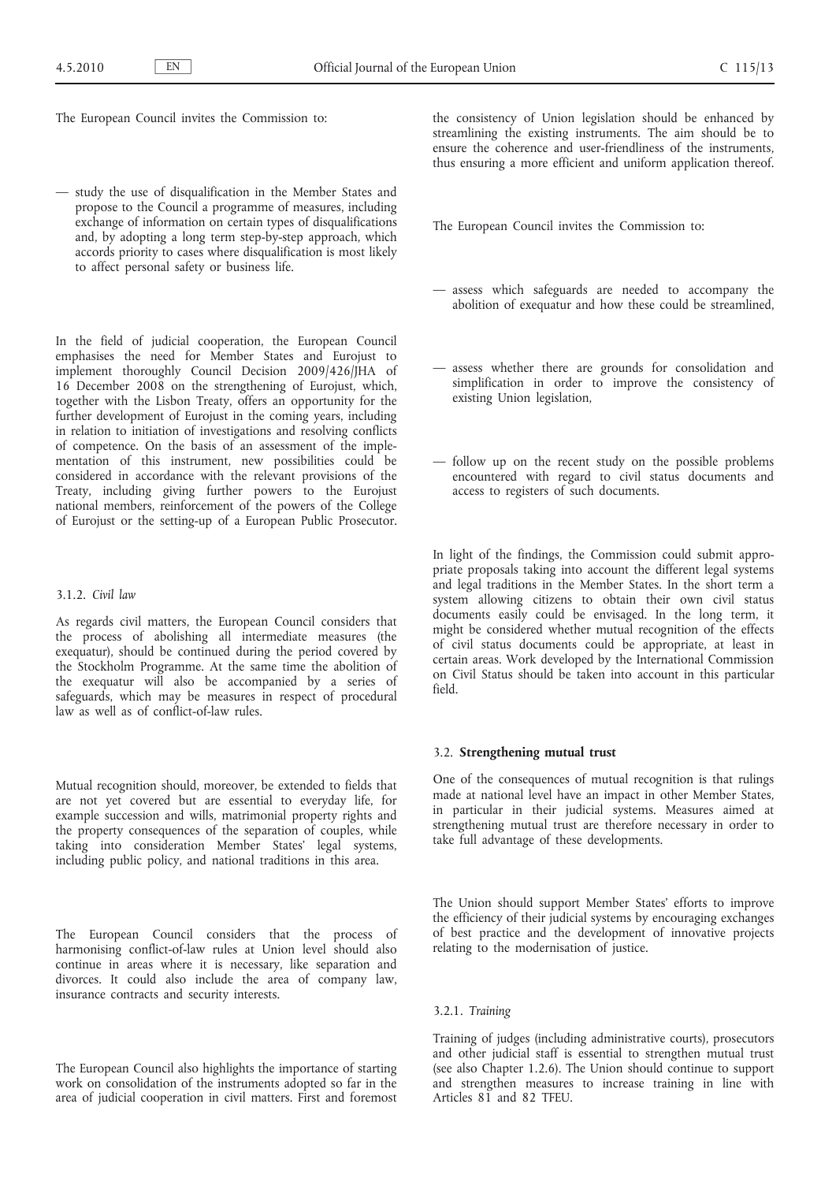The European Council invites the Commission to:

— study the use of disqualification in the Member States and propose to the Council a programme of measures, including exchange of information on certain types of disqualifications and, by adopting a long term step-by-step approach, which accords priority to cases where disqualification is most likely to affect personal safety or business life.

In the field of judicial cooperation, the European Council emphasises the need for Member States and Eurojust to implement thoroughly Council Decision 2009/426/JHA of 16 December 2008 on the strengthening of Eurojust, which, together with the Lisbon Treaty, offers an opportunity for the further development of Eurojust in the coming years, including in relation to initiation of investigations and resolving conflicts of competence. On the basis of an assessment of the implementation of this instrument, new possibilities could be considered in accordance with the relevant provisions of the Treaty, including giving further powers to the Eurojust national members, reinforcement of the powers of the College of Eurojust or the setting-up of a European Public Prosecutor.

#### 3.1.2. *Civil law*

As regards civil matters, the European Council considers that the process of abolishing all intermediate measures (the exequatur), should be continued during the period covered by the Stockholm Programme. At the same time the abolition of the exequatur will also be accompanied by a series of safeguards, which may be measures in respect of procedural law as well as of conflict-of-law rules.

Mutual recognition should, moreover, be extended to fields that are not yet covered but are essential to everyday life, for example succession and wills, matrimonial property rights and the property consequences of the separation of couples, while taking into consideration Member States' legal systems, including public policy, and national traditions in this area.

The European Council considers that the process of harmonising conflict-of-law rules at Union level should also continue in areas where it is necessary, like separation and divorces. It could also include the area of company law, insurance contracts and security interests.

The European Council also highlights the importance of starting work on consolidation of the instruments adopted so far in the area of judicial cooperation in civil matters. First and foremost the consistency of Union legislation should be enhanced by streamlining the existing instruments. The aim should be to ensure the coherence and user-friendliness of the instruments, thus ensuring a more efficient and uniform application thereof.

The European Council invites the Commission to:

- assess which safeguards are needed to accompany the abolition of exequatur and how these could be streamlined,
- assess whether there are grounds for consolidation and simplification in order to improve the consistency of existing Union legislation,
- follow up on the recent study on the possible problems encountered with regard to civil status documents and access to registers of such documents.

In light of the findings, the Commission could submit appropriate proposals taking into account the different legal systems and legal traditions in the Member States. In the short term a system allowing citizens to obtain their own civil status documents easily could be envisaged. In the long term, it might be considered whether mutual recognition of the effects of civil status documents could be appropriate, at least in certain areas. Work developed by the International Commission on Civil Status should be taken into account in this particular field.

#### 3.2. **Strengthening mutual trust**

One of the consequences of mutual recognition is that rulings made at national level have an impact in other Member States, in particular in their judicial systems. Measures aimed at strengthening mutual trust are therefore necessary in order to take full advantage of these developments.

The Union should support Member States' efforts to improve the efficiency of their judicial systems by encouraging exchanges of best practice and the development of innovative projects relating to the modernisation of justice.

#### 3.2.1. *Training*

Training of judges (including administrative courts), prosecutors and other judicial staff is essential to strengthen mutual trust (see also Chapter 1.2.6). The Union should continue to support and strengthen measures to increase training in line with Articles 81 and 82 TFEU.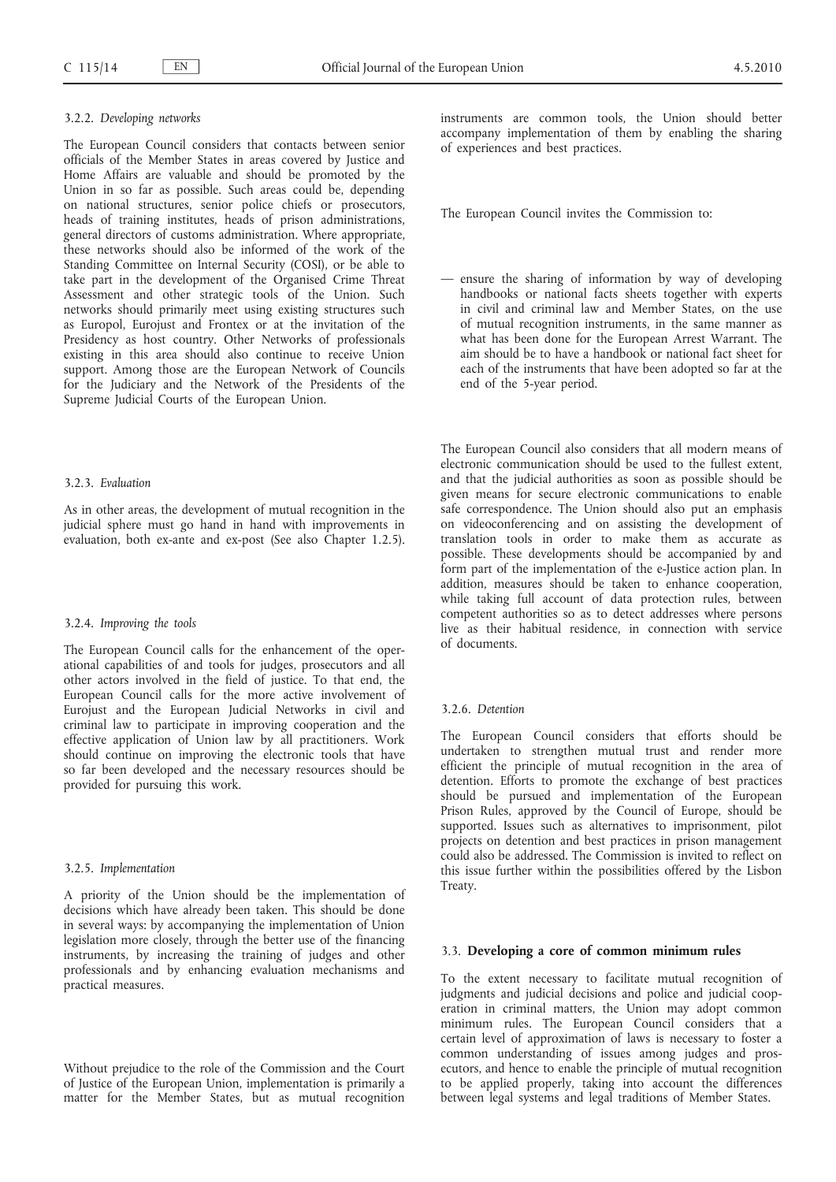### 3.2.2. *Developing networks*

The European Council considers that contacts between senior officials of the Member States in areas covered by Justice and Home Affairs are valuable and should be promoted by the Union in so far as possible. Such areas could be, depending on national structures, senior police chiefs or prosecutors, heads of training institutes, heads of prison administrations, general directors of customs administration. Where appropriate, these networks should also be informed of the work of the Standing Committee on Internal Security (COSI), or be able to take part in the development of the Organised Crime Threat Assessment and other strategic tools of the Union. Such networks should primarily meet using existing structures such as Europol, Eurojust and Frontex or at the invitation of the Presidency as host country. Other Networks of professionals existing in this area should also continue to receive Union support. Among those are the European Network of Councils for the Judiciary and the Network of the Presidents of the Supreme Judicial Courts of the European Union.

### 3.2.3. *Evaluation*

As in other areas, the development of mutual recognition in the judicial sphere must go hand in hand with improvements in evaluation, both ex-ante and ex-post (See also Chapter 1.2.5).

#### 3.2.4. *Improving the tools*

The European Council calls for the enhancement of the operational capabilities of and tools for judges, prosecutors and all other actors involved in the field of justice. To that end, the European Council calls for the more active involvement of Eurojust and the European Judicial Networks in civil and criminal law to participate in improving cooperation and the effective application of Union law by all practitioners. Work should continue on improving the electronic tools that have so far been developed and the necessary resources should be provided for pursuing this work.

### 3.2.5. *Implementation*

A priority of the Union should be the implementation of decisions which have already been taken. This should be done in several ways: by accompanying the implementation of Union legislation more closely, through the better use of the financing instruments, by increasing the training of judges and other professionals and by enhancing evaluation mechanisms and practical measures.

Without prejudice to the role of the Commission and the Court of Justice of the European Union, implementation is primarily a matter for the Member States, but as mutual recognition instruments are common tools, the Union should better accompany implementation of them by enabling the sharing of experiences and best practices.

The European Council invites the Commission to:

— ensure the sharing of information by way of developing handbooks or national facts sheets together with experts in civil and criminal law and Member States, on the use of mutual recognition instruments, in the same manner as what has been done for the European Arrest Warrant. The aim should be to have a handbook or national fact sheet for each of the instruments that have been adopted so far at the end of the 5-year period.

The European Council also considers that all modern means of electronic communication should be used to the fullest extent, and that the judicial authorities as soon as possible should be given means for secure electronic communications to enable safe correspondence. The Union should also put an emphasis on videoconferencing and on assisting the development of translation tools in order to make them as accurate as possible. These developments should be accompanied by and form part of the implementation of the e-Justice action plan. In addition, measures should be taken to enhance cooperation, while taking full account of data protection rules, between competent authorities so as to detect addresses where persons live as their habitual residence, in connection with service of documents.

#### 3.2.6. *Detention*

The European Council considers that efforts should be undertaken to strengthen mutual trust and render more efficient the principle of mutual recognition in the area of detention. Efforts to promote the exchange of best practices should be pursued and implementation of the European Prison Rules, approved by the Council of Europe, should be supported. Issues such as alternatives to imprisonment, pilot projects on detention and best practices in prison management could also be addressed. The Commission is invited to reflect on this issue further within the possibilities offered by the Lisbon Treaty.

### 3.3. **Developing a core of common minimum rules**

To the extent necessary to facilitate mutual recognition of judgments and judicial decisions and police and judicial cooperation in criminal matters, the Union may adopt common minimum rules. The European Council considers that a certain level of approximation of laws is necessary to foster a common understanding of issues among judges and prosecutors, and hence to enable the principle of mutual recognition to be applied properly, taking into account the differences between legal systems and legal traditions of Member States.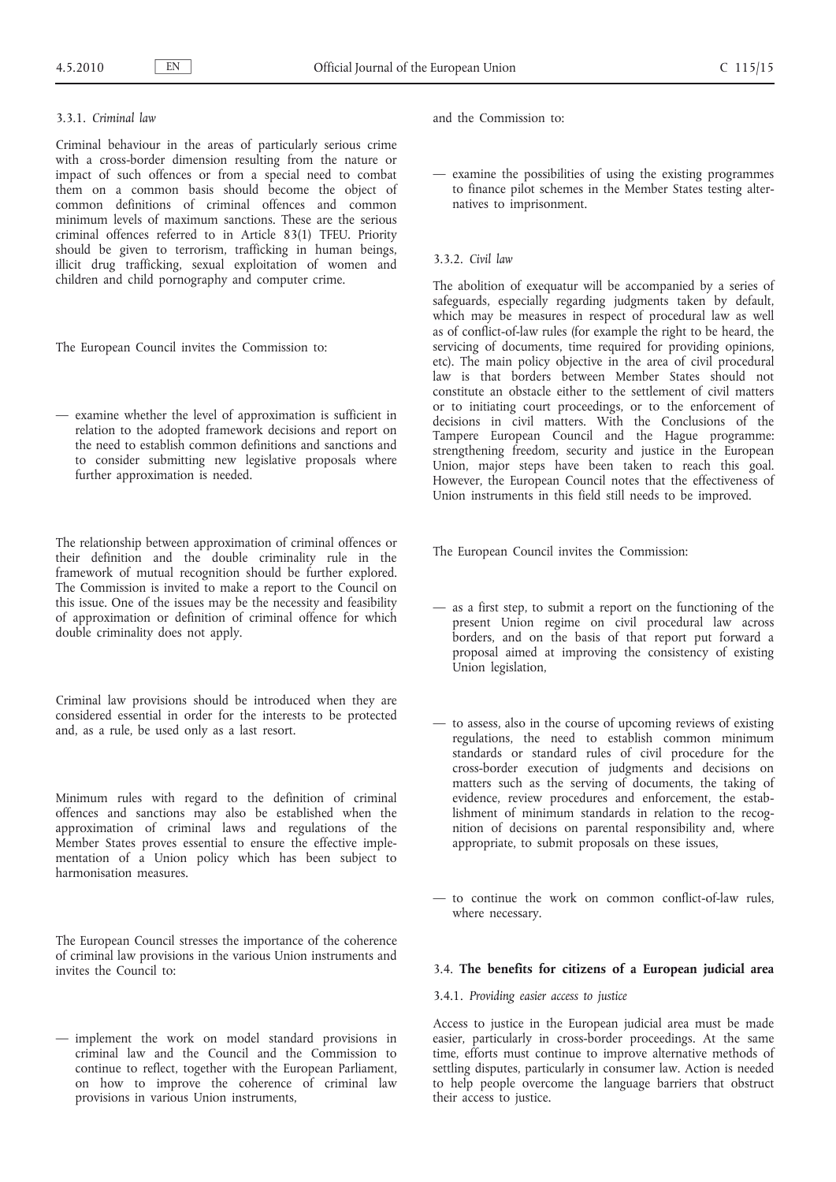#### 3.3.1. *Criminal law*

Criminal behaviour in the areas of particularly serious crime with a cross-border dimension resulting from the nature or impact of such offences or from a special need to combat them on a common basis should become the object of common definitions of criminal offences and common minimum levels of maximum sanctions. These are the serious criminal offences referred to in Article 83(1) TFEU. Priority should be given to terrorism, trafficking in human beings, illicit drug trafficking, sexual exploitation of women and children and child pornography and computer crime.

The European Council invites the Commission to:

— examine whether the level of approximation is sufficient in relation to the adopted framework decisions and report on the need to establish common definitions and sanctions and to consider submitting new legislative proposals where further approximation is needed.

The relationship between approximation of criminal offences or their definition and the double criminality rule in the framework of mutual recognition should be further explored. The Commission is invited to make a report to the Council on this issue. One of the issues may be the necessity and feasibility of approximation or definition of criminal offence for which double criminality does not apply.

Criminal law provisions should be introduced when they are considered essential in order for the interests to be protected and, as a rule, be used only as a last resort.

Minimum rules with regard to the definition of criminal offences and sanctions may also be established when the approximation of criminal laws and regulations of the Member States proves essential to ensure the effective implementation of a Union policy which has been subject to harmonisation measures.

The European Council stresses the importance of the coherence of criminal law provisions in the various Union instruments and invites the Council to:

— implement the work on model standard provisions in criminal law and the Council and the Commission to continue to reflect, together with the European Parliament, on how to improve the coherence of criminal law provisions in various Union instruments,

and the Commission to:

— examine the possibilities of using the existing programmes to finance pilot schemes in the Member States testing alternatives to imprisonment.

### 3.3.2. *Civil law*

The abolition of exequatur will be accompanied by a series of safeguards, especially regarding judgments taken by default, which may be measures in respect of procedural law as well as of conflict-of-law rules (for example the right to be heard, the servicing of documents, time required for providing opinions, etc). The main policy objective in the area of civil procedural law is that borders between Member States should not constitute an obstacle either to the settlement of civil matters or to initiating court proceedings, or to the enforcement of decisions in civil matters. With the Conclusions of the Tampere European Council and the Hague programme: strengthening freedom, security and justice in the European Union, major steps have been taken to reach this goal. However, the European Council notes that the effectiveness of Union instruments in this field still needs to be improved.

The European Council invites the Commission:

- as a first step, to submit a report on the functioning of the present Union regime on civil procedural law across borders, and on the basis of that report put forward a proposal aimed at improving the consistency of existing Union legislation,
- to assess, also in the course of upcoming reviews of existing regulations, the need to establish common minimum standards or standard rules of civil procedure for the cross-border execution of judgments and decisions on matters such as the serving of documents, the taking of evidence, review procedures and enforcement, the establishment of minimum standards in relation to the recognition of decisions on parental responsibility and, where appropriate, to submit proposals on these issues,
- to continue the work on common conflict-of-law rules, where necessary.

### 3.4. **The benefits for citizens of a European judicial area**

### 3.4.1. *Providing easier access to justice*

Access to justice in the European judicial area must be made easier, particularly in cross-border proceedings. At the same time, efforts must continue to improve alternative methods of settling disputes, particularly in consumer law. Action is needed to help people overcome the language barriers that obstruct their access to justice.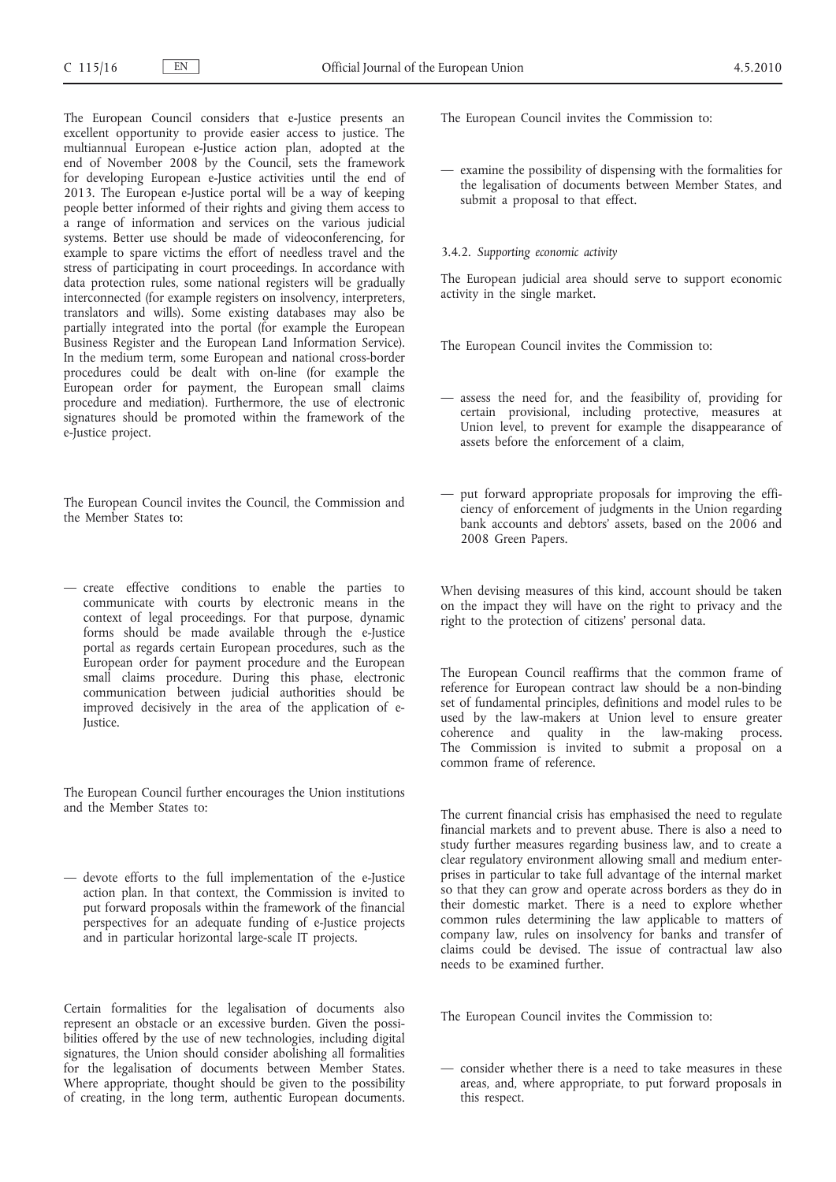The European Council considers that e-Justice presents an excellent opportunity to provide easier access to justice. The multiannual European e-Justice action plan, adopted at the end of November 2008 by the Council, sets the framework for developing European e-Justice activities until the end of 2013. The European e-Justice portal will be a way of keeping people better informed of their rights and giving them access to a range of information and services on the various judicial systems. Better use should be made of videoconferencing, for example to spare victims the effort of needless travel and the stress of participating in court proceedings. In accordance with data protection rules, some national registers will be gradually interconnected (for example registers on insolvency, interpreters, translators and wills). Some existing databases may also be partially integrated into the portal (for example the European Business Register and the European Land Information Service). In the medium term, some European and national cross-border procedures could be dealt with on-line (for example the European order for payment, the European small claims procedure and mediation). Furthermore, the use of electronic signatures should be promoted within the framework of the e-Justice project.

The European Council invites the Council, the Commission and the Member States to:

— create effective conditions to enable the parties to communicate with courts by electronic means in the context of legal proceedings. For that purpose, dynamic forms should be made available through the e-Justice portal as regards certain European procedures, such as the European order for payment procedure and the European small claims procedure. During this phase, electronic communication between judicial authorities should be improved decisively in the area of the application of e-Justice.

The European Council further encourages the Union institutions and the Member States to:

— devote efforts to the full implementation of the e-Justice action plan. In that context, the Commission is invited to put forward proposals within the framework of the financial perspectives for an adequate funding of e-Justice projects and in particular horizontal large-scale IT projects.

Certain formalities for the legalisation of documents also represent an obstacle or an excessive burden. Given the possibilities offered by the use of new technologies, including digital signatures, the Union should consider abolishing all formalities for the legalisation of documents between Member States. Where appropriate, thought should be given to the possibility of creating, in the long term, authentic European documents. The European Council invites the Commission to:

examine the possibility of dispensing with the formalities for the legalisation of documents between Member States, and submit a proposal to that effect.

### 3.4.2. *Supporting economic activity*

The European judicial area should serve to support economic activity in the single market.

The European Council invites the Commission to:

- assess the need for, and the feasibility of, providing for certain provisional, including protective, measures at Union level, to prevent for example the disappearance of assets before the enforcement of a claim,
- put forward appropriate proposals for improving the efficiency of enforcement of judgments in the Union regarding bank accounts and debtors' assets, based on the 2006 and 2008 Green Papers.

When devising measures of this kind, account should be taken on the impact they will have on the right to privacy and the right to the protection of citizens' personal data.

The European Council reaffirms that the common frame of reference for European contract law should be a non-binding set of fundamental principles, definitions and model rules to be used by the law-makers at Union level to ensure greater coherence and quality in the law-making process. The Commission is invited to submit a proposal on a common frame of reference.

The current financial crisis has emphasised the need to regulate financial markets and to prevent abuse. There is also a need to study further measures regarding business law, and to create a clear regulatory environment allowing small and medium enterprises in particular to take full advantage of the internal market so that they can grow and operate across borders as they do in their domestic market. There is a need to explore whether common rules determining the law applicable to matters of company law, rules on insolvency for banks and transfer of claims could be devised. The issue of contractual law also needs to be examined further.

The European Council invites the Commission to:

— consider whether there is a need to take measures in these areas, and, where appropriate, to put forward proposals in this respect.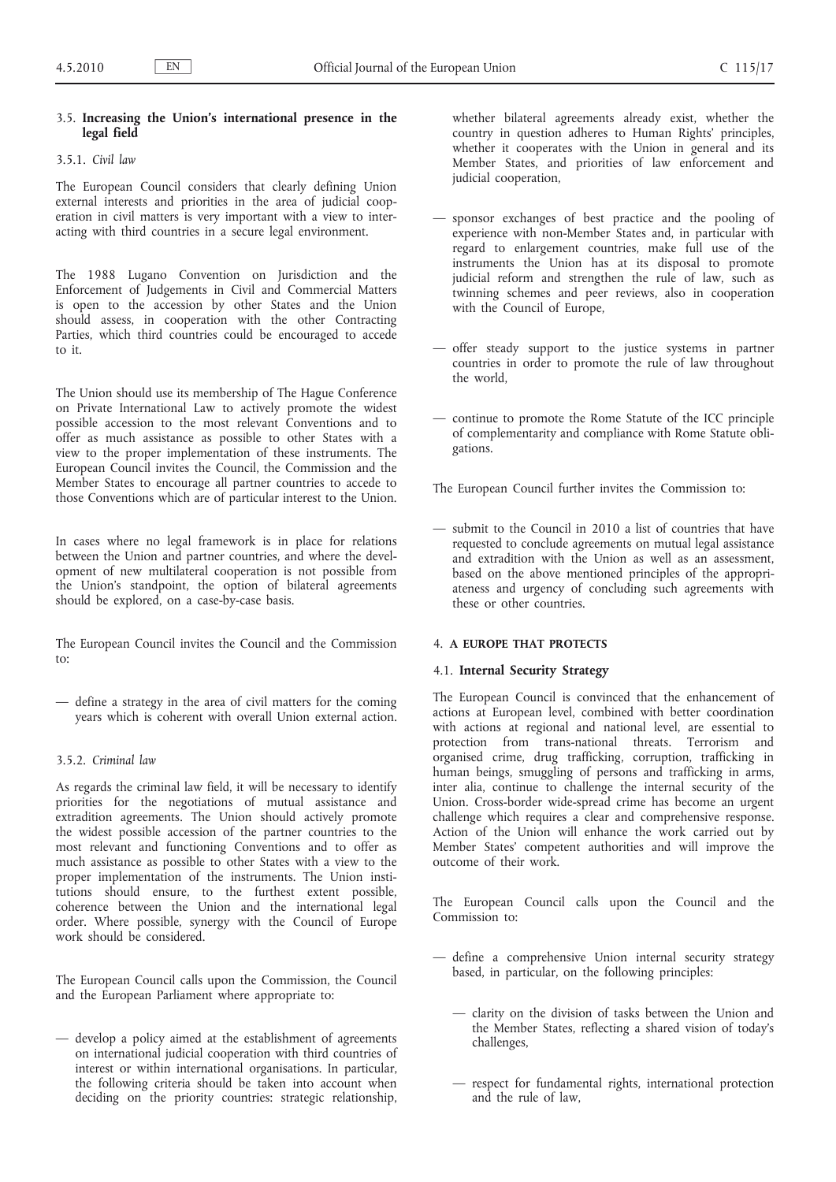### 3.5. **Increasing the Union's international presence in the legal field**

### 3.5.1. *Civil law*

The European Council considers that clearly defining Union external interests and priorities in the area of judicial cooperation in civil matters is very important with a view to interacting with third countries in a secure legal environment.

The 1988 Lugano Convention on Jurisdiction and the Enforcement of Judgements in Civil and Commercial Matters is open to the accession by other States and the Union should assess, in cooperation with the other Contracting Parties, which third countries could be encouraged to accede to it.

The Union should use its membership of The Hague Conference on Private International Law to actively promote the widest possible accession to the most relevant Conventions and to offer as much assistance as possible to other States with a view to the proper implementation of these instruments. The European Council invites the Council, the Commission and the Member States to encourage all partner countries to accede to those Conventions which are of particular interest to the Union.

In cases where no legal framework is in place for relations between the Union and partner countries, and where the development of new multilateral cooperation is not possible from the Union's standpoint, the option of bilateral agreements should be explored, on a case-by-case basis.

The European Council invites the Council and the Commission to:

— define a strategy in the area of civil matters for the coming years which is coherent with overall Union external action.

### 3.5.2. *Criminal law*

As regards the criminal law field, it will be necessary to identify priorities for the negotiations of mutual assistance and extradition agreements. The Union should actively promote the widest possible accession of the partner countries to the most relevant and functioning Conventions and to offer as much assistance as possible to other States with a view to the proper implementation of the instruments. The Union institutions should ensure, to the furthest extent possible, coherence between the Union and the international legal order. Where possible, synergy with the Council of Europe work should be considered.

The European Council calls upon the Commission, the Council and the European Parliament where appropriate to:

— develop a policy aimed at the establishment of agreements on international judicial cooperation with third countries of interest or within international organisations. In particular, the following criteria should be taken into account when deciding on the priority countries: strategic relationship,

whether bilateral agreements already exist, whether the country in question adheres to Human Rights' principles, whether it cooperates with the Union in general and its Member States, and priorities of law enforcement and judicial cooperation,

- sponsor exchanges of best practice and the pooling of experience with non-Member States and, in particular with regard to enlargement countries, make full use of the instruments the Union has at its disposal to promote judicial reform and strengthen the rule of law, such as twinning schemes and peer reviews, also in cooperation with the Council of Europe,
- offer steady support to the justice systems in partner countries in order to promote the rule of law throughout the world,
- continue to promote the Rome Statute of the ICC principle of complementarity and compliance with Rome Statute obligations.

The European Council further invites the Commission to:

— submit to the Council in 2010 a list of countries that have requested to conclude agreements on mutual legal assistance and extradition with the Union as well as an assessment, based on the above mentioned principles of the appropriateness and urgency of concluding such agreements with these or other countries.

### 4. **A EUROPE THAT PROTECTS**

### 4.1. **Internal Security Strategy**

The European Council is convinced that the enhancement of actions at European level, combined with better coordination with actions at regional and national level, are essential to protection from trans-national threats. Terrorism and organised crime, drug trafficking, corruption, trafficking in human beings, smuggling of persons and trafficking in arms, inter alia, continue to challenge the internal security of the Union. Cross-border wide-spread crime has become an urgent challenge which requires a clear and comprehensive response. Action of the Union will enhance the work carried out by Member States' competent authorities and will improve the outcome of their work.

The European Council calls upon the Council and the Commission to:

- define a comprehensive Union internal security strategy based, in particular, on the following principles:
	- clarity on the division of tasks between the Union and the Member States, reflecting a shared vision of today's challenges,
	- respect for fundamental rights, international protection and the rule of law,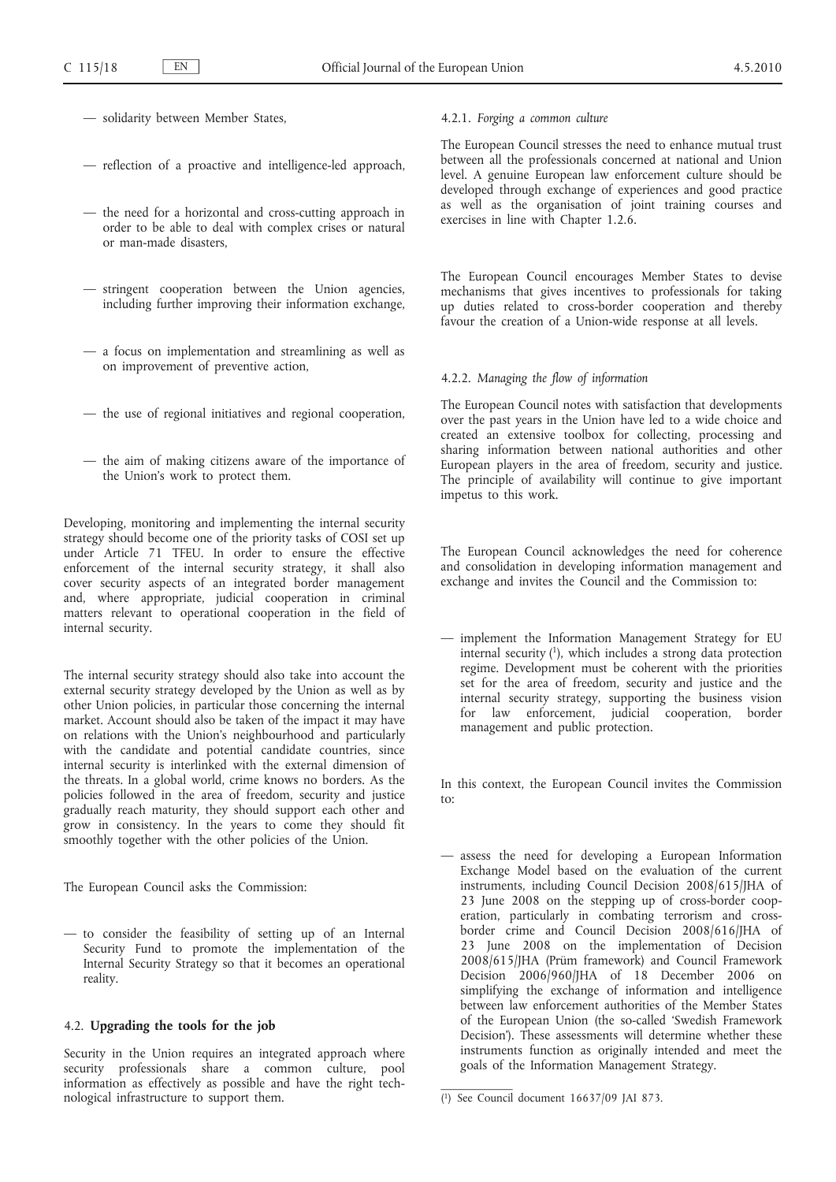- solidarity between Member States,
- reflection of a proactive and intelligence-led approach,
- the need for a horizontal and cross-cutting approach in order to be able to deal with complex crises or natural or man-made disasters,
- stringent cooperation between the Union agencies, including further improving their information exchange,
- a focus on implementation and streamlining as well as on improvement of preventive action,
- the use of regional initiatives and regional cooperation,
- the aim of making citizens aware of the importance of the Union's work to protect them.

Developing, monitoring and implementing the internal security strategy should become one of the priority tasks of COSI set up under Article 71 TFEU. In order to ensure the effective enforcement of the internal security strategy, it shall also cover security aspects of an integrated border management and, where appropriate, judicial cooperation in criminal matters relevant to operational cooperation in the field of internal security.

The internal security strategy should also take into account the external security strategy developed by the Union as well as by other Union policies, in particular those concerning the internal market. Account should also be taken of the impact it may have on relations with the Union's neighbourhood and particularly with the candidate and potential candidate countries, since internal security is interlinked with the external dimension of the threats. In a global world, crime knows no borders. As the policies followed in the area of freedom, security and justice gradually reach maturity, they should support each other and grow in consistency. In the years to come they should fit smoothly together with the other policies of the Union.

The European Council asks the Commission:

— to consider the feasibility of setting up of an Internal Security Fund to promote the implementation of the Internal Security Strategy so that it becomes an operational reality.

#### 4.2. **Upgrading the tools for the job**

Security in the Union requires an integrated approach where security professionals share a common culture, pool information as effectively as possible and have the right technological infrastructure to support them.

#### 4.2.1. *Forging a common culture*

The European Council stresses the need to enhance mutual trust between all the professionals concerned at national and Union level. A genuine European law enforcement culture should be developed through exchange of experiences and good practice as well as the organisation of joint training courses and exercises in line with Chapter 1.2.6.

The European Council encourages Member States to devise mechanisms that gives incentives to professionals for taking up duties related to cross-border cooperation and thereby favour the creation of a Union-wide response at all levels.

#### 4.2.2. *Managing the flow of information*

The European Council notes with satisfaction that developments over the past years in the Union have led to a wide choice and created an extensive toolbox for collecting, processing and sharing information between national authorities and other European players in the area of freedom, security and justice. The principle of availability will continue to give important impetus to this work.

The European Council acknowledges the need for coherence and consolidation in developing information management and exchange and invites the Council and the Commission to:

— implement the Information Management Strategy for EU internal security  $(1)$ , which includes a strong data protection regime. Development must be coherent with the priorities set for the area of freedom, security and justice and the internal security strategy, supporting the business vision for law enforcement, judicial cooperation, border management and public protection.

In this context, the European Council invites the Commission to:

— assess the need for developing a European Information Exchange Model based on the evaluation of the current instruments, including Council Decision 2008/615/JHA of 23 June 2008 on the stepping up of cross-border cooperation, particularly in combating terrorism and crossborder crime and Council Decision 2008/616/JHA of 23 June 2008 on the implementation of Decision 2008/615/JHA (Prüm framework) and Council Framework Decision 2006/960/JHA of 18 December 2006 on simplifying the exchange of information and intelligence between law enforcement authorities of the Member States of the European Union (the so-called 'Swedish Framework Decision'). These assessments will determine whether these instruments function as originally intended and meet the goals of the Information Management Strategy.

<sup>(</sup> 1) See Council document 16637/09 JAI 873.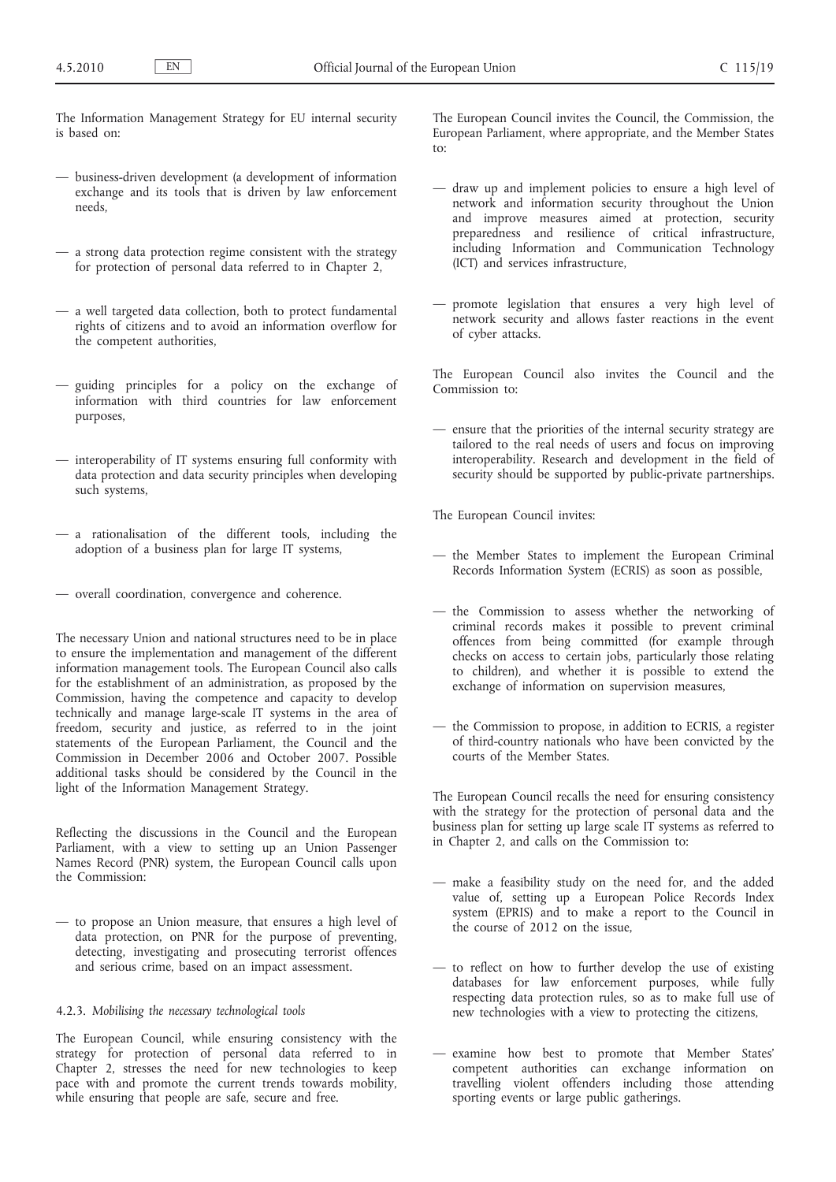The Information Management Strategy for EU internal security is based on:

- business-driven development (a development of information exchange and its tools that is driven by law enforcement needs,
- a strong data protection regime consistent with the strategy for protection of personal data referred to in Chapter 2,
- a well targeted data collection, both to protect fundamental rights of citizens and to avoid an information overflow for the competent authorities,
- guiding principles for a policy on the exchange of information with third countries for law enforcement purposes,
- interoperability of IT systems ensuring full conformity with data protection and data security principles when developing such systems,
- a rationalisation of the different tools, including the adoption of a business plan for large IT systems,
- overall coordination, convergence and coherence.

The necessary Union and national structures need to be in place to ensure the implementation and management of the different information management tools. The European Council also calls for the establishment of an administration, as proposed by the Commission, having the competence and capacity to develop technically and manage large-scale IT systems in the area of freedom, security and justice, as referred to in the joint statements of the European Parliament, the Council and the Commission in December 2006 and October 2007. Possible additional tasks should be considered by the Council in the light of the Information Management Strategy.

Reflecting the discussions in the Council and the European Parliament, with a view to setting up an Union Passenger Names Record (PNR) system, the European Council calls upon the Commission:

- to propose an Union measure, that ensures a high level of data protection, on PNR for the purpose of preventing, detecting, investigating and prosecuting terrorist offences and serious crime, based on an impact assessment.
- 4.2.3. *Mobilising the necessary technological tools*

The European Council, while ensuring consistency with the strategy for protection of personal data referred to in Chapter 2, stresses the need for new technologies to keep pace with and promote the current trends towards mobility, while ensuring that people are safe, secure and free.

The European Council invites the Council, the Commission, the European Parliament, where appropriate, and the Member States to:

- draw up and implement policies to ensure a high level of network and information security throughout the Union and improve measures aimed at protection, security preparedness and resilience of critical infrastructure, including Information and Communication Technology (ICT) and services infrastructure,
- promote legislation that ensures a very high level of network security and allows faster reactions in the event of cyber attacks.

The European Council also invites the Council and the Commission to:

— ensure that the priorities of the internal security strategy are tailored to the real needs of users and focus on improving interoperability. Research and development in the field of security should be supported by public-private partnerships.

The European Council invites:

- the Member States to implement the European Criminal Records Information System (ECRIS) as soon as possible,
- the Commission to assess whether the networking of criminal records makes it possible to prevent criminal offences from being committed (for example through checks on access to certain jobs, particularly those relating to children), and whether it is possible to extend the exchange of information on supervision measures,
- the Commission to propose, in addition to ECRIS, a register of third-country nationals who have been convicted by the courts of the Member States.

The European Council recalls the need for ensuring consistency with the strategy for the protection of personal data and the business plan for setting up large scale IT systems as referred to in Chapter 2, and calls on the Commission to:

- make a feasibility study on the need for, and the added value of, setting up a European Police Records Index system (EPRIS) and to make a report to the Council in the course of 2012 on the issue,
- to reflect on how to further develop the use of existing databases for law enforcement purposes, while fully respecting data protection rules, so as to make full use of new technologies with a view to protecting the citizens,
- examine how best to promote that Member States' competent authorities can exchange information on travelling violent offenders including those attending sporting events or large public gatherings.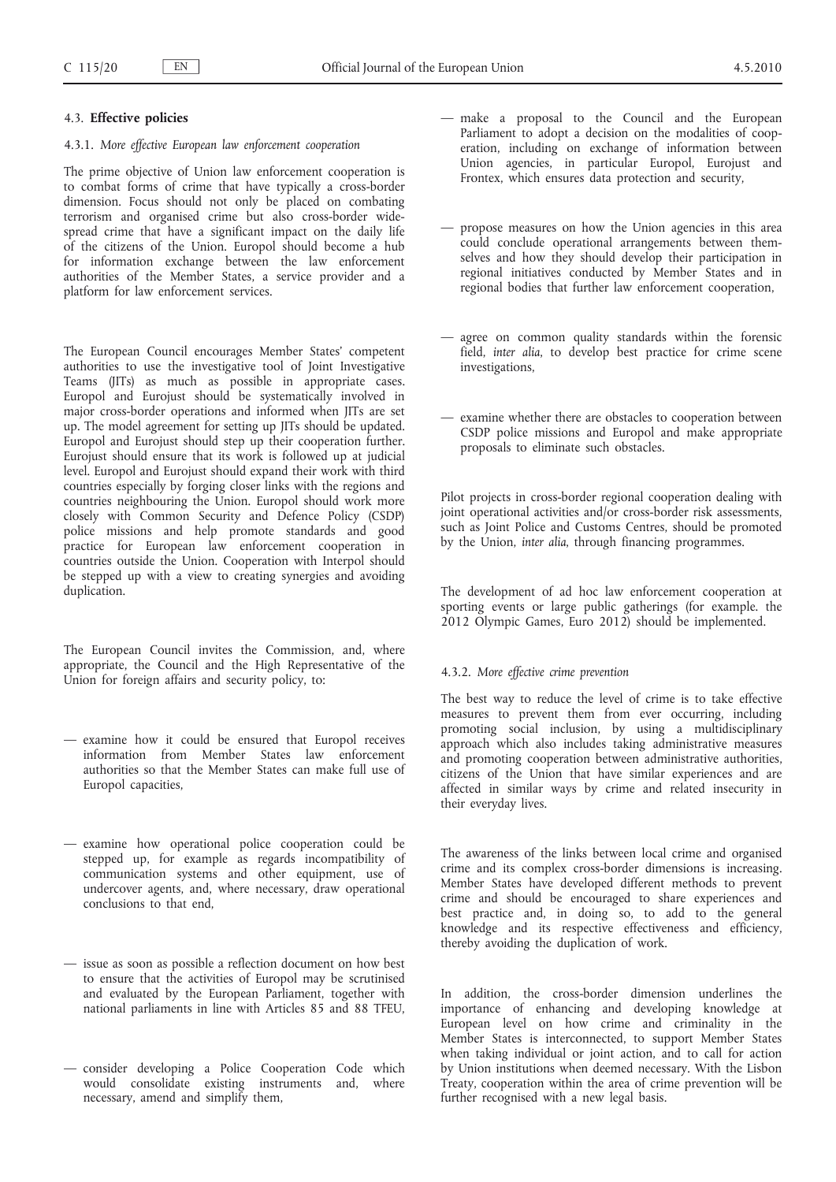### 4.3. **Effective policies**

### 4.3.1. *More effective European law enforcement cooperation*

The prime objective of Union law enforcement cooperation is to combat forms of crime that have typically a cross-border dimension. Focus should not only be placed on combating terrorism and organised crime but also cross-border widespread crime that have a significant impact on the daily life of the citizens of the Union. Europol should become a hub for information exchange between the law enforcement authorities of the Member States, a service provider and a platform for law enforcement services.

The European Council encourages Member States' competent authorities to use the investigative tool of Joint Investigative Teams (JITs) as much as possible in appropriate cases. Europol and Eurojust should be systematically involved in major cross-border operations and informed when JITs are set up. The model agreement for setting up JITs should be updated. Europol and Eurojust should step up their cooperation further. Eurojust should ensure that its work is followed up at judicial level. Europol and Eurojust should expand their work with third countries especially by forging closer links with the regions and countries neighbouring the Union. Europol should work more closely with Common Security and Defence Policy (CSDP) police missions and help promote standards and good practice for European law enforcement cooperation in countries outside the Union. Cooperation with Interpol should be stepped up with a view to creating synergies and avoiding duplication.

The European Council invites the Commission, and, where appropriate, the Council and the High Representative of the Union for foreign affairs and security policy, to:

- examine how it could be ensured that Europol receives information from Member States law enforcement authorities so that the Member States can make full use of Europol capacities,
- examine how operational police cooperation could be stepped up, for example as regards incompatibility of communication systems and other equipment, use of undercover agents, and, where necessary, draw operational conclusions to that end,
- issue as soon as possible a reflection document on how best to ensure that the activities of Europol may be scrutinised and evaluated by the European Parliament, together with national parliaments in line with Articles 85 and 88 TFEU,
- consider developing a Police Cooperation Code which would consolidate existing instruments and, where necessary, amend and simplify them,
- make a proposal to the Council and the European Parliament to adopt a decision on the modalities of cooperation, including on exchange of information between Union agencies, in particular Europol, Eurojust and Frontex, which ensures data protection and security,
- propose measures on how the Union agencies in this area could conclude operational arrangements between themselves and how they should develop their participation in regional initiatives conducted by Member States and in regional bodies that further law enforcement cooperation,
- agree on common quality standards within the forensic field, *inter alia*, to develop best practice for crime scene investigations,
- examine whether there are obstacles to cooperation between CSDP police missions and Europol and make appropriate proposals to eliminate such obstacles.

Pilot projects in cross-border regional cooperation dealing with joint operational activities and/or cross-border risk assessments, such as Joint Police and Customs Centres, should be promoted by the Union, *inter alia*, through financing programmes.

The development of ad hoc law enforcement cooperation at sporting events or large public gatherings (for example. the 2012 Olympic Games, Euro 2012) should be implemented.

#### 4.3.2. *More effective crime prevention*

The best way to reduce the level of crime is to take effective measures to prevent them from ever occurring, including promoting social inclusion, by using a multidisciplinary approach which also includes taking administrative measures and promoting cooperation between administrative authorities, citizens of the Union that have similar experiences and are affected in similar ways by crime and related insecurity in their everyday lives.

The awareness of the links between local crime and organised crime and its complex cross-border dimensions is increasing. Member States have developed different methods to prevent crime and should be encouraged to share experiences and best practice and, in doing so, to add to the general knowledge and its respective effectiveness and efficiency, thereby avoiding the duplication of work.

In addition, the cross-border dimension underlines the importance of enhancing and developing knowledge at European level on how crime and criminality in the Member States is interconnected, to support Member States when taking individual or joint action, and to call for action by Union institutions when deemed necessary. With the Lisbon Treaty, cooperation within the area of crime prevention will be further recognised with a new legal basis.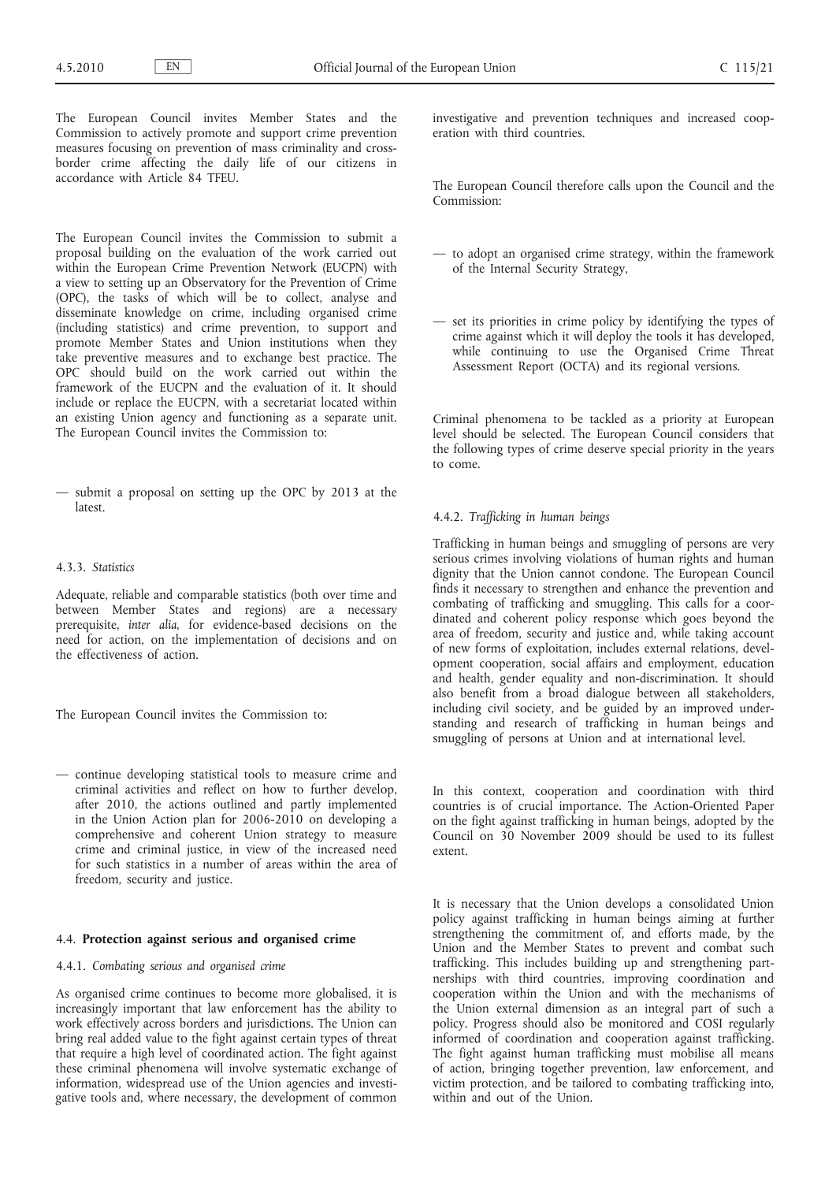The European Council invites Member States and the Commission to actively promote and support crime prevention measures focusing on prevention of mass criminality and crossborder crime affecting the daily life of our citizens in accordance with Article 84 TFEU.

The European Council invites the Commission to submit a proposal building on the evaluation of the work carried out within the European Crime Prevention Network (EUCPN) with a view to setting up an Observatory for the Prevention of Crime (OPC), the tasks of which will be to collect, analyse and disseminate knowledge on crime, including organised crime (including statistics) and crime prevention, to support and promote Member States and Union institutions when they take preventive measures and to exchange best practice. The OPC should build on the work carried out within the framework of the EUCPN and the evaluation of it. It should include or replace the EUCPN, with a secretariat located within an existing Union agency and functioning as a separate unit. The European Council invites the Commission to:

— submit a proposal on setting up the OPC by 2013 at the latest.

#### 4.3.3. *Statistics*

Adequate, reliable and comparable statistics (both over time and between Member States and regions) are a necessary prerequisite, *inter alia*, for evidence-based decisions on the need for action, on the implementation of decisions and on the effectiveness of action.

The European Council invites the Commission to:

— continue developing statistical tools to measure crime and criminal activities and reflect on how to further develop, after 2010, the actions outlined and partly implemented in the Union Action plan for 2006-2010 on developing a comprehensive and coherent Union strategy to measure crime and criminal justice, in view of the increased need for such statistics in a number of areas within the area of freedom, security and justice.

#### 4.4. **Protection against serious and organised crime**

#### 4.4.1. *Combating serious and organised crime*

As organised crime continues to become more globalised, it is increasingly important that law enforcement has the ability to work effectively across borders and jurisdictions. The Union can bring real added value to the fight against certain types of threat that require a high level of coordinated action. The fight against these criminal phenomena will involve systematic exchange of information, widespread use of the Union agencies and investigative tools and, where necessary, the development of common investigative and prevention techniques and increased cooperation with third countries.

The European Council therefore calls upon the Council and the Commission:

- to adopt an organised crime strategy, within the framework of the Internal Security Strategy,
- set its priorities in crime policy by identifying the types of crime against which it will deploy the tools it has developed, while continuing to use the Organised Crime Threat Assessment Report (OCTA) and its regional versions.

Criminal phenomena to be tackled as a priority at European level should be selected. The European Council considers that the following types of crime deserve special priority in the years to come.

#### 4.4.2. *Trafficking in human beings*

Trafficking in human beings and smuggling of persons are very serious crimes involving violations of human rights and human dignity that the Union cannot condone. The European Council finds it necessary to strengthen and enhance the prevention and combating of trafficking and smuggling. This calls for a coordinated and coherent policy response which goes beyond the area of freedom, security and justice and, while taking account of new forms of exploitation, includes external relations, development cooperation, social affairs and employment, education and health, gender equality and non-discrimination. It should also benefit from a broad dialogue between all stakeholders, including civil society, and be guided by an improved understanding and research of trafficking in human beings and smuggling of persons at Union and at international level.

In this context, cooperation and coordination with third countries is of crucial importance. The Action-Oriented Paper on the fight against trafficking in human beings, adopted by the Council on 30 November 2009 should be used to its fullest extent.

It is necessary that the Union develops a consolidated Union policy against trafficking in human beings aiming at further strengthening the commitment of, and efforts made, by the Union and the Member States to prevent and combat such trafficking. This includes building up and strengthening partnerships with third countries, improving coordination and cooperation within the Union and with the mechanisms of the Union external dimension as an integral part of such a policy. Progress should also be monitored and COSI regularly informed of coordination and cooperation against trafficking. The fight against human trafficking must mobilise all means of action, bringing together prevention, law enforcement, and victim protection, and be tailored to combating trafficking into, within and out of the Union.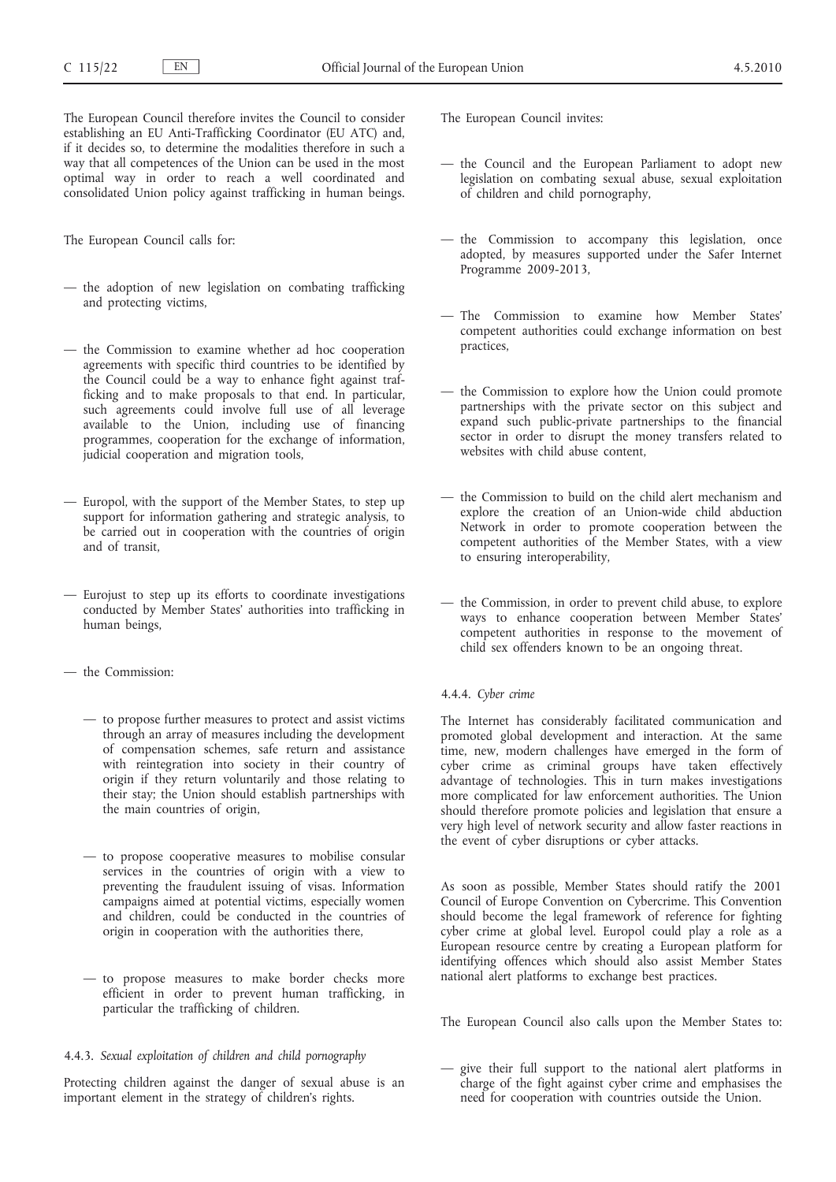The European Council therefore invites the Council to consider establishing an EU Anti-Trafficking Coordinator (EU ATC) and, if it decides so, to determine the modalities therefore in such a way that all competences of the Union can be used in the most optimal way in order to reach a well coordinated and consolidated Union policy against trafficking in human beings.

The European Council calls for:

- the adoption of new legislation on combating trafficking and protecting victims,
- the Commission to examine whether ad hoc cooperation agreements with specific third countries to be identified by the Council could be a way to enhance fight against trafficking and to make proposals to that end. In particular, such agreements could involve full use of all leverage available to the Union, including use of financing programmes, cooperation for the exchange of information, judicial cooperation and migration tools,
- Europol, with the support of the Member States, to step up support for information gathering and strategic analysis, to be carried out in cooperation with the countries of origin and of transit,
- Eurojust to step up its efforts to coordinate investigations conducted by Member States' authorities into trafficking in human beings,
- the Commission:
	- to propose further measures to protect and assist victims through an array of measures including the development of compensation schemes, safe return and assistance with reintegration into society in their country of origin if they return voluntarily and those relating to their stay; the Union should establish partnerships with the main countries of origin,
	- to propose cooperative measures to mobilise consular services in the countries of origin with a view to preventing the fraudulent issuing of visas. Information campaigns aimed at potential victims, especially women and children, could be conducted in the countries of origin in cooperation with the authorities there,
	- to propose measures to make border checks more efficient in order to prevent human trafficking, in particular the trafficking of children.
- 4.4.3. *Sexual exploitation of children and child pornography*

Protecting children against the danger of sexual abuse is an important element in the strategy of children's rights.

The European Council invites:

- the Council and the European Parliament to adopt new legislation on combating sexual abuse, sexual exploitation of children and child pornography,
- the Commission to accompany this legislation, once adopted, by measures supported under the Safer Internet Programme 2009-2013,
- The Commission to examine how Member States' competent authorities could exchange information on best practices,
- the Commission to explore how the Union could promote partnerships with the private sector on this subject and expand such public-private partnerships to the financial sector in order to disrupt the money transfers related to websites with child abuse content,
- the Commission to build on the child alert mechanism and explore the creation of an Union-wide child abduction Network in order to promote cooperation between the competent authorities of the Member States, with a view to ensuring interoperability,
- the Commission, in order to prevent child abuse, to explore ways to enhance cooperation between Member States' competent authorities in response to the movement of child sex offenders known to be an ongoing threat.
- 4.4.4. *Cyber crime*

The Internet has considerably facilitated communication and promoted global development and interaction. At the same time, new, modern challenges have emerged in the form of cyber crime as criminal groups have taken effectively advantage of technologies. This in turn makes investigations more complicated for law enforcement authorities. The Union should therefore promote policies and legislation that ensure a very high level of network security and allow faster reactions in the event of cyber disruptions or cyber attacks.

As soon as possible, Member States should ratify the 2001 Council of Europe Convention on Cybercrime. This Convention should become the legal framework of reference for fighting cyber crime at global level. Europol could play a role as a European resource centre by creating a European platform for identifying offences which should also assist Member States national alert platforms to exchange best practices.

The European Council also calls upon the Member States to:

— give their full support to the national alert platforms in charge of the fight against cyber crime and emphasises the need for cooperation with countries outside the Union.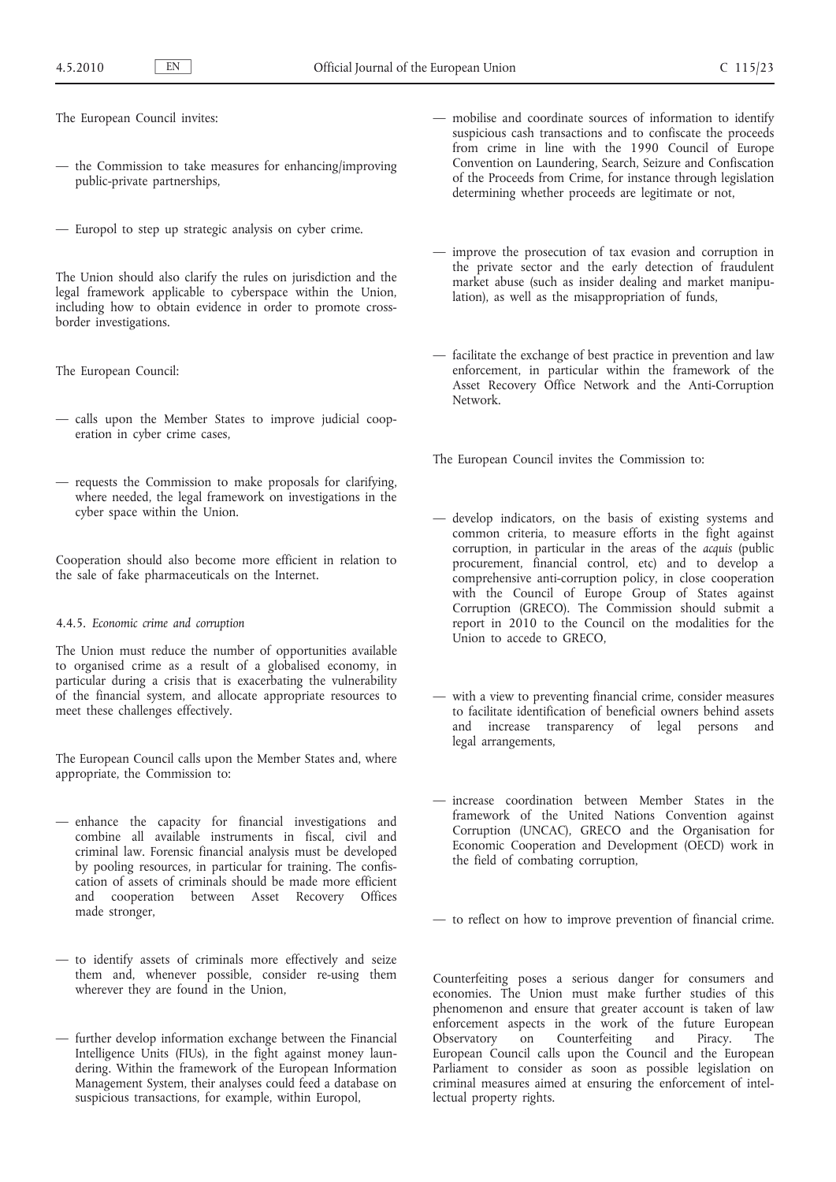The European Council invites:

- the Commission to take measures for enhancing/improving public-private partnerships,
- Europol to step up strategic analysis on cyber crime.

The Union should also clarify the rules on jurisdiction and the legal framework applicable to cyberspace within the Union, including how to obtain evidence in order to promote crossborder investigations.

The European Council:

- calls upon the Member States to improve judicial cooperation in cyber crime cases,
- requests the Commission to make proposals for clarifying, where needed, the legal framework on investigations in the cyber space within the Union.

Cooperation should also become more efficient in relation to the sale of fake pharmaceuticals on the Internet.

#### 4.4.5. *Economic crime and corruption*

The Union must reduce the number of opportunities available to organised crime as a result of a globalised economy, in particular during a crisis that is exacerbating the vulnerability of the financial system, and allocate appropriate resources to meet these challenges effectively.

The European Council calls upon the Member States and, where appropriate, the Commission to:

- enhance the capacity for financial investigations and combine all available instruments in fiscal, civil and criminal law. Forensic financial analysis must be developed by pooling resources, in particular for training. The confiscation of assets of criminals should be made more efficient and cooperation between Asset Recovery Offices made stronger,
- to identify assets of criminals more effectively and seize them and, whenever possible, consider re-using them wherever they are found in the Union,
- further develop information exchange between the Financial Intelligence Units (FIUs), in the fight against money laundering. Within the framework of the European Information Management System, their analyses could feed a database on suspicious transactions, for example, within Europol,
- mobilise and coordinate sources of information to identify suspicious cash transactions and to confiscate the proceeds from crime in line with the 1990 Council of Europe Convention on Laundering, Search, Seizure and Confiscation of the Proceeds from Crime, for instance through legislation determining whether proceeds are legitimate or not,
- improve the prosecution of tax evasion and corruption in the private sector and the early detection of fraudulent market abuse (such as insider dealing and market manipulation), as well as the misappropriation of funds,
- facilitate the exchange of best practice in prevention and law enforcement, in particular within the framework of the Asset Recovery Office Network and the Anti-Corruption Network.

The European Council invites the Commission to:

- develop indicators, on the basis of existing systems and common criteria, to measure efforts in the fight against corruption, in particular in the areas of the *acquis* (public procurement, financial control, etc) and to develop a comprehensive anti-corruption policy, in close cooperation with the Council of Europe Group of States against Corruption (GRECO). The Commission should submit a report in 2010 to the Council on the modalities for the Union to accede to GRECO.
- with a view to preventing financial crime, consider measures to facilitate identification of beneficial owners behind assets and increase transparency of legal persons and legal arrangements,
- increase coordination between Member States in the framework of the United Nations Convention against Corruption (UNCAC), GRECO and the Organisation for Economic Cooperation and Development (OECD) work in the field of combating corruption,

— to reflect on how to improve prevention of financial crime.

Counterfeiting poses a serious danger for consumers and economies. The Union must make further studies of this phenomenon and ensure that greater account is taken of law enforcement aspects in the work of the future European Observatory on Counterfeiting and Piracy. The European Council calls upon the Council and the European Parliament to consider as soon as possible legislation on criminal measures aimed at ensuring the enforcement of intellectual property rights.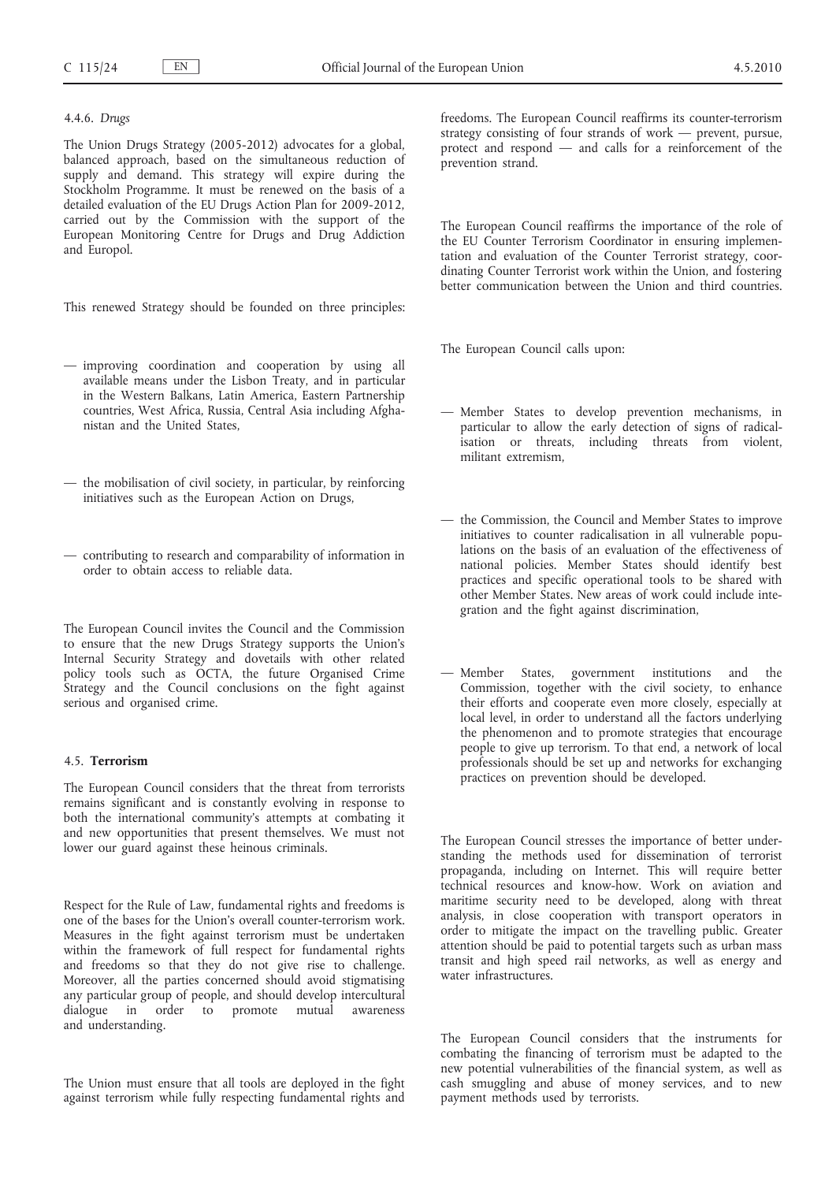### 4.4.6. *Drugs*

The Union Drugs Strategy (2005-2012) advocates for a global, balanced approach, based on the simultaneous reduction of supply and demand. This strategy will expire during the Stockholm Programme. It must be renewed on the basis of a detailed evaluation of the EU Drugs Action Plan for 2009-2012, carried out by the Commission with the support of the European Monitoring Centre for Drugs and Drug Addiction and Europol.

This renewed Strategy should be founded on three principles:

- improving coordination and cooperation by using all available means under the Lisbon Treaty, and in particular in the Western Balkans, Latin America, Eastern Partnership countries, West Africa, Russia, Central Asia including Afghanistan and the United States,
- the mobilisation of civil society, in particular, by reinforcing initiatives such as the European Action on Drugs,
- contributing to research and comparability of information in order to obtain access to reliable data.

The European Council invites the Council and the Commission to ensure that the new Drugs Strategy supports the Union's Internal Security Strategy and dovetails with other related policy tools such as OCTA, the future Organised Crime Strategy and the Council conclusions on the fight against serious and organised crime.

### 4.5. **Terrorism**

The European Council considers that the threat from terrorists remains significant and is constantly evolving in response to both the international community's attempts at combating it and new opportunities that present themselves. We must not lower our guard against these heinous criminals.

Respect for the Rule of Law, fundamental rights and freedoms is one of the bases for the Union's overall counter-terrorism work. Measures in the fight against terrorism must be undertaken within the framework of full respect for fundamental rights and freedoms so that they do not give rise to challenge. Moreover, all the parties concerned should avoid stigmatising any particular group of people, and should develop intercultural dialogue in order to promote mutual awareness and understanding.

The Union must ensure that all tools are deployed in the fight against terrorism while fully respecting fundamental rights and

freedoms. The European Council reaffirms its counter-terrorism strategy consisting of four strands of work — prevent, pursue, protect and respond — and calls for a reinforcement of the prevention strand.

The European Council reaffirms the importance of the role of the EU Counter Terrorism Coordinator in ensuring implementation and evaluation of the Counter Terrorist strategy, coordinating Counter Terrorist work within the Union, and fostering better communication between the Union and third countries.

The European Council calls upon:

- Member States to develop prevention mechanisms, in particular to allow the early detection of signs of radicalisation or threats, including threats from violent, militant extremism,
- the Commission, the Council and Member States to improve initiatives to counter radicalisation in all vulnerable populations on the basis of an evaluation of the effectiveness of national policies. Member States should identify best practices and specific operational tools to be shared with other Member States. New areas of work could include integration and the fight against discrimination,
- Member States, government institutions and the Commission, together with the civil society, to enhance their efforts and cooperate even more closely, especially at local level, in order to understand all the factors underlying the phenomenon and to promote strategies that encourage people to give up terrorism. To that end, a network of local professionals should be set up and networks for exchanging practices on prevention should be developed.

The European Council stresses the importance of better understanding the methods used for dissemination of terrorist propaganda, including on Internet. This will require better technical resources and know-how. Work on aviation and maritime security need to be developed, along with threat analysis, in close cooperation with transport operators in order to mitigate the impact on the travelling public. Greater attention should be paid to potential targets such as urban mass transit and high speed rail networks, as well as energy and water infrastructures.

The European Council considers that the instruments for combating the financing of terrorism must be adapted to the new potential vulnerabilities of the financial system, as well as cash smuggling and abuse of money services, and to new payment methods used by terrorists.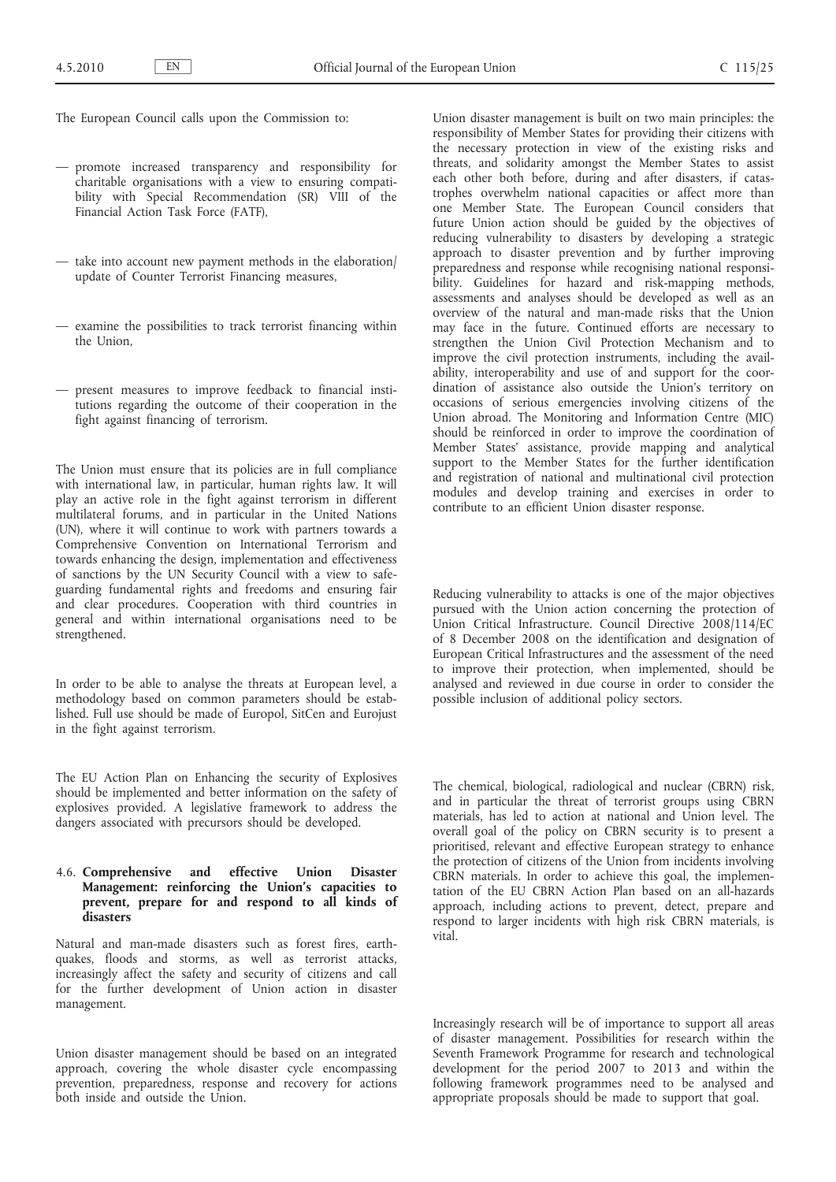The European Council calls upon the Commission to:

- promote increased transparency and responsibility for charitable organisations with a view to ensuring compatibility with Special Recommendation (SR) VIII of the Financial Action Task Force (FATF),
- take into account new payment methods in the elaboration/ update of Counter Terrorist Financing measures,
- examine the possibilities to track terrorist financing within the Union,
- present measures to improve feedback to financial institutions regarding the outcome of their cooperation in the fight against financing of terrorism.

The Union must ensure that its policies are in full compliance with international law, in particular, human rights law. It will play an active role in the fight against terrorism in different multilateral forums, and in particular in the United Nations (UN), where it will continue to work with partners towards a Comprehensive Convention on International Terrorism and towards enhancing the design, implementation and effectiveness of sanctions by the UN Security Council with a view to safeguarding fundamental rights and freedoms and ensuring fair and clear procedures. Cooperation with third countries in general and within international organisations need to be strengthened.

In order to be able to analyse the threats at European level, a methodology based on common parameters should be established. Full use should be made of Europol, SitCen and Eurojust in the fight against terrorism.

The EU Action Plan on Enhancing the security of Explosives should be implemented and better information on the safety of explosives provided. A legislative framework to address the dangers associated with precursors should be developed.

### 4.6. **Comprehensive and effective Union Disaster Management: reinforcing the Union's capacities to prevent, prepare for and respond to all kinds of disasters**

Natural and man-made disasters such as forest fires, earthquakes, floods and storms, as well as terrorist attacks, increasingly affect the safety and security of citizens and call for the further development of Union action in disaster management.

Union disaster management should be based on an integrated approach, covering the whole disaster cycle encompassing prevention, preparedness, response and recovery for actions both inside and outside the Union.

Union disaster management is built on two main principles: the responsibility of Member States for providing their citizens with the necessary protection in view of the existing risks and threats, and solidarity amongst the Member States to assist each other both before, during and after disasters, if catastrophes overwhelm national capacities or affect more than one Member State. The European Council considers that future Union action should be guided by the objectives of reducing vulnerability to disasters by developing a strategic approach to disaster prevention and by further improving preparedness and response while recognising national responsibility. Guidelines for hazard and risk-mapping methods, assessments and analyses should be developed as well as an overview of the natural and man-made risks that the Union may face in the future. Continued efforts are necessary to strengthen the Union Civil Protection Mechanism and to improve the civil protection instruments, including the availability, interoperability and use of and support for the coordination of assistance also outside the Union's territory on occasions of serious emergencies involving citizens of the Union abroad. The Monitoring and Information Centre (MIC) should be reinforced in order to improve the coordination of Member States' assistance, provide mapping and analytical support to the Member States for the further identification and registration of national and multinational civil protection modules and develop training and exercises in order to contribute to an efficient Union disaster response.

Reducing vulnerability to attacks is one of the major objectives pursued with the Union action concerning the protection of Union Critical Infrastructure. Council Directive 2008/114/EC of 8 December 2008 on the identification and designation of European Critical Infrastructures and the assessment of the need to improve their protection, when implemented, should be analysed and reviewed in due course in order to consider the possible inclusion of additional policy sectors.

The chemical, biological, radiological and nuclear (CBRN) risk, and in particular the threat of terrorist groups using CBRN materials, has led to action at national and Union level. The overall goal of the policy on CBRN security is to present a prioritised, relevant and effective European strategy to enhance the protection of citizens of the Union from incidents involving CBRN materials. In order to achieve this goal, the implementation of the EU CBRN Action Plan based on an all-hazards approach, including actions to prevent, detect, prepare and respond to larger incidents with high risk CBRN materials, is vital.

Increasingly research will be of importance to support all areas of disaster management. Possibilities for research within the Seventh Framework Programme for research and technological development for the period 2007 to 2013 and within the following framework programmes need to be analysed and appropriate proposals should be made to support that goal.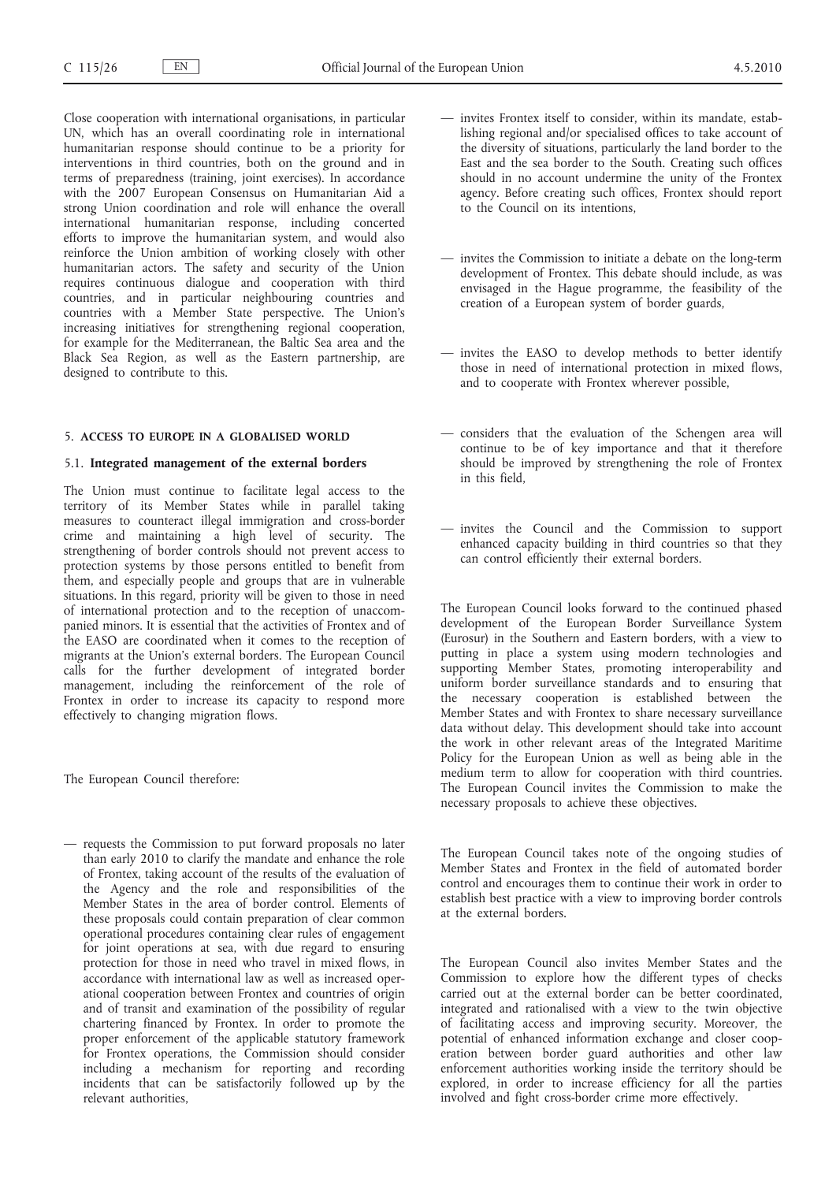Close cooperation with international organisations, in particular UN, which has an overall coordinating role in international humanitarian response should continue to be a priority for interventions in third countries, both on the ground and in terms of preparedness (training, joint exercises). In accordance with the 2007 European Consensus on Humanitarian Aid a strong Union coordination and role will enhance the overall international humanitarian response, including concerted efforts to improve the humanitarian system, and would also reinforce the Union ambition of working closely with other humanitarian actors. The safety and security of the Union requires continuous dialogue and cooperation with third countries, and in particular neighbouring countries and countries with a Member State perspective. The Union's increasing initiatives for strengthening regional cooperation, for example for the Mediterranean, the Baltic Sea area and the Black Sea Region, as well as the Eastern partnership, are designed to contribute to this.

### 5. **ACCESS TO EUROPE IN A GLOBALISED WORLD**

### 5.1. **Integrated management of the external borders**

The Union must continue to facilitate legal access to the territory of its Member States while in parallel taking measures to counteract illegal immigration and cross-border crime and maintaining a high level of security. The strengthening of border controls should not prevent access to protection systems by those persons entitled to benefit from them, and especially people and groups that are in vulnerable situations. In this regard, priority will be given to those in need of international protection and to the reception of unaccompanied minors. It is essential that the activities of Frontex and of the EASO are coordinated when it comes to the reception of migrants at the Union's external borders. The European Council calls for the further development of integrated border management, including the reinforcement of the role of Frontex in order to increase its capacity to respond more effectively to changing migration flows.

The European Council therefore:

— requests the Commission to put forward proposals no later than early 2010 to clarify the mandate and enhance the role of Frontex, taking account of the results of the evaluation of the Agency and the role and responsibilities of the Member States in the area of border control. Elements of these proposals could contain preparation of clear common operational procedures containing clear rules of engagement for joint operations at sea, with due regard to ensuring protection for those in need who travel in mixed flows, in accordance with international law as well as increased operational cooperation between Frontex and countries of origin and of transit and examination of the possibility of regular chartering financed by Frontex. In order to promote the proper enforcement of the applicable statutory framework for Frontex operations, the Commission should consider including a mechanism for reporting and recording incidents that can be satisfactorily followed up by the relevant authorities,

- invites Frontex itself to consider, within its mandate, establishing regional and/or specialised offices to take account of the diversity of situations, particularly the land border to the East and the sea border to the South. Creating such offices should in no account undermine the unity of the Frontex agency. Before creating such offices, Frontex should report to the Council on its intentions,
- invites the Commission to initiate a debate on the long-term development of Frontex. This debate should include, as was envisaged in the Hague programme, the feasibility of the creation of a European system of border guards,
- invites the EASO to develop methods to better identify those in need of international protection in mixed flows, and to cooperate with Frontex wherever possible,
- considers that the evaluation of the Schengen area will continue to be of key importance and that it therefore should be improved by strengthening the role of Frontex in this field,
- invites the Council and the Commission to support enhanced capacity building in third countries so that they can control efficiently their external borders.

The European Council looks forward to the continued phased development of the European Border Surveillance System (Eurosur) in the Southern and Eastern borders, with a view to putting in place a system using modern technologies and supporting Member States, promoting interoperability and uniform border surveillance standards and to ensuring that the necessary cooperation is established between the Member States and with Frontex to share necessary surveillance data without delay. This development should take into account the work in other relevant areas of the Integrated Maritime Policy for the European Union as well as being able in the medium term to allow for cooperation with third countries. The European Council invites the Commission to make the necessary proposals to achieve these objectives.

The European Council takes note of the ongoing studies of Member States and Frontex in the field of automated border control and encourages them to continue their work in order to establish best practice with a view to improving border controls at the external borders.

The European Council also invites Member States and the Commission to explore how the different types of checks carried out at the external border can be better coordinated, integrated and rationalised with a view to the twin objective of facilitating access and improving security. Moreover, the potential of enhanced information exchange and closer cooperation between border guard authorities and other law enforcement authorities working inside the territory should be explored, in order to increase efficiency for all the parties involved and fight cross-border crime more effectively.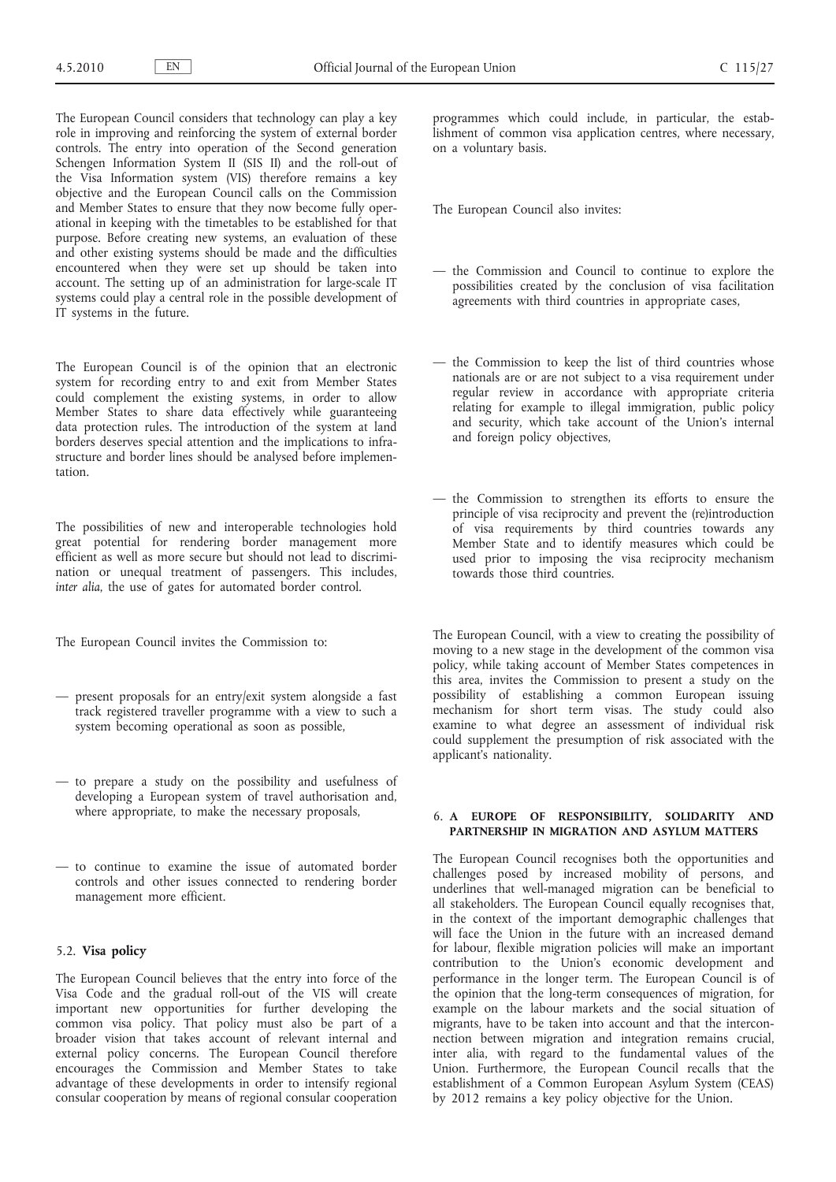The European Council considers that technology can play a key role in improving and reinforcing the system of external border controls. The entry into operation of the Second generation Schengen Information System II (SIS II) and the roll-out of the Visa Information system (VIS) therefore remains a key objective and the European Council calls on the Commission and Member States to ensure that they now become fully operational in keeping with the timetables to be established for that purpose. Before creating new systems, an evaluation of these and other existing systems should be made and the difficulties encountered when they were set up should be taken into account. The setting up of an administration for large-scale IT systems could play a central role in the possible development of IT systems in the future.

The European Council is of the opinion that an electronic system for recording entry to and exit from Member States could complement the existing systems, in order to allow Member States to share data effectively while guaranteeing data protection rules. The introduction of the system at land borders deserves special attention and the implications to infrastructure and border lines should be analysed before implementation.

The possibilities of new and interoperable technologies hold great potential for rendering border management more efficient as well as more secure but should not lead to discrimination or unequal treatment of passengers. This includes, *inter alia*, the use of gates for automated border control.

The European Council invites the Commission to:

- present proposals for an entry/exit system alongside a fast track registered traveller programme with a view to such a system becoming operational as soon as possible,
- to prepare a study on the possibility and usefulness of developing a European system of travel authorisation and, where appropriate, to make the necessary proposals,
- to continue to examine the issue of automated border controls and other issues connected to rendering border management more efficient.

### 5.2. **Visa policy**

The European Council believes that the entry into force of the Visa Code and the gradual roll-out of the VIS will create important new opportunities for further developing the common visa policy. That policy must also be part of a broader vision that takes account of relevant internal and external policy concerns. The European Council therefore encourages the Commission and Member States to take advantage of these developments in order to intensify regional consular cooperation by means of regional consular cooperation programmes which could include, in particular, the establishment of common visa application centres, where necessary, on a voluntary basis.

The European Council also invites:

- the Commission and Council to continue to explore the possibilities created by the conclusion of visa facilitation agreements with third countries in appropriate cases,
- the Commission to keep the list of third countries whose nationals are or are not subject to a visa requirement under regular review in accordance with appropriate criteria relating for example to illegal immigration, public policy and security, which take account of the Union's internal and foreign policy objectives,
- the Commission to strengthen its efforts to ensure the principle of visa reciprocity and prevent the (re)introduction of visa requirements by third countries towards any Member State and to identify measures which could be used prior to imposing the visa reciprocity mechanism towards those third countries.

The European Council, with a view to creating the possibility of moving to a new stage in the development of the common visa policy, while taking account of Member States competences in this area, invites the Commission to present a study on the possibility of establishing a common European issuing mechanism for short term visas. The study could also examine to what degree an assessment of individual risk could supplement the presumption of risk associated with the applicant's nationality.

#### 6. **A EUROPE OF RESPONSIBILITY, SOLIDARITY AND PARTNERSHIP IN MIGRATION AND ASYLUM MATTERS**

The European Council recognises both the opportunities and challenges posed by increased mobility of persons, and underlines that well-managed migration can be beneficial to all stakeholders. The European Council equally recognises that, in the context of the important demographic challenges that will face the Union in the future with an increased demand for labour, flexible migration policies will make an important contribution to the Union's economic development and performance in the longer term. The European Council is of the opinion that the long-term consequences of migration, for example on the labour markets and the social situation of migrants, have to be taken into account and that the interconnection between migration and integration remains crucial, inter alia, with regard to the fundamental values of the Union. Furthermore, the European Council recalls that the establishment of a Common European Asylum System (CEAS) by 2012 remains a key policy objective for the Union.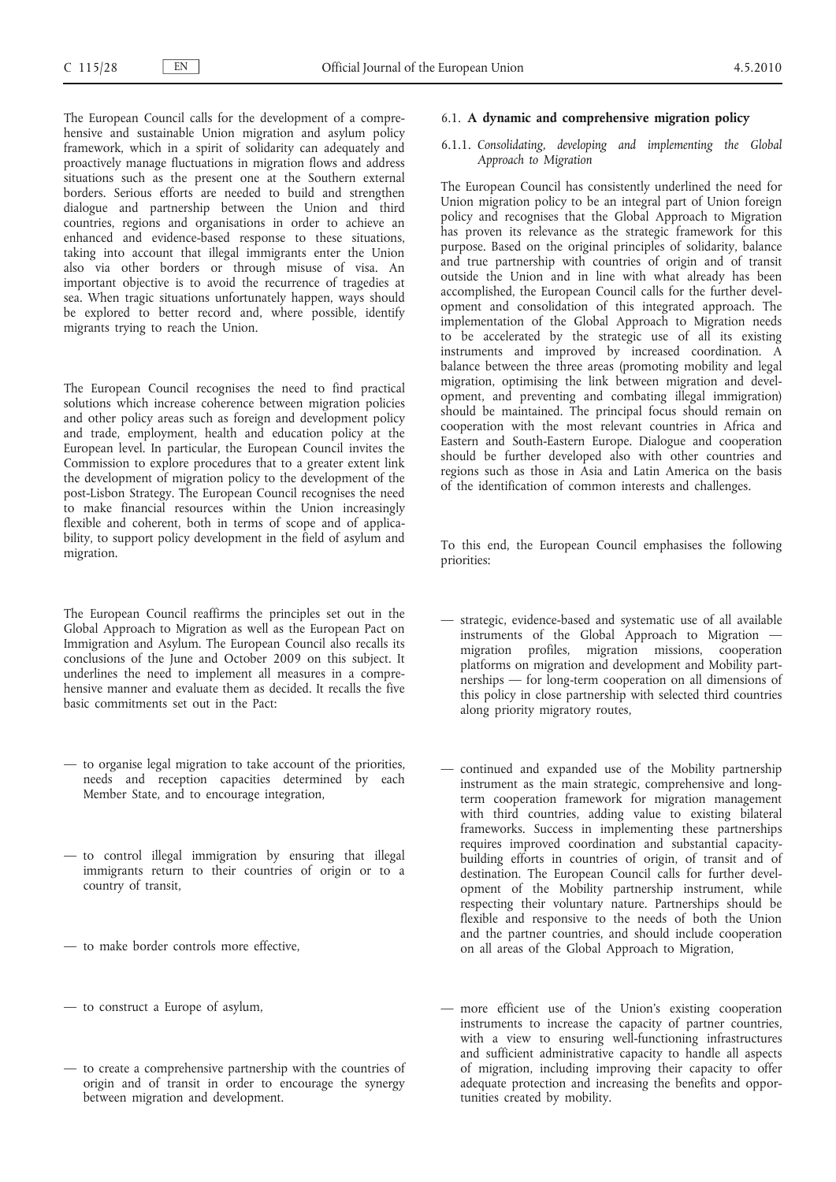The European Council calls for the development of a comprehensive and sustainable Union migration and asylum policy framework, which in a spirit of solidarity can adequately and proactively manage fluctuations in migration flows and address situations such as the present one at the Southern external borders. Serious efforts are needed to build and strengthen dialogue and partnership between the Union and third countries, regions and organisations in order to achieve an enhanced and evidence-based response to these situations, taking into account that illegal immigrants enter the Union also via other borders or through misuse of visa. An important objective is to avoid the recurrence of tragedies at sea. When tragic situations unfortunately happen, ways should be explored to better record and, where possible, identify migrants trying to reach the Union.

The European Council recognises the need to find practical solutions which increase coherence between migration policies and other policy areas such as foreign and development policy and trade, employment, health and education policy at the European level. In particular, the European Council invites the Commission to explore procedures that to a greater extent link the development of migration policy to the development of the post-Lisbon Strategy. The European Council recognises the need to make financial resources within the Union increasingly flexible and coherent, both in terms of scope and of applicability, to support policy development in the field of asylum and migration.

The European Council reaffirms the principles set out in the Global Approach to Migration as well as the European Pact on Immigration and Asylum. The European Council also recalls its conclusions of the June and October 2009 on this subject. It underlines the need to implement all measures in a comprehensive manner and evaluate them as decided. It recalls the five basic commitments set out in the Pact:

- to organise legal migration to take account of the priorities, needs and reception capacities determined by each Member State, and to encourage integration,
- to control illegal immigration by ensuring that illegal immigrants return to their countries of origin or to a country of transit,
- to make border controls more effective,
- to construct a Europe of asylum,
- to create a comprehensive partnership with the countries of origin and of transit in order to encourage the synergy between migration and development.

#### 6.1. **A dynamic and comprehensive migration policy**

### 6.1.1. *Consolidating, developing and implementing the Global Approach to Migration*

The European Council has consistently underlined the need for Union migration policy to be an integral part of Union foreign policy and recognises that the Global Approach to Migration has proven its relevance as the strategic framework for this purpose. Based on the original principles of solidarity, balance and true partnership with countries of origin and of transit outside the Union and in line with what already has been accomplished, the European Council calls for the further development and consolidation of this integrated approach. The implementation of the Global Approach to Migration needs to be accelerated by the strategic use of all its existing instruments and improved by increased coordination. A balance between the three areas (promoting mobility and legal migration, optimising the link between migration and development, and preventing and combating illegal immigration) should be maintained. The principal focus should remain on cooperation with the most relevant countries in Africa and Eastern and South-Eastern Europe. Dialogue and cooperation should be further developed also with other countries and regions such as those in Asia and Latin America on the basis of the identification of common interests and challenges.

To this end, the European Council emphasises the following priorities:

- strategic, evidence-based and systematic use of all available instruments of the Global Approach to Migration migration profiles, migration missions, cooperation platforms on migration and development and Mobility partnerships — for long-term cooperation on all dimensions of this policy in close partnership with selected third countries along priority migratory routes,
- continued and expanded use of the Mobility partnership instrument as the main strategic, comprehensive and longterm cooperation framework for migration management with third countries, adding value to existing bilateral frameworks. Success in implementing these partnerships requires improved coordination and substantial capacitybuilding efforts in countries of origin, of transit and of destination. The European Council calls for further development of the Mobility partnership instrument, while respecting their voluntary nature. Partnerships should be flexible and responsive to the needs of both the Union and the partner countries, and should include cooperation on all areas of the Global Approach to Migration,
- more efficient use of the Union's existing cooperation instruments to increase the capacity of partner countries, with a view to ensuring well-functioning infrastructures and sufficient administrative capacity to handle all aspects of migration, including improving their capacity to offer adequate protection and increasing the benefits and opportunities created by mobility.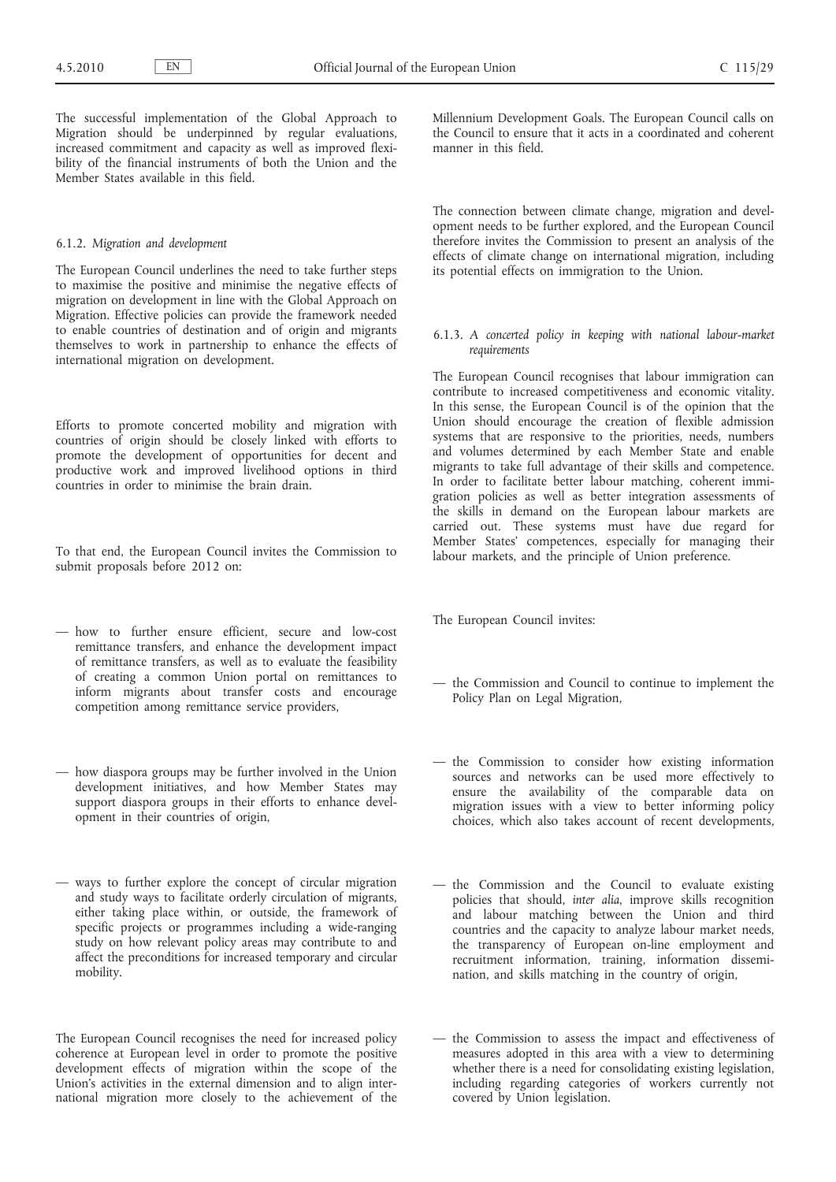The successful implementation of the Global Approach to Migration should be underpinned by regular evaluations, increased commitment and capacity as well as improved flexibility of the financial instruments of both the Union and the Member States available in this field.

#### 6.1.2. *Migration and development*

The European Council underlines the need to take further steps to maximise the positive and minimise the negative effects of migration on development in line with the Global Approach on Migration. Effective policies can provide the framework needed to enable countries of destination and of origin and migrants themselves to work in partnership to enhance the effects of international migration on development.

Efforts to promote concerted mobility and migration with countries of origin should be closely linked with efforts to promote the development of opportunities for decent and productive work and improved livelihood options in third countries in order to minimise the brain drain.

To that end, the European Council invites the Commission to submit proposals before 2012 on:

- how to further ensure efficient, secure and low-cost remittance transfers, and enhance the development impact of remittance transfers, as well as to evaluate the feasibility of creating a common Union portal on remittances to inform migrants about transfer costs and encourage competition among remittance service providers,
- how diaspora groups may be further involved in the Union development initiatives, and how Member States may support diaspora groups in their efforts to enhance development in their countries of origin,
- ways to further explore the concept of circular migration and study ways to facilitate orderly circulation of migrants, either taking place within, or outside, the framework of specific projects or programmes including a wide-ranging study on how relevant policy areas may contribute to and affect the preconditions for increased temporary and circular mobility.

The European Council recognises the need for increased policy coherence at European level in order to promote the positive development effects of migration within the scope of the Union's activities in the external dimension and to align international migration more closely to the achievement of the

Millennium Development Goals. The European Council calls on the Council to ensure that it acts in a coordinated and coherent manner in this field.

The connection between climate change, migration and development needs to be further explored, and the European Council therefore invites the Commission to present an analysis of the effects of climate change on international migration, including its potential effects on immigration to the Union.

6.1.3. *A concerted policy in keeping with national labour-market requirements*

The European Council recognises that labour immigration can contribute to increased competitiveness and economic vitality. In this sense, the European Council is of the opinion that the Union should encourage the creation of flexible admission systems that are responsive to the priorities, needs, numbers and volumes determined by each Member State and enable migrants to take full advantage of their skills and competence. In order to facilitate better labour matching, coherent immigration policies as well as better integration assessments of the skills in demand on the European labour markets are carried out. These systems must have due regard for Member States' competences, especially for managing their labour markets, and the principle of Union preference.

The European Council invites:

- the Commission and Council to continue to implement the Policy Plan on Legal Migration,
- the Commission to consider how existing information sources and networks can be used more effectively to ensure the availability of the comparable data on migration issues with a view to better informing policy choices, which also takes account of recent developments,
- the Commission and the Council to evaluate existing policies that should, *inter alia*, improve skills recognition and labour matching between the Union and third countries and the capacity to analyze labour market needs, the transparency of European on-line employment and recruitment information, training, information dissemination, and skills matching in the country of origin,
- the Commission to assess the impact and effectiveness of measures adopted in this area with a view to determining whether there is a need for consolidating existing legislation, including regarding categories of workers currently not covered by Union legislation.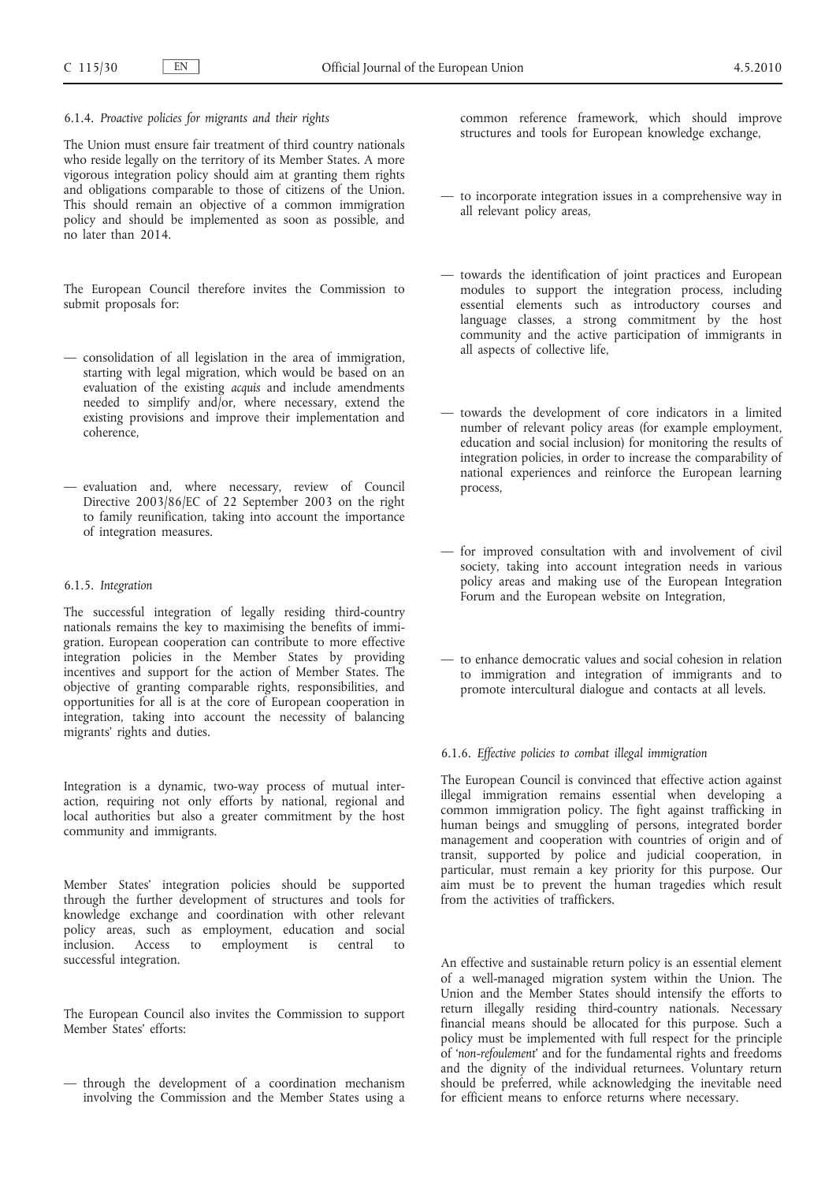### 6.1.4. *Proactive policies for migrants and their rights*

The Union must ensure fair treatment of third country nationals who reside legally on the territory of its Member States. A more vigorous integration policy should aim at granting them rights and obligations comparable to those of citizens of the Union. This should remain an objective of a common immigration policy and should be implemented as soon as possible, and no later than 2014.

The European Council therefore invites the Commission to submit proposals for:

- consolidation of all legislation in the area of immigration, starting with legal migration, which would be based on an evaluation of the existing *acquis* and include amendments needed to simplify and/or, where necessary, extend the existing provisions and improve their implementation and coherence,
- evaluation and, where necessary, review of Council Directive 2003/86/EC of 22 September 2003 on the right to family reunification, taking into account the importance of integration measures.

#### 6.1.5. *Integration*

The successful integration of legally residing third-country nationals remains the key to maximising the benefits of immigration. European cooperation can contribute to more effective integration policies in the Member States by providing incentives and support for the action of Member States. The objective of granting comparable rights, responsibilities, and opportunities for all is at the core of European cooperation in integration, taking into account the necessity of balancing migrants' rights and duties.

Integration is a dynamic, two-way process of mutual interaction, requiring not only efforts by national, regional and local authorities but also a greater commitment by the host community and immigrants.

Member States' integration policies should be supported through the further development of structures and tools for knowledge exchange and coordination with other relevant policy areas, such as employment, education and social inclusion. Access to employment is central to successful integration.

The European Council also invites the Commission to support Member States' efforts:

— through the development of a coordination mechanism involving the Commission and the Member States using a

common reference framework, which should improve structures and tools for European knowledge exchange,

- to incorporate integration issues in a comprehensive way in all relevant policy areas,
- towards the identification of joint practices and European modules to support the integration process, including essential elements such as introductory courses and language classes, a strong commitment by the host community and the active participation of immigrants in all aspects of collective life,
- towards the development of core indicators in a limited number of relevant policy areas (for example employment, education and social inclusion) for monitoring the results of integration policies, in order to increase the comparability of national experiences and reinforce the European learning process,
- for improved consultation with and involvement of civil society, taking into account integration needs in various policy areas and making use of the European Integration Forum and the European website on Integration,
- to enhance democratic values and social cohesion in relation to immigration and integration of immigrants and to promote intercultural dialogue and contacts at all levels.

### 6.1.6. *Effective policies to combat illegal immigration*

The European Council is convinced that effective action against illegal immigration remains essential when developing a common immigration policy. The fight against trafficking in human beings and smuggling of persons, integrated border management and cooperation with countries of origin and of transit, supported by police and judicial cooperation, in particular, must remain a key priority for this purpose. Our aim must be to prevent the human tragedies which result from the activities of traffickers.

An effective and sustainable return policy is an essential element of a well-managed migration system within the Union. The Union and the Member States should intensify the efforts to return illegally residing third-country nationals. Necessary financial means should be allocated for this purpose. Such a policy must be implemented with full respect for the principle of '*non-refoulement*' and for the fundamental rights and freedoms and the dignity of the individual returnees. Voluntary return should be preferred, while acknowledging the inevitable need for efficient means to enforce returns where necessary.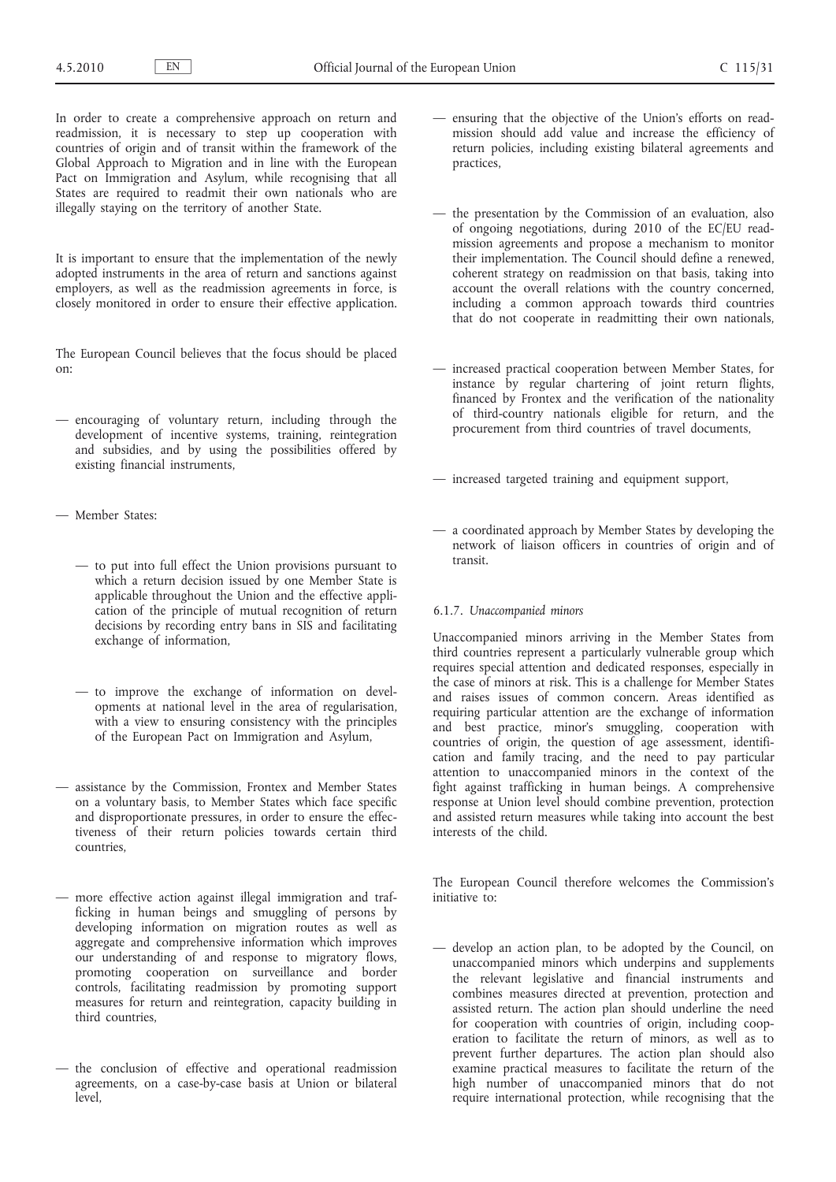In order to create a comprehensive approach on return and readmission, it is necessary to step up cooperation with countries of origin and of transit within the framework of the Global Approach to Migration and in line with the European Pact on Immigration and Asylum, while recognising that all States are required to readmit their own nationals who are illegally staying on the territory of another State.

It is important to ensure that the implementation of the newly adopted instruments in the area of return and sanctions against employers, as well as the readmission agreements in force, is closely monitored in order to ensure their effective application.

The European Council believes that the focus should be placed on:

- encouraging of voluntary return, including through the development of incentive systems, training, reintegration and subsidies, and by using the possibilities offered by existing financial instruments,
- Member States:
	- to put into full effect the Union provisions pursuant to which a return decision issued by one Member State is applicable throughout the Union and the effective application of the principle of mutual recognition of return decisions by recording entry bans in SIS and facilitating exchange of information,
	- to improve the exchange of information on developments at national level in the area of regularisation, with a view to ensuring consistency with the principles of the European Pact on Immigration and Asylum,
- assistance by the Commission, Frontex and Member States on a voluntary basis, to Member States which face specific and disproportionate pressures, in order to ensure the effectiveness of their return policies towards certain third countries,
- more effective action against illegal immigration and trafficking in human beings and smuggling of persons by developing information on migration routes as well as aggregate and comprehensive information which improves our understanding of and response to migratory flows, promoting cooperation on surveillance and border controls, facilitating readmission by promoting support measures for return and reintegration, capacity building in third countries,
- the conclusion of effective and operational readmission agreements, on a case-by-case basis at Union or bilateral level,
- ensuring that the objective of the Union's efforts on readmission should add value and increase the efficiency of return policies, including existing bilateral agreements and practices,
- the presentation by the Commission of an evaluation, also of ongoing negotiations, during 2010 of the EC/EU readmission agreements and propose a mechanism to monitor their implementation. The Council should define a renewed, coherent strategy on readmission on that basis, taking into account the overall relations with the country concerned, including a common approach towards third countries that do not cooperate in readmitting their own nationals,
- increased practical cooperation between Member States, for instance by regular chartering of joint return flights, financed by Frontex and the verification of the nationality of third-country nationals eligible for return, and the procurement from third countries of travel documents,
- increased targeted training and equipment support,
- a coordinated approach by Member States by developing the network of liaison officers in countries of origin and of transit.

#### 6.1.7. *Unaccompanied minors*

Unaccompanied minors arriving in the Member States from third countries represent a particularly vulnerable group which requires special attention and dedicated responses, especially in the case of minors at risk. This is a challenge for Member States and raises issues of common concern. Areas identified as requiring particular attention are the exchange of information and best practice, minor's smuggling, cooperation with countries of origin, the question of age assessment, identification and family tracing, and the need to pay particular attention to unaccompanied minors in the context of the fight against trafficking in human beings. A comprehensive response at Union level should combine prevention, protection and assisted return measures while taking into account the best interests of the child.

The European Council therefore welcomes the Commission's initiative to:

— develop an action plan, to be adopted by the Council, on unaccompanied minors which underpins and supplements the relevant legislative and financial instruments and combines measures directed at prevention, protection and assisted return. The action plan should underline the need for cooperation with countries of origin, including cooperation to facilitate the return of minors, as well as to prevent further departures. The action plan should also examine practical measures to facilitate the return of the high number of unaccompanied minors that do not require international protection, while recognising that the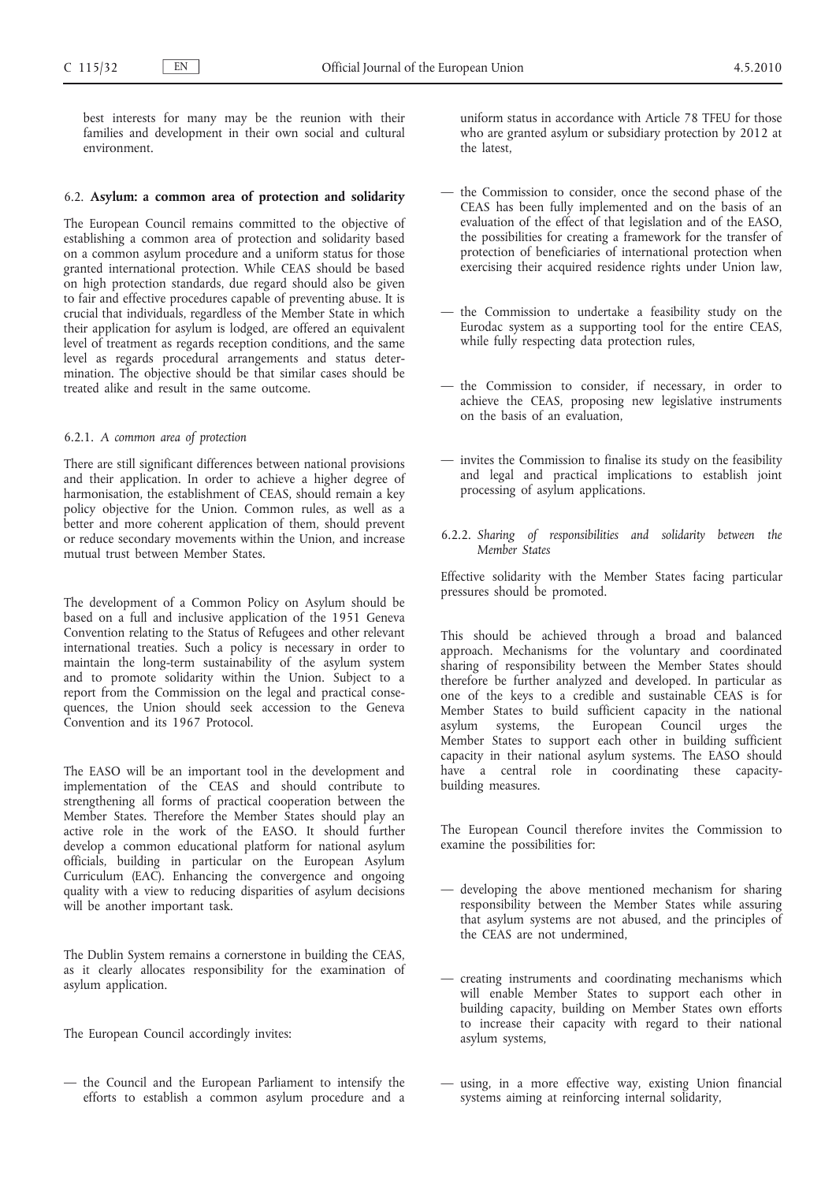best interests for many may be the reunion with their families and development in their own social and cultural environment.

#### 6.2. **Asylum: a common area of protection and solidarity**

The European Council remains committed to the objective of establishing a common area of protection and solidarity based on a common asylum procedure and a uniform status for those granted international protection. While CEAS should be based on high protection standards, due regard should also be given to fair and effective procedures capable of preventing abuse. It is crucial that individuals, regardless of the Member State in which their application for asylum is lodged, are offered an equivalent level of treatment as regards reception conditions, and the same level as regards procedural arrangements and status determination. The objective should be that similar cases should be treated alike and result in the same outcome.

### 6.2.1. *A common area of protection*

There are still significant differences between national provisions and their application. In order to achieve a higher degree of harmonisation, the establishment of CEAS, should remain a key policy objective for the Union. Common rules, as well as a better and more coherent application of them, should prevent or reduce secondary movements within the Union, and increase mutual trust between Member States.

The development of a Common Policy on Asylum should be based on a full and inclusive application of the 1951 Geneva Convention relating to the Status of Refugees and other relevant international treaties. Such a policy is necessary in order to maintain the long-term sustainability of the asylum system and to promote solidarity within the Union. Subject to a report from the Commission on the legal and practical consequences, the Union should seek accession to the Geneva Convention and its 1967 Protocol.

The EASO will be an important tool in the development and implementation of the CEAS and should contribute to strengthening all forms of practical cooperation between the Member States. Therefore the Member States should play an active role in the work of the EASO. It should further develop a common educational platform for national asylum officials, building in particular on the European Asylum Curriculum (EAC). Enhancing the convergence and ongoing quality with a view to reducing disparities of asylum decisions will be another important task.

The Dublin System remains a cornerstone in building the CEAS, as it clearly allocates responsibility for the examination of asylum application.

The European Council accordingly invites:

— the Council and the European Parliament to intensify the efforts to establish a common asylum procedure and a uniform status in accordance with Article 78 TFEU for those who are granted asylum or subsidiary protection by 2012 at the latest,

- the Commission to consider, once the second phase of the CEAS has been fully implemented and on the basis of an evaluation of the effect of that legislation and of the EASO, the possibilities for creating a framework for the transfer of protection of beneficiaries of international protection when exercising their acquired residence rights under Union law,
- the Commission to undertake a feasibility study on the Eurodac system as a supporting tool for the entire CEAS, while fully respecting data protection rules,
- the Commission to consider, if necessary, in order to achieve the CEAS, proposing new legislative instruments on the basis of an evaluation,
- invites the Commission to finalise its study on the feasibility and legal and practical implications to establish joint processing of asylum applications.
- 6.2.2. *Sharing of responsibilities and solidarity between the Member States*

Effective solidarity with the Member States facing particular pressures should be promoted.

This should be achieved through a broad and balanced approach. Mechanisms for the voluntary and coordinated sharing of responsibility between the Member States should therefore be further analyzed and developed. In particular as one of the keys to a credible and sustainable CEAS is for Member States to build sufficient capacity in the national asylum systems, the European Council urges the Member States to support each other in building sufficient capacity in their national asylum systems. The EASO should have a central role in coordinating these capacitybuilding measures.

The European Council therefore invites the Commission to examine the possibilities for:

- developing the above mentioned mechanism for sharing responsibility between the Member States while assuring that asylum systems are not abused, and the principles of the CEAS are not undermined,
- creating instruments and coordinating mechanisms which will enable Member States to support each other in building capacity, building on Member States own efforts to increase their capacity with regard to their national asylum systems,
- using, in a more effective way, existing Union financial systems aiming at reinforcing internal solidarity,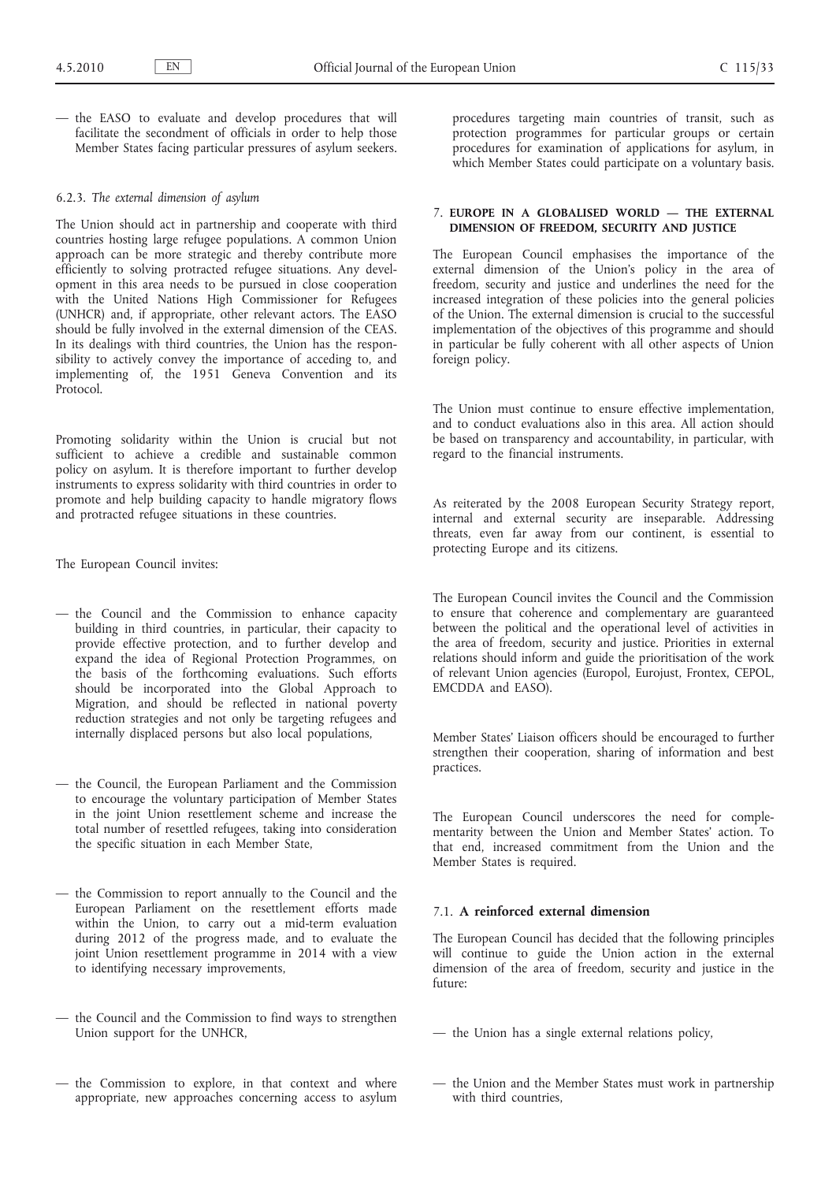— the EASO to evaluate and develop procedures that will facilitate the secondment of officials in order to help those Member States facing particular pressures of asylum seekers.

### 6.2.3. *The external dimension of asylum*

The Union should act in partnership and cooperate with third countries hosting large refugee populations. A common Union approach can be more strategic and thereby contribute more efficiently to solving protracted refugee situations. Any development in this area needs to be pursued in close cooperation with the United Nations High Commissioner for Refugees (UNHCR) and, if appropriate, other relevant actors. The EASO should be fully involved in the external dimension of the CEAS. In its dealings with third countries, the Union has the responsibility to actively convey the importance of acceding to, and implementing of, the 1951 Geneva Convention and its Protocol.

Promoting solidarity within the Union is crucial but not sufficient to achieve a credible and sustainable common policy on asylum. It is therefore important to further develop instruments to express solidarity with third countries in order to promote and help building capacity to handle migratory flows and protracted refugee situations in these countries.

The European Council invites:

- the Council and the Commission to enhance capacity building in third countries, in particular, their capacity to provide effective protection, and to further develop and expand the idea of Regional Protection Programmes, on the basis of the forthcoming evaluations. Such efforts should be incorporated into the Global Approach to Migration, and should be reflected in national poverty reduction strategies and not only be targeting refugees and internally displaced persons but also local populations,
- the Council, the European Parliament and the Commission to encourage the voluntary participation of Member States in the joint Union resettlement scheme and increase the total number of resettled refugees, taking into consideration the specific situation in each Member State,
- the Commission to report annually to the Council and the European Parliament on the resettlement efforts made within the Union, to carry out a mid-term evaluation during 2012 of the progress made, and to evaluate the joint Union resettlement programme in 2014 with a view to identifying necessary improvements,
- the Council and the Commission to find ways to strengthen Union support for the UNHCR,
- the Commission to explore, in that context and where appropriate, new approaches concerning access to asylum

procedures targeting main countries of transit, such as protection programmes for particular groups or certain procedures for examination of applications for asylum, in which Member States could participate on a voluntary basis.

#### 7. **EUROPE IN A GLOBALISED WORLD — THE EXTERNAL DIMENSION OF FREEDOM, SECURITY AND JUSTICE**

The European Council emphasises the importance of the external dimension of the Union's policy in the area of freedom, security and justice and underlines the need for the increased integration of these policies into the general policies of the Union. The external dimension is crucial to the successful implementation of the objectives of this programme and should in particular be fully coherent with all other aspects of Union foreign policy.

The Union must continue to ensure effective implementation, and to conduct evaluations also in this area. All action should be based on transparency and accountability, in particular, with regard to the financial instruments.

As reiterated by the 2008 European Security Strategy report, internal and external security are inseparable. Addressing threats, even far away from our continent, is essential to protecting Europe and its citizens.

The European Council invites the Council and the Commission to ensure that coherence and complementary are guaranteed between the political and the operational level of activities in the area of freedom, security and justice. Priorities in external relations should inform and guide the prioritisation of the work of relevant Union agencies (Europol, Eurojust, Frontex, CEPOL, EMCDDA and EASO).

Member States' Liaison officers should be encouraged to further strengthen their cooperation, sharing of information and best practices.

The European Council underscores the need for complementarity between the Union and Member States' action. To that end, increased commitment from the Union and the Member States is required.

### 7.1. **A reinforced external dimension**

The European Council has decided that the following principles will continue to guide the Union action in the external dimension of the area of freedom, security and justice in the future:

- the Union has a single external relations policy,
- the Union and the Member States must work in partnership with third countries,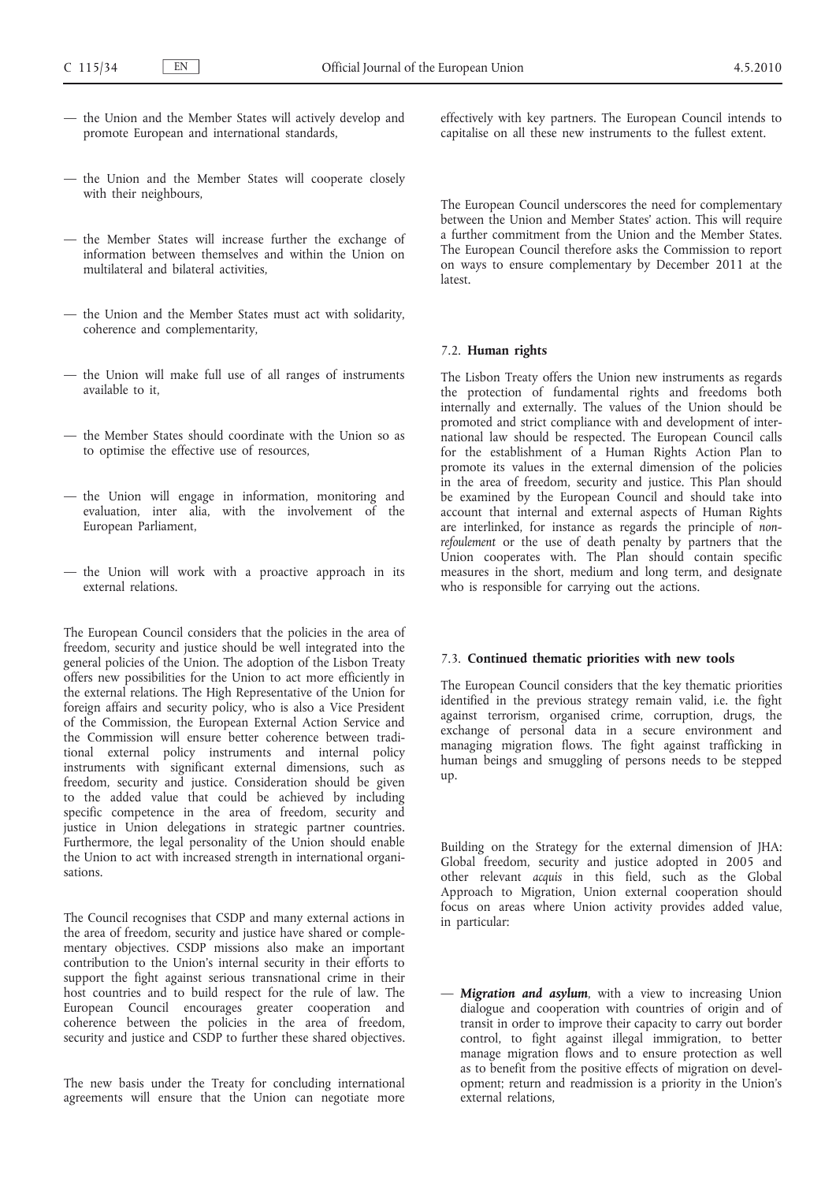- the Union and the Member States will actively develop and promote European and international standards,
- the Union and the Member States will cooperate closely with their neighbours,
- the Member States will increase further the exchange of information between themselves and within the Union on multilateral and bilateral activities,
- the Union and the Member States must act with solidarity, coherence and complementarity,
- the Union will make full use of all ranges of instruments available to it,
- the Member States should coordinate with the Union so as to optimise the effective use of resources,
- the Union will engage in information, monitoring and evaluation, inter alia, with the involvement of the European Parliament,
- the Union will work with a proactive approach in its external relations.

The European Council considers that the policies in the area of freedom, security and justice should be well integrated into the general policies of the Union. The adoption of the Lisbon Treaty offers new possibilities for the Union to act more efficiently in the external relations. The High Representative of the Union for foreign affairs and security policy, who is also a Vice President of the Commission, the European External Action Service and the Commission will ensure better coherence between traditional external policy instruments and internal policy instruments with significant external dimensions, such as freedom, security and justice. Consideration should be given to the added value that could be achieved by including specific competence in the area of freedom, security and justice in Union delegations in strategic partner countries. Furthermore, the legal personality of the Union should enable the Union to act with increased strength in international organisations.

The Council recognises that CSDP and many external actions in the area of freedom, security and justice have shared or complementary objectives. CSDP missions also make an important contribution to the Union's internal security in their efforts to support the fight against serious transnational crime in their host countries and to build respect for the rule of law. The European Council encourages greater cooperation and coherence between the policies in the area of freedom, security and justice and CSDP to further these shared objectives.

The new basis under the Treaty for concluding international agreements will ensure that the Union can negotiate more effectively with key partners. The European Council intends to capitalise on all these new instruments to the fullest extent.

The European Council underscores the need for complementary between the Union and Member States' action. This will require a further commitment from the Union and the Member States. The European Council therefore asks the Commission to report on ways to ensure complementary by December 2011 at the latest.

### 7.2. **Human rights**

The Lisbon Treaty offers the Union new instruments as regards the protection of fundamental rights and freedoms both internally and externally. The values of the Union should be promoted and strict compliance with and development of international law should be respected. The European Council calls for the establishment of a Human Rights Action Plan to promote its values in the external dimension of the policies in the area of freedom, security and justice. This Plan should be examined by the European Council and should take into account that internal and external aspects of Human Rights are interlinked, for instance as regards the principle of *nonrefoulement* or the use of death penalty by partners that the Union cooperates with. The Plan should contain specific measures in the short, medium and long term, and designate who is responsible for carrying out the actions.

### 7.3. **Continued thematic priorities with new tools**

The European Council considers that the key thematic priorities identified in the previous strategy remain valid, i.e. the fight against terrorism, organised crime, corruption, drugs, the exchange of personal data in a secure environment and managing migration flows. The fight against trafficking in human beings and smuggling of persons needs to be stepped up.

Building on the Strategy for the external dimension of JHA: Global freedom, security and justice adopted in 2005 and other relevant *acquis* in this field, such as the Global Approach to Migration, Union external cooperation should focus on areas where Union activity provides added value, in particular:

— *Migration and asylum*, with a view to increasing Union dialogue and cooperation with countries of origin and of transit in order to improve their capacity to carry out border control, to fight against illegal immigration, to better manage migration flows and to ensure protection as well as to benefit from the positive effects of migration on development; return and readmission is a priority in the Union's external relations,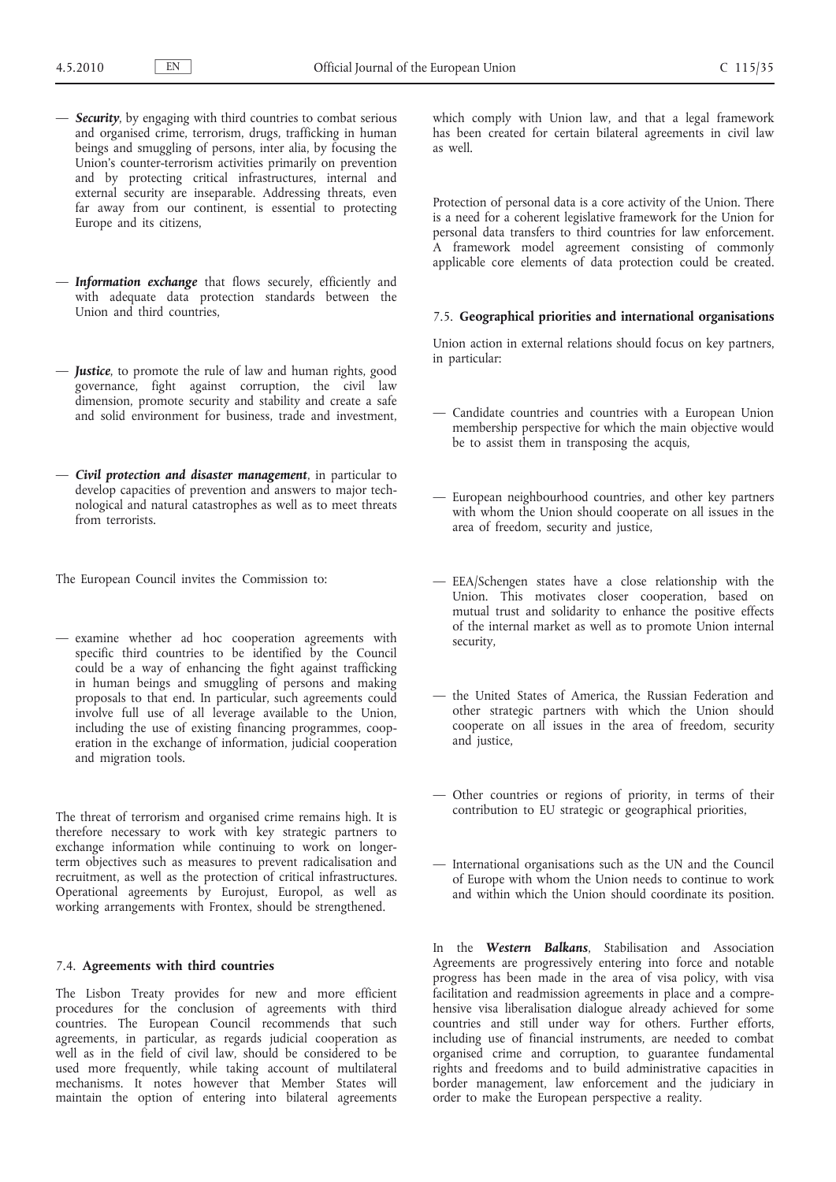- — *Security*, by engaging with third countries to combat serious and organised crime, terrorism, drugs, trafficking in human beings and smuggling of persons, inter alia, by focusing the Union's counter-terrorism activities primarily on prevention and by protecting critical infrastructures, internal and external security are inseparable. Addressing threats, even far away from our continent, is essential to protecting Europe and its citizens,
- — *Information exchange* that flows securely, efficiently and with adequate data protection standards between the Union and third countries,
- — *Justice*, to promote the rule of law and human rights, good governance, fight against corruption, the civil law dimension, promote security and stability and create a safe and solid environment for business, trade and investment,
- — *Civil protection and disaster management*, in particular to develop capacities of prevention and answers to major technological and natural catastrophes as well as to meet threats from terrorists.

The European Council invites the Commission to:

— examine whether ad hoc cooperation agreements with specific third countries to be identified by the Council could be a way of enhancing the fight against trafficking in human beings and smuggling of persons and making proposals to that end. In particular, such agreements could involve full use of all leverage available to the Union, including the use of existing financing programmes, cooperation in the exchange of information, judicial cooperation and migration tools.

The threat of terrorism and organised crime remains high. It is therefore necessary to work with key strategic partners to exchange information while continuing to work on longerterm objectives such as measures to prevent radicalisation and recruitment, as well as the protection of critical infrastructures. Operational agreements by Eurojust, Europol, as well as working arrangements with Frontex, should be strengthened.

### 7.4. **Agreements with third countries**

The Lisbon Treaty provides for new and more efficient procedures for the conclusion of agreements with third countries. The European Council recommends that such agreements, in particular, as regards judicial cooperation as well as in the field of civil law, should be considered to be used more frequently, while taking account of multilateral mechanisms. It notes however that Member States will maintain the option of entering into bilateral agreements which comply with Union law, and that a legal framework has been created for certain bilateral agreements in civil law as well.

Protection of personal data is a core activity of the Union. There is a need for a coherent legislative framework for the Union for personal data transfers to third countries for law enforcement. A framework model agreement consisting of commonly applicable core elements of data protection could be created.

#### 7.5. **Geographical priorities and international organisations**

Union action in external relations should focus on key partners, in particular:

- Candidate countries and countries with a European Union membership perspective for which the main objective would be to assist them in transposing the acquis,
- European neighbourhood countries, and other key partners with whom the Union should cooperate on all issues in the area of freedom, security and justice,
- EEA/Schengen states have a close relationship with the Union. This motivates closer cooperation, based on mutual trust and solidarity to enhance the positive effects of the internal market as well as to promote Union internal security,
- the United States of America, the Russian Federation and other strategic partners with which the Union should cooperate on all issues in the area of freedom, security and justice,
- Other countries or regions of priority, in terms of their contribution to EU strategic or geographical priorities,
- International organisations such as the UN and the Council of Europe with whom the Union needs to continue to work and within which the Union should coordinate its position.

In the *Western Balkans*, Stabilisation and Association Agreements are progressively entering into force and notable progress has been made in the area of visa policy, with visa facilitation and readmission agreements in place and a comprehensive visa liberalisation dialogue already achieved for some countries and still under way for others. Further efforts, including use of financial instruments, are needed to combat organised crime and corruption, to guarantee fundamental rights and freedoms and to build administrative capacities in border management, law enforcement and the judiciary in order to make the European perspective a reality.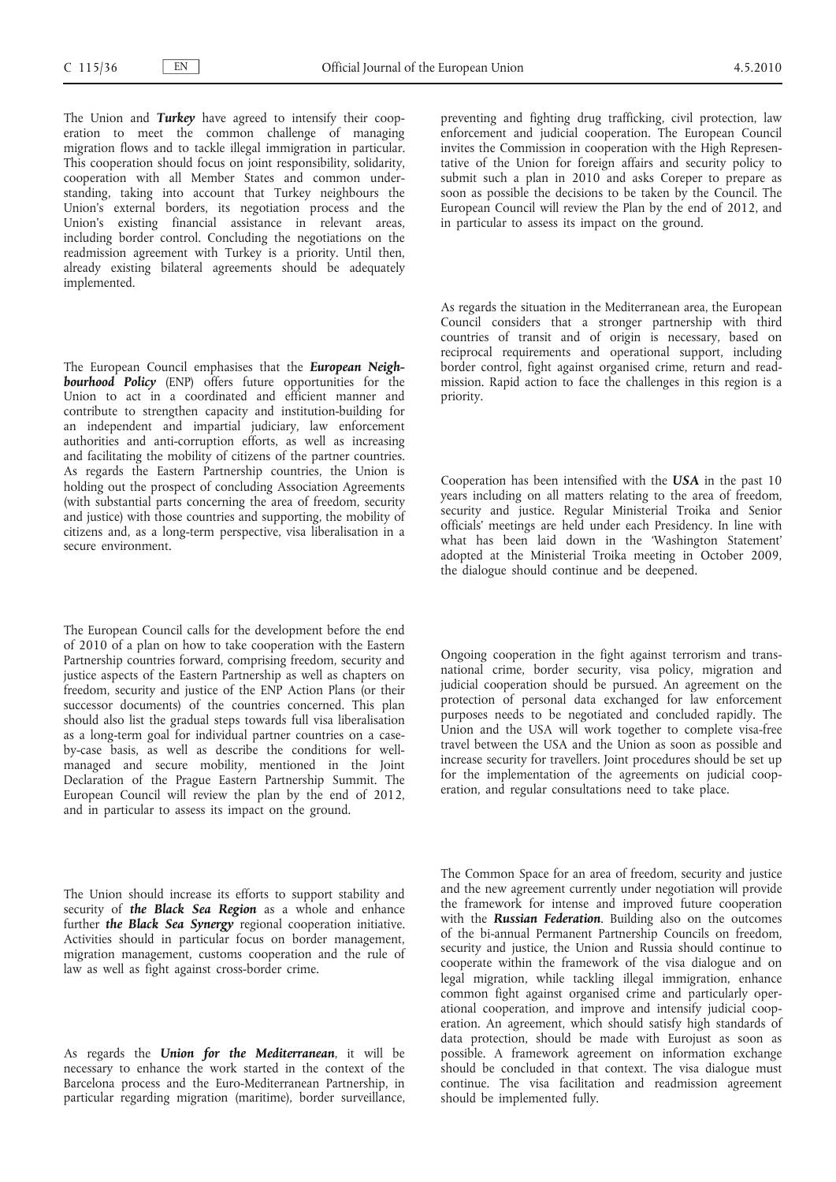The Union and *Turkey* have agreed to intensify their cooperation to meet the common challenge of managing migration flows and to tackle illegal immigration in particular. This cooperation should focus on joint responsibility, solidarity, cooperation with all Member States and common understanding, taking into account that Turkey neighbours the Union's external borders, its negotiation process and the Union's existing financial assistance in relevant areas, including border control. Concluding the negotiations on the readmission agreement with Turkey is a priority. Until then, already existing bilateral agreements should be adequately implemented.

The European Council emphasises that the *European Neigh***bourhood Policy** (ENP) offers future opportunities for the Union to act in a coordinated and efficient manner and contribute to strengthen capacity and institution-building for an independent and impartial judiciary, law enforcement authorities and anti-corruption efforts, as well as increasing and facilitating the mobility of citizens of the partner countries. As regards the Eastern Partnership countries, the Union is holding out the prospect of concluding Association Agreements (with substantial parts concerning the area of freedom, security and justice) with those countries and supporting, the mobility of citizens and, as a long-term perspective, visa liberalisation in a secure environment.

The European Council calls for the development before the end of 2010 of a plan on how to take cooperation with the Eastern Partnership countries forward, comprising freedom, security and justice aspects of the Eastern Partnership as well as chapters on freedom, security and justice of the ENP Action Plans (or their successor documents) of the countries concerned. This plan should also list the gradual steps towards full visa liberalisation as a long-term goal for individual partner countries on a caseby-case basis, as well as describe the conditions for wellmanaged and secure mobility, mentioned in the Joint Declaration of the Prague Eastern Partnership Summit. The European Council will review the plan by the end of 2012, and in particular to assess its impact on the ground.

The Union should increase its efforts to support stability and security of *the Black Sea Region* as a whole and enhance further *the Black Sea Synergy* regional cooperation initiative. Activities should in particular focus on border management, migration management, customs cooperation and the rule of law as well as fight against cross-border crime.

As regards the *Union for the Mediterranean*, it will be necessary to enhance the work started in the context of the Barcelona process and the Euro-Mediterranean Partnership, in particular regarding migration (maritime), border surveillance, preventing and fighting drug trafficking, civil protection, law enforcement and judicial cooperation. The European Council invites the Commission in cooperation with the High Representative of the Union for foreign affairs and security policy to submit such a plan in 2010 and asks Coreper to prepare as soon as possible the decisions to be taken by the Council. The European Council will review the Plan by the end of 2012, and in particular to assess its impact on the ground.

As regards the situation in the Mediterranean area, the European Council considers that a stronger partnership with third countries of transit and of origin is necessary, based on reciprocal requirements and operational support, including border control, fight against organised crime, return and readmission. Rapid action to face the challenges in this region is a priority.

Cooperation has been intensified with the *USA* in the past 10 years including on all matters relating to the area of freedom, security and justice. Regular Ministerial Troika and Senior officials' meetings are held under each Presidency. In line with what has been laid down in the 'Washington Statement' adopted at the Ministerial Troika meeting in October 2009, the dialogue should continue and be deepened.

Ongoing cooperation in the fight against terrorism and transnational crime, border security, visa policy, migration and judicial cooperation should be pursued. An agreement on the protection of personal data exchanged for law enforcement purposes needs to be negotiated and concluded rapidly. The Union and the USA will work together to complete visa-free travel between the USA and the Union as soon as possible and increase security for travellers. Joint procedures should be set up for the implementation of the agreements on judicial cooperation, and regular consultations need to take place.

The Common Space for an area of freedom, security and justice and the new agreement currently under negotiation will provide the framework for intense and improved future cooperation with the *Russian Federation*. Building also on the outcomes of the bi-annual Permanent Partnership Councils on freedom, security and justice, the Union and Russia should continue to cooperate within the framework of the visa dialogue and on legal migration, while tackling illegal immigration, enhance common fight against organised crime and particularly operational cooperation, and improve and intensify judicial cooperation. An agreement, which should satisfy high standards of data protection, should be made with Eurojust as soon as possible. A framework agreement on information exchange should be concluded in that context. The visa dialogue must continue. The visa facilitation and readmission agreement should be implemented fully.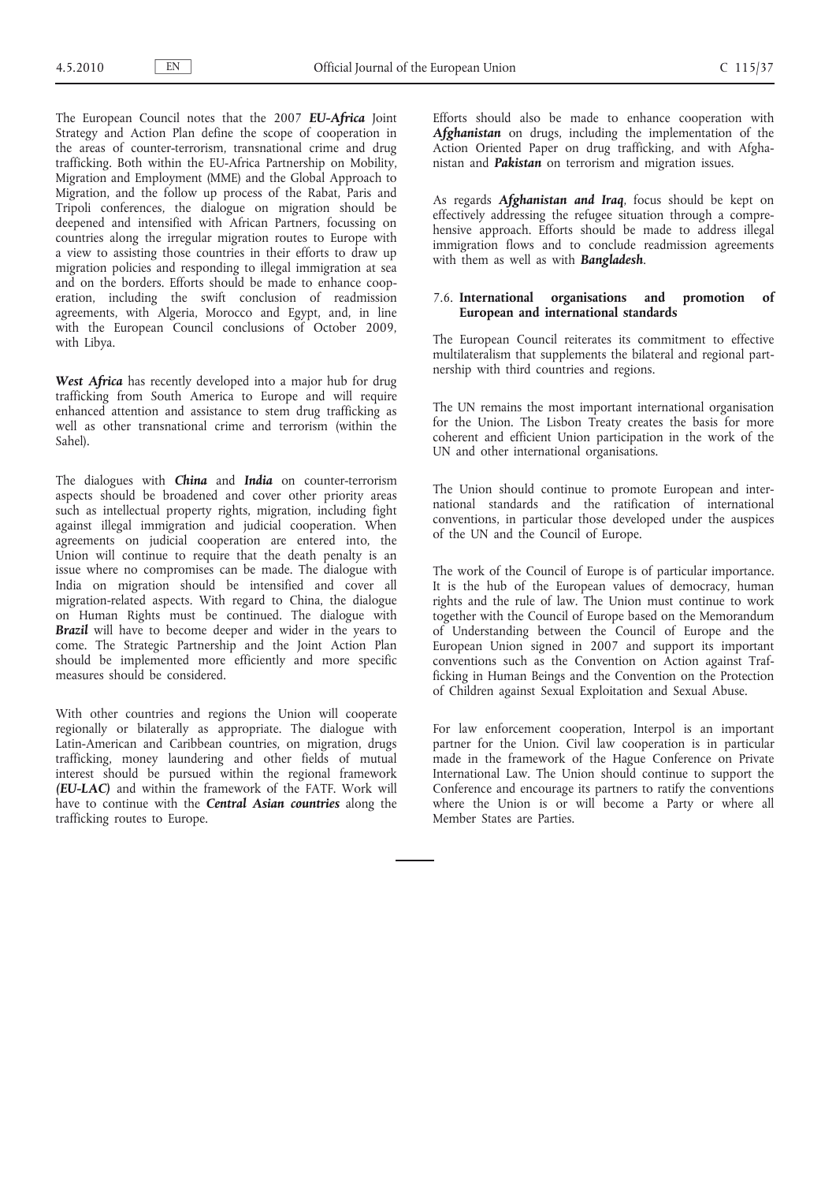The European Council notes that the 2007 *EU-Africa* Joint Strategy and Action Plan define the scope of cooperation in the areas of counter-terrorism, transnational crime and drug trafficking. Both within the EU-Africa Partnership on Mobility, Migration and Employment (MME) and the Global Approach to Migration, and the follow up process of the Rabat, Paris and Tripoli conferences, the dialogue on migration should be deepened and intensified with African Partners, focussing on countries along the irregular migration routes to Europe with a view to assisting those countries in their efforts to draw up migration policies and responding to illegal immigration at sea and on the borders. Efforts should be made to enhance cooperation, including the swift conclusion of readmission agreements, with Algeria, Morocco and Egypt, and, in line with the European Council conclusions of October 2009, with Libya.

*West Africa* has recently developed into a major hub for drug trafficking from South America to Europe and will require enhanced attention and assistance to stem drug trafficking as well as other transnational crime and terrorism (within the Sahel).

The dialogues with *China* and *India* on counter-terrorism aspects should be broadened and cover other priority areas such as intellectual property rights, migration, including fight against illegal immigration and judicial cooperation. When agreements on judicial cooperation are entered into, the Union will continue to require that the death penalty is an issue where no compromises can be made. The dialogue with India on migration should be intensified and cover all migration-related aspects. With regard to China, the dialogue on Human Rights must be continued. The dialogue with *Brazil* will have to become deeper and wider in the years to come. The Strategic Partnership and the Joint Action Plan should be implemented more efficiently and more specific measures should be considered.

With other countries and regions the Union will cooperate regionally or bilaterally as appropriate. The dialogue with Latin-American and Caribbean countries, on migration, drugs trafficking, money laundering and other fields of mutual interest should be pursued within the regional framework *(EU-LAC)* and within the framework of the FATF. Work will have to continue with the *Central Asian countries* along the trafficking routes to Europe.

Efforts should also be made to enhance cooperation with *Afghanistan* on drugs, including the implementation of the Action Oriented Paper on drug trafficking, and with Afghanistan and *Pakistan* on terrorism and migration issues.

As regards *Afghanistan and Iraq*, focus should be kept on effectively addressing the refugee situation through a comprehensive approach. Efforts should be made to address illegal immigration flows and to conclude readmission agreements with them as well as with *Bangladesh*.

#### 7.6. **International organisations and promotion of European and international standards**

The European Council reiterates its commitment to effective multilateralism that supplements the bilateral and regional partnership with third countries and regions.

The UN remains the most important international organisation for the Union. The Lisbon Treaty creates the basis for more coherent and efficient Union participation in the work of the UN and other international organisations.

The Union should continue to promote European and international standards and the ratification of international conventions, in particular those developed under the auspices of the UN and the Council of Europe.

The work of the Council of Europe is of particular importance. It is the hub of the European values of democracy, human rights and the rule of law. The Union must continue to work together with the Council of Europe based on the Memorandum of Understanding between the Council of Europe and the European Union signed in 2007 and support its important conventions such as the Convention on Action against Trafficking in Human Beings and the Convention on the Protection of Children against Sexual Exploitation and Sexual Abuse.

For law enforcement cooperation, Interpol is an important partner for the Union. Civil law cooperation is in particular made in the framework of the Hague Conference on Private International Law. The Union should continue to support the Conference and encourage its partners to ratify the conventions where the Union is or will become a Party or where all Member States are Parties.